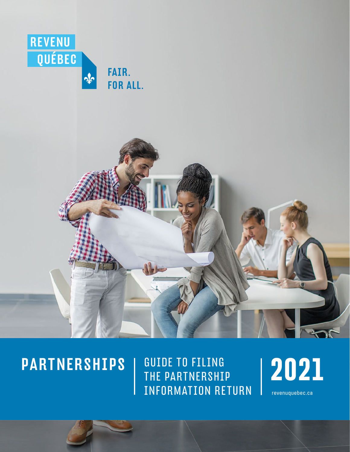



## PARTNERSHIPS

GUIDE TO FILING<br>THE PARTNERSHIP | 2021 THE PARTNERSHIP INFORMATION RETURN

 [revenuquebec.ca](https://www.revenuquebec.ca/en)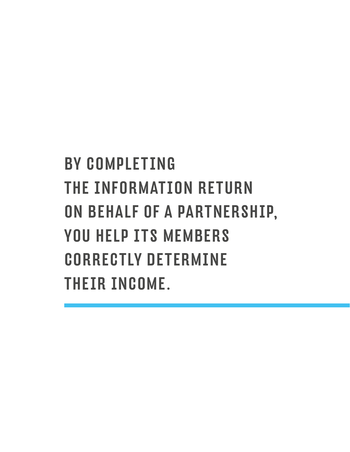# BY COMPLETING THE INFORMATION RETURN ON BEHALF OF A PARTNERSHIP, YOU HELP ITS MEMBERS CORRECTLY DETERMINE THEIR INCOME.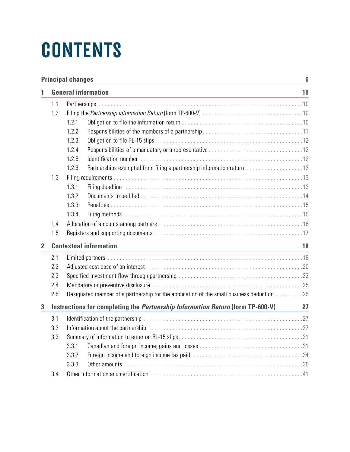# **CONTENTS**

|                | <b>Principal changes</b><br>$6\phantom{1}$ |                                                                                           |    |  |  |  |
|----------------|--------------------------------------------|-------------------------------------------------------------------------------------------|----|--|--|--|
| 1              | <b>General information</b>                 |                                                                                           |    |  |  |  |
|                | 1.1                                        |                                                                                           |    |  |  |  |
|                | 1.2                                        |                                                                                           |    |  |  |  |
|                |                                            | 1.2.1                                                                                     |    |  |  |  |
|                |                                            | 1.2.2                                                                                     |    |  |  |  |
|                |                                            | 1.2.3                                                                                     |    |  |  |  |
|                |                                            | 1.2.4                                                                                     |    |  |  |  |
|                |                                            | 1.2.5                                                                                     |    |  |  |  |
|                |                                            | 1.2.6<br>Partnerships exempted from filing a partnership information return 12            |    |  |  |  |
|                | 1.3                                        |                                                                                           |    |  |  |  |
|                |                                            | 1.3.1                                                                                     |    |  |  |  |
|                |                                            | 1.3.2                                                                                     |    |  |  |  |
|                |                                            | 1.3.3                                                                                     |    |  |  |  |
|                |                                            | 1.3.4                                                                                     |    |  |  |  |
|                | 1.4                                        |                                                                                           |    |  |  |  |
|                | 1.5                                        |                                                                                           |    |  |  |  |
| $\overline{2}$ | <b>Contextual information</b>              |                                                                                           |    |  |  |  |
|                | 2.1                                        |                                                                                           |    |  |  |  |
|                | 2.2                                        |                                                                                           |    |  |  |  |
|                | 2.3                                        |                                                                                           |    |  |  |  |
|                | 2.4                                        |                                                                                           |    |  |  |  |
|                | 2.5                                        | Designated member of a partnership for the application of the small business deduction 25 |    |  |  |  |
| 3              |                                            | Instructions for completing the <i>Partnership Information Return</i> (form TP-600-V)     | 27 |  |  |  |
|                | 3.1                                        |                                                                                           |    |  |  |  |
|                | 3.2                                        | Information about the partnership contained and contained according to the partner.       |    |  |  |  |
|                | 3.3                                        |                                                                                           |    |  |  |  |
|                |                                            | 3.3.1                                                                                     |    |  |  |  |
|                |                                            | 3.3.2                                                                                     |    |  |  |  |
|                |                                            | 3.3.3                                                                                     |    |  |  |  |
|                | 3.4                                        |                                                                                           |    |  |  |  |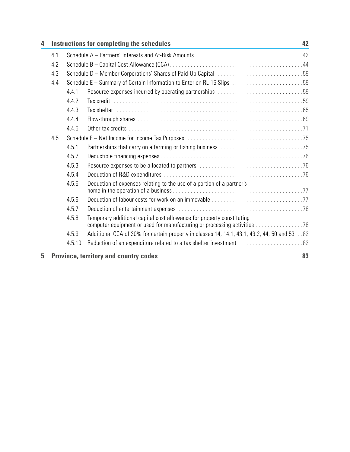| Instructions for completing the schedules |                                                                        |                                                                                                                                                   |    |
|-------------------------------------------|------------------------------------------------------------------------|---------------------------------------------------------------------------------------------------------------------------------------------------|----|
| 4.1                                       |                                                                        |                                                                                                                                                   |    |
| 4.2                                       |                                                                        |                                                                                                                                                   |    |
| 4.3                                       |                                                                        |                                                                                                                                                   |    |
| 4.4                                       | Schedule E - Summary of Certain Information to Enter on RL-15 Slips 59 |                                                                                                                                                   |    |
|                                           | 4.4.1                                                                  | Resource expenses incurred by operating partnerships 59                                                                                           |    |
|                                           | 4.4.2                                                                  |                                                                                                                                                   |    |
|                                           | 4.4.3                                                                  |                                                                                                                                                   |    |
|                                           | 4.4.4                                                                  |                                                                                                                                                   |    |
|                                           | 4.4.5                                                                  |                                                                                                                                                   |    |
| 4.5                                       |                                                                        |                                                                                                                                                   |    |
|                                           | 4.5.1                                                                  |                                                                                                                                                   |    |
|                                           | 4.5.2                                                                  |                                                                                                                                                   |    |
|                                           | 4.5.3                                                                  |                                                                                                                                                   |    |
|                                           | 4.5.4                                                                  |                                                                                                                                                   |    |
|                                           | 4.5.5                                                                  | Deduction of expenses relating to the use of a portion of a partner's                                                                             |    |
|                                           | 4.5.6                                                                  |                                                                                                                                                   |    |
|                                           | 4.5.7                                                                  |                                                                                                                                                   |    |
|                                           | 4.5.8                                                                  | Temporary additional capital cost allowance for property constituting<br>computer equipment or used for manufacturing or processing activities 78 |    |
|                                           | 4.5.9                                                                  | Additional CCA of 30% for certain property in classes 14, 14.1, 43.1, 43.2, 44, 50 and 53 . 82                                                    |    |
|                                           | 4.5.10                                                                 |                                                                                                                                                   |    |
|                                           |                                                                        | <b>Province, territory and country codes</b>                                                                                                      | 83 |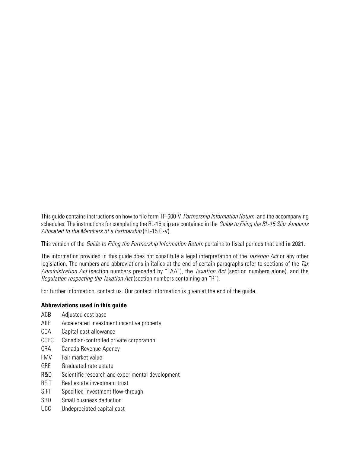This guide contains instructions on how to file form TP-600-V, Partnership Information Return, and the accompanying schedules. The instructions for completing the RL-15 slip are contained in the Guide to Filing the RL-15 Slip: Amounts Allocated to the Members of a Partnership (RL-15.G-V).

This version of the Guide to Filing the Partnership Information Return pertains to fiscal periods that end **in 2021**.

The information provided in this guide does not constitute a legal interpretation of the Taxation Act or any other legislation. The numbers and abbreviations in italics at the end of certain paragraphs refer to sections of the Tax Administration Act (section numbers preceded by "TAA"), the Taxation Act (section numbers alone), and the Regulation respecting the Taxation Act (section numbers containing an "R").

For further information, contact us. Our contact information is given at the end of the guide.

#### **Abbreviations used in this guide**

- ACB Adjusted cost base
- AIIP Accelerated investment incentive property
- CCA Capital cost allowance
- CCPC Canadian-controlled private corporation
- CRA Canada Revenue Agency
- FMV Fair market value
- GRE Graduated rate estate
- R&D Scientific research and experimental development
- REIT Real estate investment trust
- SIFT Specified investment flow-through
- SBD Small business deduction
- UCC Undepreciated capital cost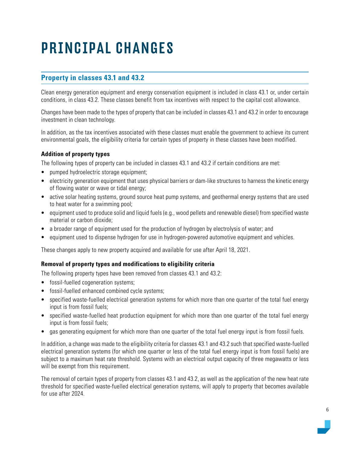## <span id="page-5-0"></span>PRINCIPAL CHANGES

## **Property in classes 43.1 and 43.2**

Clean energy generation equipment and energy conservation equipment is included in class 43.1 or, under certain conditions, in class 43.2. These classes benefit from tax incentives with respect to the capital cost allowance.

Changes have been made to the types of property that can be included in classes 43.1 and 43.2 in order to encourage investment in clean technology.

In addition, as the tax incentives associated with these classes must enable the government to achieve its current environmental goals, the eligibility criteria for certain types of property in these classes have been modified.

#### **Addition of property types**

The following types of property can be included in classes 43.1 and 43.2 if certain conditions are met:

- pumped hydroelectric storage equipment;
- electricity generation equipment that uses physical barriers or dam-like structures to harness the kinetic energy of flowing water or wave or tidal energy;
- active solar heating systems, ground source heat pump systems, and geothermal energy systems that are used to heat water for a swimming pool;
- equipment used to produce solid and liquid fuels (e.g., wood pellets and renewable diesel) from specified waste material or carbon dioxide;
- a broader range of equipment used for the production of hydrogen by electrolysis of water; and
- equipment used to dispense hydrogen for use in hydrogen-powered automotive equipment and vehicles.

These changes apply to new property acquired and available for use after April 18, 2021.

#### **Removal of property types and modifications to eligibility criteria**

The following property types have been removed from classes 43.1 and 43.2:

- fossil-fuelled cogeneration systems;
- fossil-fuelled enhanced combined cycle systems;
- specified waste-fuelled electrical generation systems for which more than one quarter of the total fuel energy input is from fossil fuels;
- specified waste-fuelled heat production equipment for which more than one quarter of the total fuel energy input is from fossil fuels;
- gas generating equipment for which more than one quarter of the total fuel energy input is from fossil fuels.

In addition, a change was made to the eligibility criteria for classes 43.1 and 43.2 such that specified waste-fuelled electrical generation systems (for which one quarter or less of the total fuel energy input is from fossil fuels) are subject to a maximum heat rate threshold. Systems with an electrical output capacity of three megawatts or less will be exempt from this requirement.

The removal of certain types of property from classes 43.1 and 43.2, as well as the application of the new heat rate threshold for specified waste-fuelled electrical generation systems, will apply to property that becomes available for use after 2024.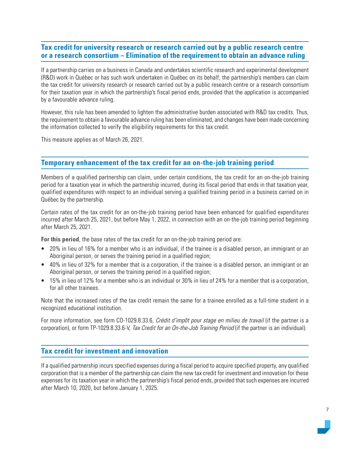## **Tax credit for university research or research carried out by a public research centre or a research consortium – Elimination of the requirement to obtain an advance ruling**

If a partnership carries on a business in Canada and undertakes scientific research and experimental development (R&D) work in Québec or has such work undertaken in Québec on its behalf, the partnership's members can claim the tax credit for university research or research carried out by a public research centre or a research consortium for their taxation year in which the partnership's fiscal period ends, provided that the application is accompanied by a favourable advance ruling.

However, this rule has been amended to lighten the administrative burden associated with R&D tax credits. Thus, the requirement to obtain a favourable advance ruling has been eliminated, and changes have been made concerning the information collected to verify the eligibility requirements for this tax credit.

This measure applies as of March 26, 2021.

### **Temporary enhancement of the tax credit for an on-the-job training period**

Members of a qualified partnership can claim, under certain conditions, the tax credit for an on-the-job training period for a taxation year in which the partnership incurred, during its fiscal period that ends in that taxation year, qualified expenditures with respect to an individual serving a qualified training period in a business carried on in Québec by the partnership.

Certain rates of the tax credit for an on-the-job training period have been enhanced for qualified expenditures incurred after March 25, 2021, but before May 1, 2022, in connection with an on-the-job training period beginning after March 25, 2021.

**For this period**, the base rates of the tax credit for an on-the-job training period are:

- 20% in lieu of 16% for a member who is an individual, if the trainee is a disabled person, an immigrant or an Aboriginal person, or serves the training period in a qualified region;
- 40% in lieu of 32% for a member that is a corporation, if the trainee is a disabled person, an immigrant or an Aboriginal person, or serves the training period in a qualified region;
- 15% in lieu of 12% for a member who is an individual or 30% in lieu of 24% for a member that is a corporation, for all other trainees.

Note that the increased rates of the tax credit remain the same for a trainee enrolled as a full-time student in a recognized educational institution.

For more information, see form CO-1029.8.33.6, Crédit d'impôt pour stage en milieu de travail (if the partner is a corporation), or form TP-1029.8.33.6-V, Tax Credit for an On-the-Job Training Period (if the partner is an individual).

### **Tax credit for investment and innovation**

If a qualified partnership incurs specified expenses during a fiscal period to acquire specified property, any qualified corporation that is a member of the partnership can claim the new tax credit for investment and innovation for these expenses for its taxation year in which the partnership's fiscal period ends, provided that such expenses are incurred after March 10, 2020, but before January 1, 2025.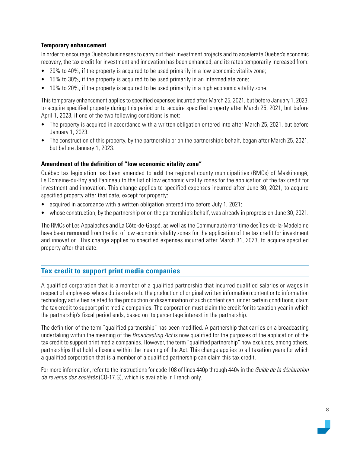#### **Temporary enhancement**

In order to encourage Quebec businesses to carry out their investment projects and to accelerate Quebec's economic recovery, the tax credit for investment and innovation has been enhanced, and its rates temporarily increased from:

- 20% to 40%, if the property is acquired to be used primarily in a low economic vitality zone;
- 15% to 30%, if the property is acquired to be used primarily in an intermediate zone;
- 10% to 20%, if the property is acquired to be used primarily in a high economic vitality zone.

This temporary enhancement applies to specified expenses incurred after March 25, 2021, but before January 1, 2023, to acquire specified property during this period or to acquire specified property after March 25, 2021, but before April 1, 2023, if one of the two following conditions is met:

- The property is acquired in accordance with a written obligation entered into after March 25, 2021, but before January 1, 2023.
- The construction of this property, by the partnership or on the partnership's behalf, began after March 25, 2021, but before January 1, 2023.

#### **Amendment of the definition of "low economic vitality zone"**

Québec tax legislation has been amended to **add** the regional county municipalities (RMCs) of Maskinongé, Le Domaine-du-Roy and Papineau to the list of low economic vitality zones for the application of the tax credit for investment and innovation. This change applies to specified expenses incurred after June 30, 2021, to acquire specified property after that date, except for property:

- acquired in accordance with a written obligation entered into before July 1, 2021;
- whose construction, by the partnership or on the partnership's behalf, was already in progress on June 30, 2021.

The RMCs of Les Appalaches and La Côte-de-Gaspé, as well as the Communauté maritime des Îles-de-la-Madeleine have been **removed** from the list of low economic vitality zones for the application of the tax credit for investment and innovation. This change applies to specified expenses incurred after March 31, 2023, to acquire specified property after that date.

## **Tax credit to support print media companies**

A qualified corporation that is a member of a qualified partnership that incurred qualified salaries or wages in respect of employees whose duties relate to the production of original written information content or to information technology activities related to the production or dissemination of such content can, under certain conditions, claim the tax credit to support print media companies. The corporation must claim the credit for its taxation year in which the partnership's fiscal period ends, based on its percentage interest in the partnership.

The definition of the term "qualified partnership" has been modified. A partnership that carries on a broadcasting undertaking within the meaning of the *Broadcasting Act* is now qualified for the purposes of the application of the tax credit to support print media companies. However, the term "qualified partnership" now excludes, among others, partnerships that hold a licence within the meaning of the Act. This change applies to all taxation years for which a qualified corporation that is a member of a qualified partnership can claim this tax credit.

For more information, refer to the instructions for code 108 of lines 440p through 440y in the Guide de la déclaration de revenus des sociétés (CO-17.G), which is available in French only.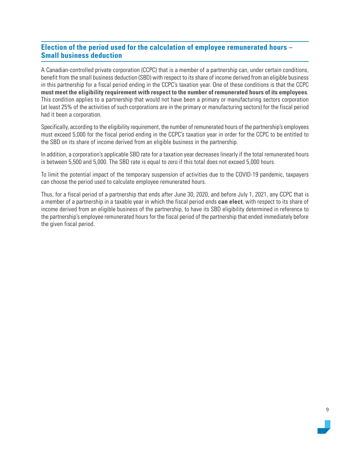## **Election of the period used for the calculation of employee remunerated hours – Small business deduction**

A Canadian-controlled private corporation (CCPC) that is a member of a partnership can, under certain conditions, benefit from the small business deduction (SBD) with respect to its share of income derived from an eligible business in this partnership for a fiscal period ending in the CCPC's taxation year. One of these conditions is that the CCPC **must meet the eligibility requirement with respect to the number of remunerated hours of its employees**. This condition applies to a partnership that would not have been a primary or manufacturing sectors corporation (at least 25% of the activities of such corporations are in the primary or manufacturing sectors) for the fiscal period had it been a corporation.

Specifically, according to the eligibility requirement, the number of remunerated hours of the partnership's employees must exceed 5,000 for the fiscal period ending in the CCPC's taxation year in order for the CCPC to be entitled to the SBD on its share of income derived from an eligible business in the partnership.

In addition, a corporation's applicable SBD rate for a taxation year decreases linearly if the total remunerated hours is between 5,500 and 5,000. The SBD rate is equal to zero if this total does not exceed 5,000 hours.

To limit the potential impact of the temporary suspension of activities due to the COVID-19 pandemic, taxpayers can choose the period used to calculate employee remunerated hours.

Thus, for a fiscal period of a partnership that ends after June 30, 2020, and before July 1, 2021, any CCPC that is a member of a partnership in a taxable year in which the fiscal period ends **can elect**, with respect to its share of income derived from an eligible business of the partnership, to have its SBD eligibility determined in reference to the partnership's employee remunerated hours for the fiscal period of the partnership that ended immediately before the given fiscal period.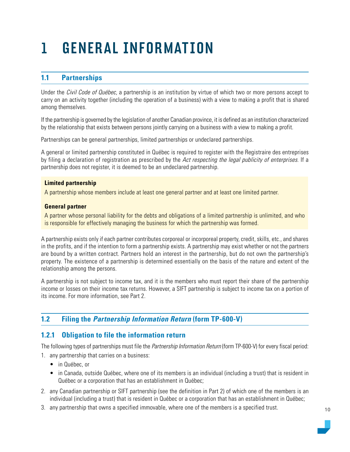## <span id="page-9-0"></span>1 GENERAL INFORMATION

## **1.1 Partnerships**

Under the Civil Code of Québec, a partnership is an institution by virtue of which two or more persons accept to carry on an activity together (including the operation of a business) with a view to making a profit that is shared among themselves.

If the partnership is governed by the legislation of another Canadian province, it is defined as an institution characterized by the relationship that exists between persons jointly carrying on a business with a view to making a profit.

Partnerships can be general partnerships, limited partnerships or undeclared partnerships.

A general or limited partnership constituted in Québec is required to register with the Registraire des entreprises by filing a declaration of registration as prescribed by the Act respecting the legal publicity of enterprises. If a partnership does not register, it is deemed to be an undeclared partnership.

#### **Limited partnership**

A partnership whose members include at least one general partner and at least one limited partner.

#### **General partner**

A partner whose personal liability for the debts and obligations of a limited partnership is unlimited, and who is responsible for effectively managing the business for which the partnership was formed.

A partnership exists only if each partner contributes corporeal or incorporeal property, credit, skills, etc., and shares in the profits, and if the intention to form a partnership exists. A partnership may exist whether or not the partners are bound by a written contract. Partners hold an interest in the partnership, but do not own the partnership's property. The existence of a partnership is determined essentially on the basis of the nature and extent of the relationship among the persons.

A partnership is not subject to income tax, and it is the members who must report their share of the partnership income or losses on their income tax returns. However, a SIFT partnership is subject to income tax on a portion of its income. For more information, see Part 2.

## **1.2 Filing the Partnership Information Return (form TP-600-V)**

## **1.2.1 Obligation to file the information return**

The following types of partnerships must file the *Partnership Information Return* (form TP-600-V) for every fiscal period:

- 1. any partnership that carries on a business:
	- in Québec, or
	- in Canada, outside Québec, where one of its members is an individual (including a trust) that is resident in Québec or a corporation that has an establishment in Québec;
- 2. any Canadian partnership or SIFT partnership (see the definition in Part 2) of which one of the members is an individual (including a trust) that is resident in Québec or a corporation that has an establishment in Québec;
- 3. any partnership that owns a specified immovable, where one of the members is a specified trust.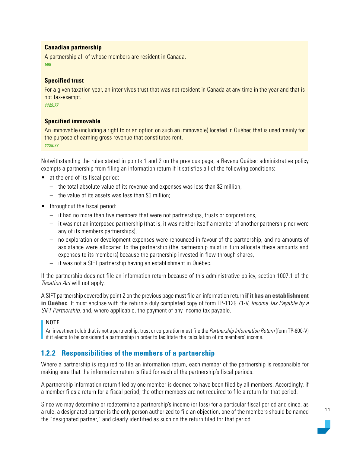#### <span id="page-10-0"></span>**Canadian partnership**

A partnership all of whose members are resident in Canada. *599*

#### **Specified trust**

For a given taxation year, an inter vivos trust that was not resident in Canada at any time in the year and that is not tax-exempt.

*1129.77*

#### **Specified immovable**

An immovable (including a right to or an option on such an immovable) located in Québec that is used mainly for the purpose of earning gross revenue that constitutes rent. *1129.77*

Notwithstanding the rules stated in points 1 and 2 on the previous page, a Revenu Québec administrative policy exempts a partnership from filing an information return if it satisfies all of the following conditions:

- at the end of its fiscal period:
	- the total absolute value of its revenue and expenses was less than \$2 million,
	- the value of its assets was less than \$5 million;
- throughout the fiscal period:
	- it had no more than five members that were not partnerships, trusts or corporations,
	- it was not an interposed partnership (that is, it was neither itself a member of another partnership nor were any of its members partnerships),
	- no exploration or development expenses were renounced in favour of the partnership, and no amounts of assistance were allocated to the partnership (the partnership must in turn allocate these amounts and expenses to its members) because the partnership invested in flow-through shares,
	- it was not a SIFT partnership having an establishment in Québec.

If the partnership does not file an information return because of this administrative policy, section 1007.1 of the Taxation Act will not apply.

A SIFT partnership covered by point 2 on the previous page must file an information return **if it has an establishment in Québec**. It must enclose with the return a duly completed copy of form TP-1129.71-V, Income Tax Payable by a SIFT Partnership, and, where applicable, the payment of any income tax payable.

#### NOTE

An investment club that is not a partnership, trust or corporation must file the Partnership Information Return (form TP-600-V) if it elects to be considered a partnership in order to facilitate the calculation of its members' income.

## **1.2.2 Responsibilities of the members of a partnership**

Where a partnership is required to file an information return, each member of the partnership is responsible for making sure that the information return is filed for each of the partnership's fiscal periods.

A partnership information return filed by one member is deemed to have been filed by all members. Accordingly, if a member files a return for a fiscal period, the other members are not required to file a return for that period.

Since we may determine or redetermine a partnership's income (or loss) for a particular fiscal period and since, as a rule, a designated partner is the only person authorized to file an objection, one of the members should be named the "designated partner," and clearly identified as such on the return filed for that period.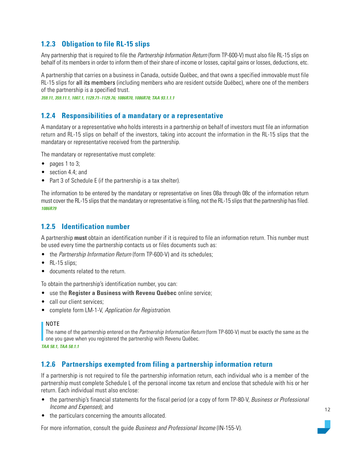## <span id="page-11-0"></span>**1.2.3 Obligation to file RL-15 slips**

Any partnership that is required to file the *Partnership Information Return* (form TP-600-V) must also file RL-15 slips on behalf of its members in order to inform them of their share of income or losses, capital gains or losses, deductions, etc.

A partnership that carries on a business in Canada, outside Québec, and that owns a specified immovable must file RL-15 slips for all its members (including members who are resident outside Québec), where one of the members of the partnership is a specified trust.

*359.11, 359.11.1, 1007.1, 1129.71–1129.76; 1086R70, 1086R78; TAA 93.1.1.1*

## **1.2.4 Responsibilities of a mandatary or a representative**

A mandatary or a representative who holds interests in a partnership on behalf of investors must file an information return and RL-15 slips on behalf of the investors, taking into account the information in the RL-15 slips that the mandatary or representative received from the partnership.

The mandatary or representative must complete:

- pages 1 to 3;
- section 4.4; and
- Part 3 of Schedule E (if the partnership is a tax shelter).

The information to be entered by the mandatary or representative on lines 08a through 08c of the information return must cover the RL-15 slips that the mandatary or representative is filing, not the RL-15 slips that the partnership has filed. *1086R79*

### **1.2.5 Identification number**

A partnership **must** obtain an identification number if it is required to file an information return. This number must be used every time the partnership contacts us or files documents such as:

- the Partnership Information Return (form TP-600-V) and its schedules;
- RL-15 slips;
- documents related to the return.

To obtain the partnership's identification number, you can:

- use the **Register a Business with Revenu Québec** online service;
- call our client services:
- complete form LM-1-V, Application for Registration.

#### NOTE

The name of the partnership entered on the *Partnership Information Return* (form TP-600-V) must be exactly the same as the one you gave when you registered the partnership with Revenu Québec.

*TAA 58.1, TAA 58.1.1*

## **1.2.6 Partnerships exempted from filing a partnership information return**

If a partnership is not required to file the partnership information return, each individual who is a member of the partnership must complete Schedule L of the personal income tax return and enclose that schedule with his or her return. Each individual must also enclose:

- the partnership's financial statements for the fiscal period (or a copy of form TP-80-V, Business or Professional Income and Expenses); and
- the particulars concerning the amounts allocated.

For more information, consult the guide Business and Professional Income (IN-155-V).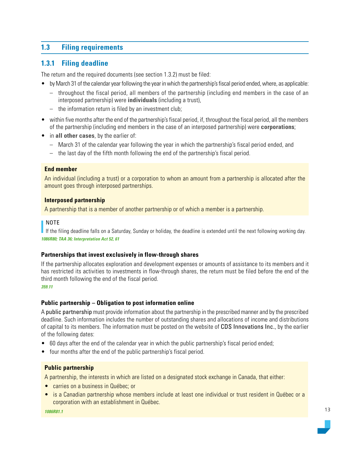## <span id="page-12-0"></span>**1.3 Filing requirements**

## **1.3.1 Filing deadline**

The return and the required documents (see section 1.3.2) must be filed:

- by March 31 of the calendar year following the year in which the partnership's fiscal period ended, where, as applicable:
	- throughout the fiscal period, all members of the partnership (including end members in the case of an interposed partnership) were **individuals** (including a trust),
	- the information return is filed by an investment club;
- within five months after the end of the partnership's fiscal period, if, throughout the fiscal period, all the members of the partnership (including end members in the case of an interposed partnership) were **corporations**;
- in **all other cases**, by the earlier of:
	- March 31 of the calendar year following the year in which the partnership's fiscal period ended, and
	- the last day of the fifth month following the end of the partnership's fiscal period.

#### **End member**

An individual (including a trust) or a corporation to whom an amount from a partnership is allocated after the amount goes through interposed partnerships.

#### **Interposed partnership**

A partnership that is a member of another partnership or of which a member is a partnership.

#### NOTE

If the filing deadline falls on a Saturday, Sunday or holiday, the deadline is extended until the next following working day. *1086R80; TAA 36; Interpretation Act 52, 61*

#### **Partnerships that invest exclusively in flow-through shares**

If the partnership allocates exploration and development expenses or amounts of assistance to its members and it has restricted its activities to investments in flow-through shares, the return must be filed before the end of the third month following the end of the fiscal period.

#### *359.11*

#### **Public partnership – Obligation to post information online**

A public partnership must provide information about the partnership in the prescribed manner and by the prescribed deadline. Such information includes the number of outstanding shares and allocations of income and distributions of capital to its members. The information must be posted on the website of [CDS Innovations Inc.](https://www.cds.ca/cds-services/cds-innovations), by the earlier of the following dates:

- 60 days after the end of the calendar year in which the public partnership's fiscal period ended;
- four months after the end of the public partnership's fiscal period.

#### **Public partnership**

A partnership, the interests in which are listed on a designated stock exchange in Canada, that either:

- carries on a business in Québec; or
- is a Canadian partnership whose members include at least one individual or trust resident in Québec or a corporation with an establishment in Québec.

*1086R81.1*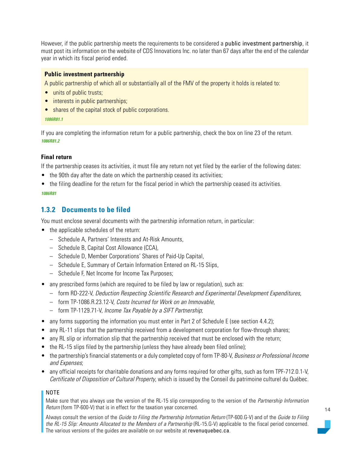<span id="page-13-0"></span>However, if the public partnership meets the requirements to be considered a public investment partnership, it must post its information on the website of CDS Innovations Inc. no later than 67 days after the end of the calendar year in which its fiscal period ended.

#### **Public investment partnership**

A public partnership of which all or substantially all of the FMV of the property it holds is related to:

- units of public trusts:
- interests in public partnerships:
- shares of the capital stock of public corporations.

#### *1086R81.1*

If you are completing the information return for a public partnership, check the box on line 23 of the return. *1086R81.2*

#### **Final return**

If the partnership ceases its activities, it must file any return not yet filed by the earlier of the following dates:

- the 90th day after the date on which the partnership ceased its activities;
- the filing deadline for the return for the fiscal period in which the partnership ceased its activities.

#### *1086R81*

## **1.3.2 Documents to be filed**

You must enclose several documents with the partnership information return, in particular:

- the applicable schedules of the return:
	- Schedule A, Partners' Interests and At-Risk Amounts,
	- Schedule B, Capital Cost Allowance (CCA),
	- Schedule D, Member Corporations' Shares of Paid-Up Capital,
	- Schedule E, Summary of Certain Information Entered on RL-15 Slips,
	- Schedule F, Net Income for Income Tax Purposes;
- any prescribed forms (which are required to be filed by law or regulation), such as:
	- form RD-222-V, Deduction Respecting Scientific Research and Experimental Development Expenditures,
	- form TP-1086.R.23.12-V, Costs Incurred for Work on an Immovable,
	- form TP-1129.71-V, Income Tax Payable by a SIFT Partnership;
- any forms supporting the information you must enter in Part 2 of Schedule E (see section 4.4.2);
- any RL-11 slips that the partnership received from a development corporation for flow-through shares;
- any RL slip or information slip that the partnership received that must be enclosed with the return;
- the RL-15 slips filed by the partnership (unless they have already been filed online);
- the partnership's financial statements or a duly completed copy of form TP-80-V, Business or Professional Income and Expenses;
- any official receipts for charitable donations and any forms required for other gifts, such as form TPF-712.0.1-V, Certificate of Disposition of Cultural Property, which is issued by the Conseil du patrimoine culturel du Québec.

#### NOTE

Make sure that you always use the version of the RL-15 slip corresponding to the version of the *Partnership Information* Return (form TP-600-V) that is in effect for the taxation year concerned.

Always consult the version of the Guide to Filing the Partnership Information Return (TP-600.G-V) and of the Guide to Filing the RL-15 Slip: Amounts Allocated to the Members of a Partnership (RL-15.G-V) applicable to the fiscal period concerned. The various versions of the guides are available on our website at [revenuquebec.ca](https://www.revenuquebec.ca/en/).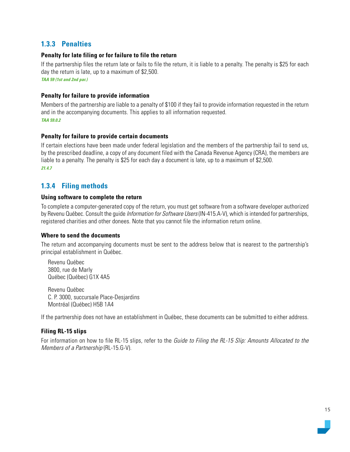## <span id="page-14-0"></span>**1.3.3 Penalties**

#### **Penalty for late filing or for failure to file the return**

If the partnership files the return late or fails to file the return, it is liable to a penalty. The penalty is \$25 for each day the return is late, up to a maximum of \$2,500.

*TAA 59 (1st and 2nd par.)*

#### **Penalty for failure to provide information**

Members of the partnership are liable to a penalty of \$100 if they fail to provide information requested in the return and in the accompanying documents. This applies to all information requested. *TAA 59.0.2*

#### **Penalty for failure to provide certain documents**

If certain elections have been made under federal legislation and the members of the partnership fail to send us, by the prescribed deadline, a copy of any document filed with the Canada Revenue Agency (CRA), the members are liable to a penalty. The penalty is \$25 for each day a document is late, up to a maximum of \$2,500. *21.4.7*

## **1.3.4 Filing methods**

#### **Using software to complete the return**

To complete a computer-generated copy of the return, you must get software from a software developer authorized by Revenu Québec. Consult the quide *Information for Software Users* (IN-415.A-V), which is intended for partnerships, registered charities and other donees. Note that you cannot file the information return online.

#### **Where to send the documents**

The return and accompanying documents must be sent to the address below that is nearest to the partnership's principal establishment in Québec.

Revenu Québec 3800, rue de Marly Québec (Québec) G1X 4A5

Revenu Québec C. P. 3000, succursale Place-Desjardins Montréal (Québec) H5B 1A4

If the partnership does not have an establishment in Québec, these documents can be submitted to either address.

#### **Filing RL-15 slips**

For information on how to file RL-15 slips, refer to the *Guide to Filing the RL-15 Slip: Amounts Allocated to the* Members of a Partnership (RL-15.G-V).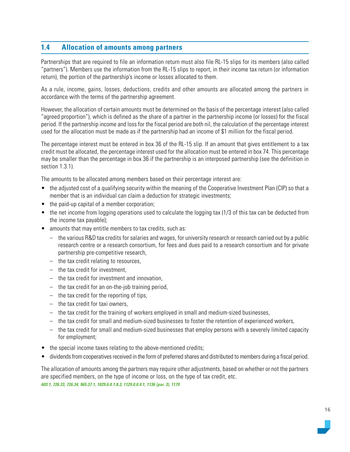## <span id="page-15-0"></span>**1.4 Allocation of amounts among partners**

Partnerships that are required to file an information return must also file RL-15 slips for its members (also called "partners"). Members use the information from the RL-15 slips to report, in their income tax return (or information return), the portion of the partnership's income or losses allocated to them.

As a rule, income, gains, losses, deductions, credits and other amounts are allocated among the partners in accordance with the terms of the partnership agreement.

However, the allocation of certain amounts must be determined on the basis of the percentage interest (also called "agreed proportion"), which is defined as the share of a partner in the partnership income (or losses) for the fiscal period. If the partnership income and loss for the fiscal period are both nil, the calculation of the percentage interest used for the allocation must be made as if the partnership had an income of \$1 million for the fiscal period.

The percentage interest must be entered in box 36 of the RL-15 slip. If an amount that gives entitlement to a tax credit must be allocated, the percentage interest used for the allocation must be entered in box 74. This percentage may be smaller than the percentage in box 36 if the partnership is an interposed partnership (see the definition in section 1.3.1).

The amounts to be allocated among members based on their percentage interest are:

- the adjusted cost of a qualifying security within the meaning of the Cooperative Investment Plan (CIP) so that a member that is an individual can claim a deduction for strategic investments;
- the paid-up capital of a member corporation;
- the net income from logging operations used to calculate the logging tax (1/3 of this tax can be deducted from the income tax payable);
- amounts that may entitle members to tax credits, such as:
	- the various R&D tax credits for salaries and wages, for university research or research carried out by a public research centre or a research consortium, for fees and dues paid to a research consortium and for private partnership pre-competitive research,
	- the tax credit relating to resources,
	- the tax credit for investment,
	- the tax credit for investment and innovation,
	- the tax credit for an on-the-job training period,
	- the tax credit for the reporting of tips,
	- the tax credit for taxi owners,
	- the tax credit for the training of workers employed in small and medium-sized businesses,
	- the tax credit for small and medium-sized businesses to foster the retention of experienced workers,
	- the tax credit for small and medium-sized businesses that employ persons with a severely limited capacity for employment;
- the special income taxes relating to the above-mentioned credits;
- dividends from cooperatives received in the form of preferred shares and distributed to members during a fiscal period.

The allocation of amounts among the partners may require other adjustments, based on whether or not the partners are specified members, on the type of income or loss, on the type of tax credit, etc. *603.1, 726.33, 726.34, 965.37.1, 1029.6.0.1.8.3, 1129.0.0.4.1, 1136 (par. 3), 1179*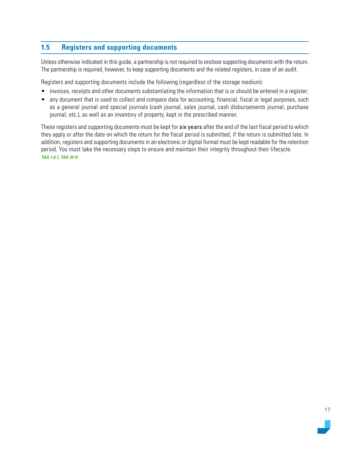## <span id="page-16-0"></span>**1.5 Registers and supporting documents**

Unless otherwise indicated in this guide, a partnership is not required to enclose supporting documents with the return. The partnership is required, however, to keep supporting documents and the related registers, in case of an audit.

Registers and supporting documents include the following (regardless of the storage medium):

- invoices, receipts and other documents substantiating the information that is or should be entered in a register;
- any document that is used to collect and compare data for accounting, financial, fiscal or legal purposes, such as a general journal and special journals (cash journal, sales journal, cash disbursements journal, purchase journal, etc.), as well as an inventory of property, kept in the prescribed manner.

These registers and supporting documents must be kept for six years after the end of the last fiscal period to which they apply or after the date on which the return for the fiscal period is submitted, if the return is submitted late. In addition, registers and supporting documents in an electronic or digital format must be kept readable for the retention period. You must take the necessary steps to ensure and maintain their integrity throughout their lifecycle. *TAA 1.0.1, TAA 34 ff.*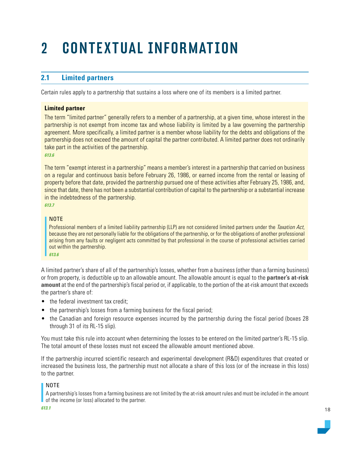## <span id="page-17-0"></span>2 CONTEXTUAL INFORMATION

## **2.1 Limited partners**

Certain rules apply to a partnership that sustains a loss where one of its members is a limited partner.

#### **Limited partner**

The term "limited partner" generally refers to a member of a partnership, at a given time, whose interest in the partnership is not exempt from income tax and whose liability is limited by a law governing the partnership agreement. More specifically, a limited partner is a member whose liability for the debts and obligations of the partnership does not exceed the amount of capital the partner contributed. A limited partner does not ordinarily take part in the activities of the partnership. *613.6*

The term "exempt interest in a partnership" means a member's interest in a partnership that carried on business on a regular and continuous basis before February 26, 1986, or earned income from the rental or leasing of property before that date, provided the partnership pursued one of these activities after February 25, 1986, and, since that date, there has not been a substantial contribution of capital to the partnership or a substantial increase in the indebtedness of the partnership.

*613.7*

#### NOTE

Professional members of a limited liability partnership (LLP) are not considered limited partners under the Taxation Act, because they are not personally liable for the obligations of the partnership, or for the obligations of another professional arising from any faults or negligent acts committed by that professional in the course of professional activities carried out within the partnership.

*613.6*

A limited partner's share of all of the partnership's losses, whether from a business (other than a farming business) or from property, is deductible up to an allowable amount. The allowable amount is equal to the **partner's at-risk amount** at the end of the partnership's fiscal period or, if applicable, to the portion of the at-risk amount that exceeds the partner's share of:

- the federal investment tax credit:
- the partnership's losses from a farming business for the fiscal period;
- the Canadian and foreign resource expenses incurred by the partnership during the fiscal period (boxes 28 through 31 of its RL-15 slip).

You must take this rule into account when determining the losses to be entered on the limited partner's RL-15 slip. The total amount of these losses must not exceed the allowable amount mentioned above.

If the partnership incurred scientific research and experimental development (R&D) expenditures that created or increased the business loss, the partnership must not allocate a share of this loss (or of the increase in this loss) to the partner.

#### NOTE

A partnership's losses from a farming business are not limited by the at-risk amount rules and must be included in the amount of the income (or loss) allocated to the partner.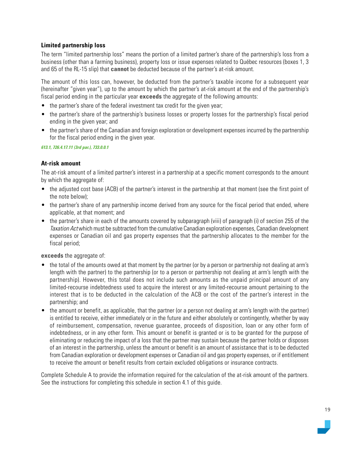#### **Limited partnership loss**

The term "limited partnership loss" means the portion of a limited partner's share of the partnership's loss from a business (other than a farming business), property loss or issue expenses related to Québec resources (boxes 1, 3 and 65 of the RL-15 slip) that **cannot** be deducted because of the partner's at-risk amount.

The amount of this loss can, however, be deducted from the partner's taxable income for a subsequent year (hereinafter "given year"), up to the amount by which the partner's at-risk amount at the end of the partnership's fiscal period ending in the particular year **exceeds** the aggregate of the following amounts:

- the partner's share of the federal investment tax credit for the given year;
- the partner's share of the partnership's business losses or property losses for the partnership's fiscal period ending in the given year; and
- the partner's share of the Canadian and foreign exploration or development expenses incurred by the partnership for the fiscal period ending in the given year.

*613.1, 726.4.17.11 (3rd par.), 733.0.0.1*

#### **At-risk amount**

The at-risk amount of a limited partner's interest in a partnership at a specific moment corresponds to the amount by which the aggregate of:

- the adjusted cost base (ACB) of the partner's interest in the partnership at that moment (see the first point of the note below);
- the partner's share of any partnership income derived from any source for the fiscal period that ended, where applicable, at that moment; and
- the partner's share in each of the amounts covered by subparagraph (viii) of paragraph (i) of section 255 of the Taxation Act which must be subtracted from the cumulative Canadian exploration expenses, Canadian development expenses or Canadian oil and gas property expenses that the partnership allocates to the member for the fiscal period;

**exceeds** the aggregate of:

- the total of the amounts owed at that moment by the partner (or by a person or partnership not dealing at arm's length with the partner) to the partnership (or to a person or partnership not dealing at arm's length with the partnership). However, this total does not include such amounts as the unpaid principal amount of any limited-recourse indebtedness used to acquire the interest or any limited-recourse amount pertaining to the interest that is to be deducted in the calculation of the ACB or the cost of the partner's interest in the partnership; and
- the amount or benefit, as applicable, that the partner (or a person not dealing at arm's length with the partner) is entitled to receive, either immediately or in the future and either absolutely or contingently, whether by way of reimbursement, compensation, revenue guarantee, proceeds of disposition, loan or any other form of indebtedness, or in any other form. This amount or benefit is granted or is to be granted for the purpose of eliminating or reducing the impact of a loss that the partner may sustain because the partner holds or disposes of an interest in the partnership, unless the amount or benefit is an amount of assistance that is to be deducted from Canadian exploration or development expenses or Canadian oil and gas property expenses, or if entitlement to receive the amount or benefit results from certain excluded obligations or insurance contracts.

Complete Schedule A to provide the information required for the calculation of the at-risk amount of the partners. See the instructions for completing this schedule in section 4.1 of this guide.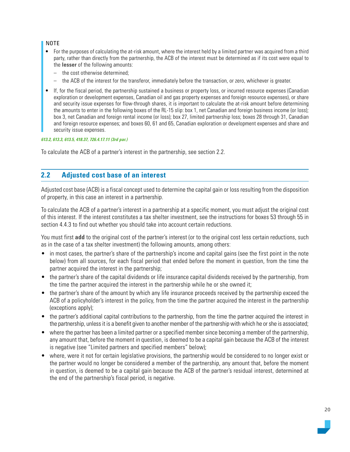#### <span id="page-19-0"></span>NOTE

- For the purposes of calculating the at-risk amount, where the interest held by a limited partner was acquired from a third party, rather than directly from the partnership, the ACB of the interest must be determined as if its cost were equal to the **lesser** of the following amounts:
	- the cost otherwise determined;
	- the ACB of the interest for the transferor, immediately before the transaction, or zero, whichever is greater.
- If, for the fiscal period, the partnership sustained a business or property loss, or incurred resource expenses (Canadian exploration or development expenses, Canadian oil and gas property expenses and foreign resource expenses), or share and security issue expenses for flow-through shares, it is important to calculate the at-risk amount before determining the amounts to enter in the following boxes of the RL-15 slip: box 1, net Canadian and foreign business income (or loss); box 3, net Canadian and foreign rental income (or loss); box 27, limited partnership loss; boxes 28 through 31, Canadian and foreign resource expenses; and boxes 60, 61 and 65, Canadian exploration or development expenses and share and security issue expenses.

#### *613.2, 613.3, 613.5, 418.37, 726.4.17.11 (3rd par.)*

To calculate the ACB of a partner's interest in the partnership, see section 2.2.

## **2.2 Adjusted cost base of an interest**

Adjusted cost base (ACB) is a fiscal concept used to determine the capital gain or loss resulting from the disposition of property, in this case an interest in a partnership.

To calculate the ACB of a partner's interest in a partnership at a specific moment, you must adjust the original cost of this interest. If the interest constitutes a tax shelter investment, see the instructions for boxes 53 through 55 in section 4.4.3 to find out whether you should take into account certain reductions.

You must first **add** to the original cost of the partner's interest (or to the original cost less certain reductions, such as in the case of a tax shelter investment) the following amounts, among others:

- in most cases, the partner's share of the partnership's income and capital gains (see the first point in the note below) from all sources, for each fiscal period that ended before the moment in question, from the time the partner acquired the interest in the partnership;
- the partner's share of the capital dividends or life insurance capital dividends received by the partnership, from the time the partner acquired the interest in the partnership while he or she owned it;
- the partner's share of the amount by which any life insurance proceeds received by the partnership exceed the ACB of a policyholder's interest in the policy, from the time the partner acquired the interest in the partnership (exceptions apply);
- the partner's additional capital contributions to the partnership, from the time the partner acquired the interest in the partnership, unless it is a benefit given to another member of the partnership with which he or she is associated;
- where the partner has been a limited partner or a specified member since becoming a member of the partnership, any amount that, before the moment in question, is deemed to be a capital gain because the ACB of the interest is negative (see "Limited partners and specified members" below);
- where, were it not for certain legislative provisions, the partnership would be considered to no longer exist or the partner would no longer be considered a member of the partnership, any amount that, before the moment in question, is deemed to be a capital gain because the ACB of the partner's residual interest, determined at the end of the partnership's fiscal period, is negative.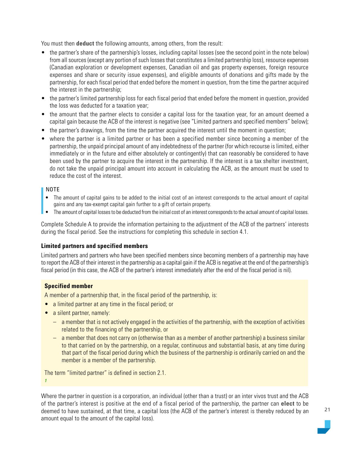You must then **deduct** the following amounts, among others, from the result:

- the partner's share of the partnership's losses, including capital losses (see the second point in the note below) from all sources (except any portion of such losses that constitutes a limited partnership loss), resource expenses (Canadian exploration or development expenses, Canadian oil and gas property expenses, foreign resource expenses and share or security issue expenses), and eligible amounts of donations and gifts made by the partnership, for each fiscal period that ended before the moment in question, from the time the partner acquired the interest in the partnership;
- the partner's limited partnership loss for each fiscal period that ended before the moment in question, provided the loss was deducted for a taxation year;
- the amount that the partner elects to consider a capital loss for the taxation year, for an amount deemed a capital gain because the ACB of the interest is negative (see "Limited partners and specified members" below);
- the partner's drawings, from the time the partner acquired the interest until the moment in question;
- where the partner is a limited partner or has been a specified member since becoming a member of the partnership, the unpaid principal amount of any indebtedness of the partner (for which recourse is limited, either immediately or in the future and either absolutely or contingently) that can reasonably be considered to have been used by the partner to acquire the interest in the partnership. If the interest is a tax shelter investment, do not take the unpaid principal amount into account in calculating the ACB, as the amount must be used to reduce the cost of the interest.

#### NOTE

- The amount of capital gains to be added to the initial cost of an interest corresponds to the actual amount of capital gains and any tax-exempt capital gain further to a gift of certain property.
- The amount of capital losses to be deducted from the initial cost of an interest corresponds to the actual amount of capital losses.

Complete Schedule A to provide the information pertaining to the adjustment of the ACB of the partners' interests during the fiscal period. See the instructions for completing this schedule in section 4.1.

#### **Limited partners and specified members**

Limited partners and partners who have been specified members since becoming members of a partnership may have to report the ACB of their interest in the partnership as a capital gain if the ACB is negative at the end of the partnership's fiscal period (in this case, the ACB of the partner's interest immediately after the end of the fiscal period is nil).

#### **Specified member**

A member of a partnership that, in the fiscal period of the partnership, is:

- a limited partner at any time in the fiscal period; or
- a silent partner, namely:
	- a member that is not actively engaged in the activities of the partnership, with the exception of activities related to the financing of the partnership, or
	- a member that does not carry on (otherwise than as a member of another partnership) a business similar to that carried on by the partnership, on a regular, continuous and substantial basis, at any time during that part of the fiscal period during which the business of the partnership is ordinarily carried on and the member is a member of the partnership.

The term "limited partner" is defined in section 2.1. *1*

Where the partner in question is a corporation, an individual (other than a trust) or an inter vivos trust and the ACB of the partner's interest is positive at the end of a fiscal period of the partnership, the partner can **elect** to be deemed to have sustained, at that time, a capital loss (the ACB of the partner's interest is thereby reduced by an amount equal to the amount of the capital loss).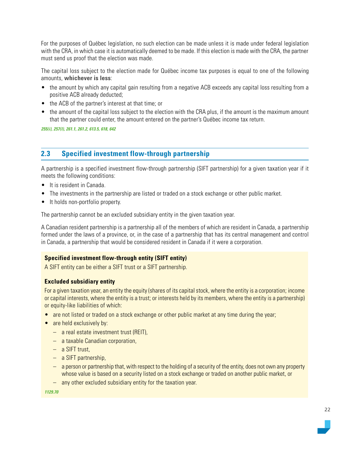<span id="page-21-0"></span>For the purposes of Québec legislation, no such election can be made unless it is made under federal legislation with the CRA, in which case it is automatically deemed to be made. If this election is made with the CRA, the partner must send us proof that the election was made.

The capital loss subject to the election made for Québec income tax purposes is equal to one of the following amounts, **whichever is less**:

- the amount by which any capital gain resulting from a negative ACB exceeds any capital loss resulting from a positive ACB already deducted;
- the ACB of the partner's interest at that time; or
- the amount of the capital loss subject to the election with the CRA plus, if the amount is the maximum amount that the partner could enter, the amount entered on the partner's Québec income tax return.

*255(i), 257(l), 261.1, 261.2, 613.5, 618, 642*

## **2.3 Specified investment flow-through partnership**

A partnership is a specified investment flow-through partnership (SIFT partnership) for a given taxation year if it meets the following conditions:

- It is resident in Canada.
- The investments in the partnership are listed or traded on a stock exchange or other public market.
- It holds non-portfolio property.

The partnership cannot be an excluded subsidiary entity in the given taxation year.

A Canadian resident partnership is a partnership all of the members of which are resident in Canada, a partnership formed under the laws of a province, or, in the case of a partnership that has its central management and control in Canada, a partnership that would be considered resident in Canada if it were a corporation.

#### **Specified investment flow-through entity (SIFT entity)**

A SIFT entity can be either a SIFT trust or a SIFT partnership.

#### **Excluded subsidiary entity**

For a given taxation year, an entity the equity (shares of its capital stock, where the entity is a corporation; income or capital interests, where the entity is a trust; or interests held by its members, where the entity is a partnership) or equity-like liabilities of which:

- are not listed or traded on a stock exchange or other public market at any time during the year;
- are held exclusively by:
	- a real estate investment trust (REIT),
	- a taxable Canadian corporation,
	- a SIFT trust,
	- a SIFT partnership,
	- a person or partnership that, with respect to the holding of a security of the entity, does not own any property whose value is based on a security listed on a stock exchange or traded on another public market, or
	- any other excluded subsidiary entity for the taxation year.

*1129.70*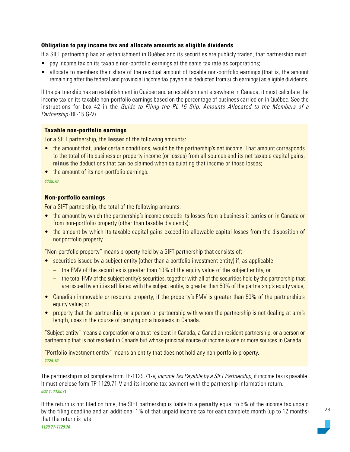#### **Obligation to pay income tax and allocate amounts as eligible dividends**

If a SIFT partnership has an establishment in Québec and its securities are publicly traded, that partnership must:

- pay income tax on its taxable non-portfolio earnings at the same tax rate as corporations;
- allocate to members their share of the residual amount of taxable non-portfolio earnings (that is, the amount remaining after the federal and provincial income tax payable is deducted from such earnings) as eligible dividends.

If the partnership has an establishment in Québec and an establishment elsewhere in Canada, it must calculate the income tax on its taxable non-portfolio earnings based on the percentage of business carried on in Québec. See the instructions for box 42 in the Guide to Filing the RL-15 Slip: Amounts Allocated to the Members of a Partnership (RL-15.G-V).

#### **Taxable non-portfolio earnings**

For a SIFT partnership, the **lesser** of the following amounts:

- the amount that, under certain conditions, would be the partnership's net income. That amount corresponds to the total of its business or property income (or losses) from all sources and its net taxable capital gains, **minus** the deductions that can be claimed when calculating that income or those losses;
- the amount of its non-portfolio earnings.

#### *1129.70*

#### **Non-portfolio earnings**

For a SIFT partnership, the total of the following amounts:

- the amount by which the partnership's income exceeds its losses from a business it carries on in Canada or from non-portfolio property (other than taxable dividends);
- the amount by which its taxable capital gains exceed its allowable capital losses from the disposition of nonportfolio property.

"Non-portfolio property" means property held by a SIFT partnership that consists of:

- securities issued by a subject entity (other than a portfolio investment entity) if, as applicable:
	- the FMV of the securities is greater than 10% of the equity value of the subject entity, or
	- the total FMV of the subject entity's securities, together with all of the securities held by the partnership that are issued by entities affiliated with the subject entity, is greater than 50% of the partnership's equity value;
- Canadian immovable or resource property, if the property's FMV is greater than 50% of the partnership's equity value; or
- property that the partnership, or a person or partnership with whom the partnership is not dealing at arm's length, uses in the course of carrying on a business in Canada.

"Subject entity" means a corporation or a trust resident in Canada, a Canadian resident partnership, or a person or partnership that is not resident in Canada but whose principal source of income is one or more sources in Canada.

"Portfolio investment entity" means an entity that does not hold any non-portfolio property. *1129.70*

The partnership must complete form TP-1129.71-V, Income Tax Payable by a SIFT Partnership, if income tax is payable. It must enclose form TP-1129.71-V and its income tax payment with the partnership information return. *603.1, 1129.71*

If the return is not filed on time, the SIFT partnership is liable to a **penalty** equal to 5% of the income tax unpaid by the filing deadline and an additional 1% of that unpaid income tax for each complete month (up to 12 months) that the return is late.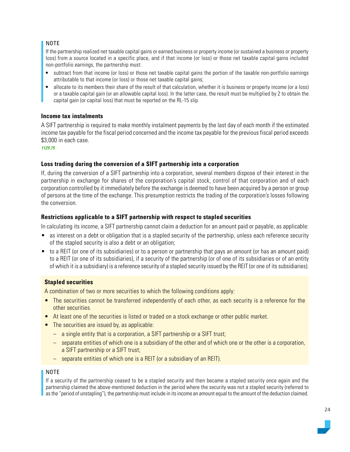#### NOTE

If the partnership realized net taxable capital gains or earned business or property income (or sustained a business or property loss) from a source located in a specific place, and if that income (or loss) or those net taxable capital gains included non-portfolio earnings, the partnership must:

- subtract from that income (or loss) or those net taxable capital gains the portion of the taxable non-portfolio earnings attributable to that income (or loss) or those net taxable capital gains;
- allocate to its members their share of the result of that calculation, whether it is business or property income (or a loss) or a taxable capital gain (or an allowable capital loss). In the latter case, the result must be multiplied by 2 to obtain the capital gain (or capital loss) that must be reported on the RL-15 slip.

#### **Income tax instalments**

A SIFT partnership is required to make monthly instalment payments by the last day of each month if the estimated income tax payable for the fiscal period concerned and the income tax payable for the previous fiscal period exceeds \$3,000 in each case.

*1129.75*

#### **Loss trading during the conversion of a SIFT partnership into a corporation**

If, during the conversion of a SIFT partnership into a corporation, several members dispose of their interest in the partnership in exchange for shares of the corporation's capital stock, control of that corporation and of each corporation controlled by it immediately before the exchange is deemed to have been acquired by a person or group of persons at the time of the exchange. This presumption restricts the trading of the corporation's losses following the conversion.

#### **Restrictions applicable to a SIFT partnership with respect to stapled securities**

In calculating its income, a SIFT partnership cannot claim a deduction for an amount paid or payable, as applicable:

- as interest on a debt or obligation that is a stapled security of the partnership, unless each reference security of the stapled security is also a debt or an obligation;
- to a REIT (or one of its subsidiaries) or to a person or partnership that pays an amount (or has an amount paid) to a REIT (or one of its subsidiaries), if a security of the partnership (or of one of its subsidiaries or of an entity of which it is a subsidiary) is a reference security of a stapled security issued by the REIT (or one of its subsidiaries).

#### **Stapled securities**

A combination of two or more securities to which the following conditions apply:

- The securities cannot be transferred independently of each other, as each security is a reference for the other securities.
- At least one of the securities is listed or traded on a stock exchange or other public market.
- The securities are issued by, as applicable:
	- a single entity that is a corporation, a SIFT partnership or a SIFT trust;
	- separate entities of which one is a subsidiary of the other and of which one or the other is a corporation, a SIFT partnership or a SIFT trust;
	- separate entities of which one is a REIT (or a subsidiary of an REIT).

#### NOTE

If a security of the partnership ceased to be a stapled security and then became a stapled security once again and the partnership claimed the above-mentioned deduction in the period where the security was not a stapled security (referred to as the "period of unstapling"), the partnership must include in its income an amount equal to the amount of the deduction claimed.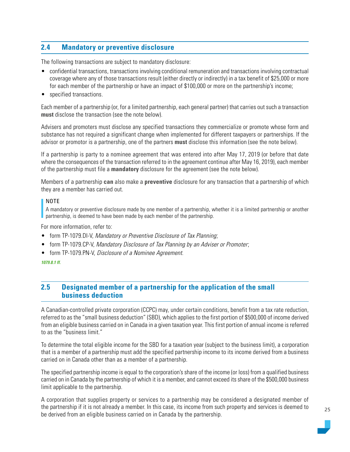## <span id="page-24-0"></span>**2.4 Mandatory or preventive disclosure**

The following transactions are subject to mandatory disclosure:

- confidential transactions, transactions involving conditional remuneration and transactions involving contractual coverage where any of those transactions result (either directly or indirectly) in a tax benefit of \$25,000 or more for each member of the partnership or have an impact of \$100,000 or more on the partnership's income;
- specified transactions.

Each member of a partnership (or, for a limited partnership, each general partner) that carries out such a transaction **must** disclose the transaction (see the note below).

Advisers and promoters must disclose any specified transactions they commercialize or promote whose form and substance has not required a significant change when implemented for different taxpayers or partnerships. If the advisor or promotor is a partnership, one of the partners **must** disclose this information (see the note below).

If a partnership is party to a nominee agreement that was entered into after May 17, 2019 (or before that date where the consequences of the transaction referred to in the agreement continue after May 16, 2019), each member of the partnership must file a **mandatory** disclosure for the agreement (see the note below).

Members of a partnership **can** also make a **preventive** disclosure for any transaction that a partnership of which they are a member has carried out.

#### NOTE

A mandatory or preventive disclosure made by one member of a partnership, whether it is a limited partnership or another partnership, is deemed to have been made by each member of the partnership.

For more information, refer to:

- form TP-1079.DI-V, Mandatory or Preventive Disclosure of Tax Planning;
- form TP-1079.CP-V, Mandatory Disclosure of Tax Planning by an Adviser or Promoter;
- form TP-1079.PN-V, Disclosure of a Nominee Agreement.

## **2.5 Designated member of a partnership for the application of the small business deduction**

A Canadian-controlled private corporation (CCPC) may, under certain conditions, benefit from a tax rate reduction, referred to as the "small business deduction" (SBD), which applies to the first portion of \$500,000 of income derived from an eligible business carried on in Canada in a given taxation year. This first portion of annual income is referred to as the "business limit."

To determine the total eligible income for the SBD for a taxation year (subject to the business limit), a corporation that is a member of a partnership must add the specified partnership income to its income derived from a business carried on in Canada other than as a member of a partnership.

The specified partnership income is equal to the corporation's share of the income (or loss) from a qualified business carried on in Canada by the partnership of which it is a member, and cannot exceed its share of the \$500,000 business limit applicable to the partnership.

A corporation that supplies property or services to a partnership may be considered a designated member of the partnership if it is not already a member. In this case, its income from such property and services is deemed to be derived from an eligible business carried on in Canada by the partnership.

*<sup>1079.8.1</sup> ff.*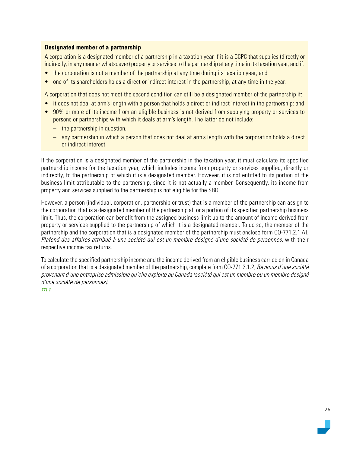#### **Designated member of a partnership**

A corporation is a designated member of a partnership in a taxation year if it is a CCPC that supplies (directly or indirectly, in any manner whatsoever) property or services to the partnership at any time in its taxation year, and if:

- the corporation is not a member of the partnership at any time during its taxation year; and
- one of its shareholders holds a direct or indirect interest in the partnership, at any time in the year.

A corporation that does not meet the second condition can still be a designated member of the partnership if:

- it does not deal at arm's length with a person that holds a direct or indirect interest in the partnership; and
- 90% or more of its income from an eligible business is not derived from supplying property or services to persons or partnerships with which it deals at arm's length. The latter do not include:
	- the partnership in question,
	- any partnership in which a person that does not deal at arm's length with the corporation holds a direct or indirect interest.

If the corporation is a designated member of the partnership in the taxation year, it must calculate its specified partnership income for the taxation year, which includes income from property or services supplied, directly or indirectly, to the partnership of which it is a designated member. However, it is not entitled to its portion of the business limit attributable to the partnership, since it is not actually a member. Consequently, its income from property and services supplied to the partnership is not eligible for the SBD.

However, a person (individual, corporation, partnership or trust) that is a member of the partnership can assign to the corporation that is a designated member of the partnership all or a portion of its specified partnership business limit. Thus, the corporation can benefit from the assigned business limit up to the amount of income derived from property or services supplied to the partnership of which it is a designated member. To do so, the member of the partnership and the corporation that is a designated member of the partnership must enclose form CO-771.2.1.AT, Plafond des affaires attribué à une société qui est un membre désigné d'une société de personnes, with their respective income tax returns.

To calculate the specified partnership income and the income derived from an eligible business carried on in Canada of a corporation that is a designated member of the partnership, complete form CO-771.2.1.2, Revenus d'une société provenant d'une entreprise admissible qu'elle exploite au Canada (société qui est un membre ou un membre désigné d'une société de personnes).

#### *771.1*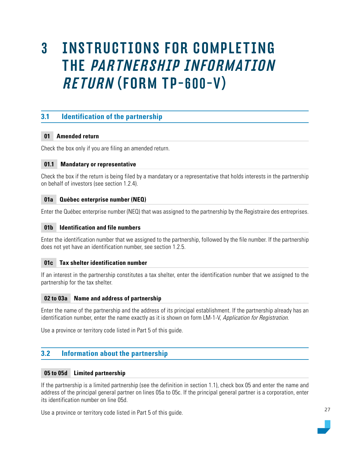## <span id="page-26-0"></span>3 INSTRUCTIONS FOR COMPLETING THE PARTNERSHIP INFORMATION RETURN (FORM TP-600-V)

## **3.1 Identification of the partnership**

#### **01 Amended return**

Check the box only if you are filing an amended return.

#### **01.1 Mandatary or representative**

Check the box if the return is being filed by a mandatary or a representative that holds interests in the partnership on behalf of investors (see section 1.2.4).

#### **01a Québec enterprise number (NEQ)**

Enter the Québec enterprise number (NEQ) that was assigned to the partnership by the Registraire des entreprises.

#### **01b Identification and file numbers**

Enter the identification number that we assigned to the partnership, followed by the file number. If the partnership does not yet have an identification number, see section 1.2.5.

#### **01c Tax shelter identification number**

If an interest in the partnership constitutes a tax shelter, enter the identification number that we assigned to the partnership for the tax shelter.

#### **02 to 03a Name and address of partnership**

Enter the name of the partnership and the address of its principal establishment. If the partnership already has an identification number, enter the name exactly as it is shown on form LM-1-V, Application for Registration.

Use a province or territory code listed in Part 5 of this guide.

### **3.2 Information about the partnership**

#### **05 to 05d Limited partnership**

If the partnership is a limited partnership (see the definition in section 1.1), check box 05 and enter the name and address of the principal general partner on lines 05a to 05c. If the principal general partner is a corporation, enter its identification number on line 05d.

Use a province or territory code listed in Part 5 of this guide.

27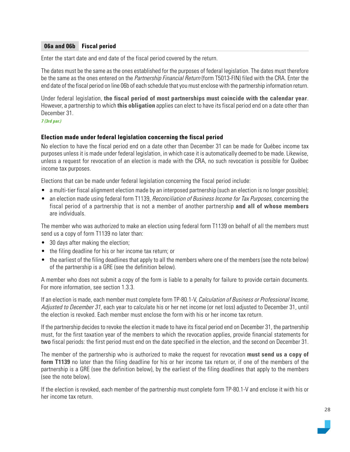#### **06a and 06b Fiscal period**

Enter the start date and end date of the fiscal period covered by the return.

The dates must be the same as the ones established for the purposes of federal legislation. The dates must therefore be the same as the ones entered on the *Partnership Financial Return* (form T5013-FIN) filed with the CRA. Enter the end date of the fiscal period on line 06b of each schedule that you must enclose with the partnership information return.

Under federal legislation, **the fiscal period of most partnerships must coincide with the calendar year**. However, a partnership to which **this obligation** applies can elect to have its fiscal period end on a date other than December 31.

#### *7 (3rd par.)*

#### **Election made under federal legislation concerning the fiscal period**

No election to have the fiscal period end on a date other than December 31 can be made for Québec income tax purposes unless it is made under federal legislation, in which case it is automatically deemed to be made. Likewise, unless a request for revocation of an election is made with the CRA, no such revocation is possible for Québec income tax purposes.

Elections that can be made under federal legislation concerning the fiscal period include:

- a multi-tier fiscal alignment election made by an interposed partnership (such an election is no longer possible);
- an election made using federal form T1139, *Reconciliation of Business Income for Tax Purposes*, concerning the fiscal period of a partnership that is not a member of another partnership **and all of whose members** are individuals.

The member who was authorized to make an election using federal form T1139 on behalf of all the members must send us a copy of form T1139 no later than:

- 30 days after making the election;
- the filing deadline for his or her income tax return; or
- the earliest of the filing deadlines that apply to all the members where one of the members (see the note below) of the partnership is a GRE (see the definition below).

A member who does not submit a copy of the form is liable to a penalty for failure to provide certain documents. For more information, see section 1.3.3.

If an election is made, each member must complete form TP-80.1-V, Calculation of Business or Professional Income, Adjusted to December 31, each year to calculate his or her net income (or net loss) adjusted to December 31, until the election is revoked. Each member must enclose the form with his or her income tax return.

If the partnership decides to revoke the election it made to have its fiscal period end on December 31, the partnership must, for the first taxation year of the members to which the revocation applies, provide financial statements for two fiscal periods: the first period must end on the date specified in the election, and the second on December 31.

The member of the partnership who is authorized to make the request for revocation **must send us a copy of form T1139** no later than the filing deadline for his or her income tax return or, if one of the members of the partnership is a GRE (see the definition below), by the earliest of the filing deadlines that apply to the members (see the note below).

If the election is revoked, each member of the partnership must complete form TP-80.1-V and enclose it with his or her income tax return.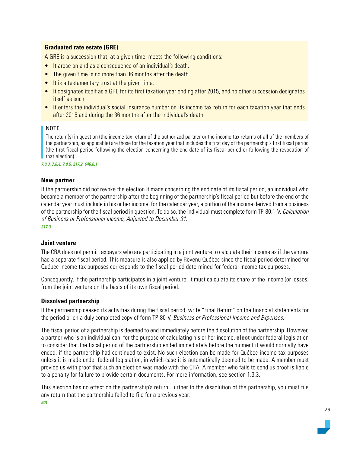#### **Graduated rate estate (GRE)**

A GRE is a succession that, at a given time, meets the following conditions:

- It arose on and as a consequence of an individual's death.
- The given time is no more than 36 months after the death.
- It is a testamentary trust at the given time.
- It designates itself as a GRE for its first taxation year ending after 2015, and no other succession designates itself as such.
- It enters the individual's social insurance number on its income tax return for each taxation year that ends after 2015 and during the 36 months after the individual's death.

#### NOTE

The return(s) in question (the income tax return of the authorized partner or the income tax returns of all of the members of the partnership, as applicable) are those for the taxation year that includes the first day of the partnership's first fiscal period (the first fiscal period following the election concerning the end date of its fiscal period or following the revocation of that election).

*7.0.3, 7.0.4, 7.0.5, 217.2, 646.0.1*

#### **New partner**

If the partnership did not revoke the election it made concerning the end date of its fiscal period, an individual who became a member of the partnership after the beginning of the partnership's fiscal period but before the end of the calendar year must include in his or her income, for the calendar year, a portion of the income derived from a business of the partnership for the fiscal period in question. To do so, the individual must complete form TP-80.1-V, Calculation of Business or Professional Income, Adjusted to December 31.

*217.3*

#### **Joint venture**

The CRA does not permit taxpayers who are participating in a joint venture to calculate their income as if the venture had a separate fiscal period. This measure is also applied by Revenu Québec since the fiscal period determined for Québec income tax purposes corresponds to the fiscal period determined for federal income tax purposes.

Consequently, if the partnership participates in a joint venture, it must calculate its share of the income (or losses) from the joint venture on the basis of its own fiscal period.

#### **Dissolved partnership**

If the partnership ceased its activities during the fiscal period, write "Final Return" on the financial statements for the period or on a duly completed copy of form TP-80-V, Business or Professional Income and Expenses.

The fiscal period of a partnership is deemed to end immediately before the dissolution of the partnership. However, a partner who is an individual can, for the purpose of calculating his or her income, **elect** under federal legislation to consider that the fiscal period of the partnership ended immediately before the moment it would normally have ended, if the partnership had continued to exist. No such election can be made for Québec income tax purposes unless it is made under federal legislation, in which case it is automatically deemed to be made. A member must provide us with proof that such an election was made with the CRA. A member who fails to send us proof is liable to a penalty for failure to provide certain documents. For more information, see section 1.3.3.

This election has no effect on the partnership's return. Further to the dissolution of the partnership, you must file any return that the partnership failed to file for a previous year.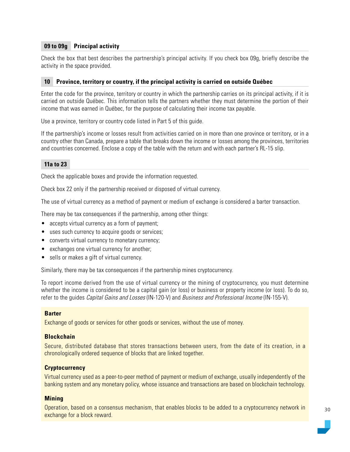#### **09 to 09g Principal activity**

Check the box that best describes the partnership's principal activity. If you check box 09g, briefly describe the activity in the space provided.

#### **10 Province, territory or country, if the principal activity is carried on outside Québec**

Enter the code for the province, territory or country in which the partnership carries on its principal activity, if it is carried on outside Québec. This information tells the partners whether they must determine the portion of their income that was earned in Québec, for the purpose of calculating their income tax payable.

Use a province, territory or country code listed in Part 5 of this guide.

If the partnership's income or losses result from activities carried on in more than one province or territory, or in a country other than Canada, prepare a table that breaks down the income or losses among the provinces, territories and countries concerned. Enclose a copy of the table with the return and with each partner's RL-15 slip.

#### **11a to 23**

Check the applicable boxes and provide the information requested.

Check box 22 only if the partnership received or disposed of virtual currency.

The use of virtual currency as a method of payment or medium of exchange is considered a barter transaction.

There may be tax consequences if the partnership, among other things:

- accepts virtual currency as a form of payment;
- uses such currency to acquire goods or services;
- converts virtual currency to monetary currency;
- exchanges one virtual currency for another;
- sells or makes a gift of virtual currency.

Similarly, there may be tax consequences if the partnership mines cryptocurrency.

To report income derived from the use of virtual currency or the mining of cryptocurrency, you must determine whether the income is considered to be a capital gain (or loss) or business or property income (or loss). To do so, refer to the guides Capital Gains and Losses (IN-120-V) and Business and Professional Income (IN-155-V).

#### **Barter**

Exchange of goods or services for other goods or services, without the use of money.

#### **Blockchain**

Secure, distributed database that stores transactions between users, from the date of its creation, in a chronologically ordered sequence of blocks that are linked together.

#### **Cryptocurrency**

Virtual currency used as a peer-to-peer method of payment or medium of exchange, usually independently of the banking system and any monetary policy, whose issuance and transactions are based on blockchain technology.

#### **Mining**

Operation, based on a consensus mechanism, that enables blocks to be added to a cryptocurrency network in exchange for a block reward.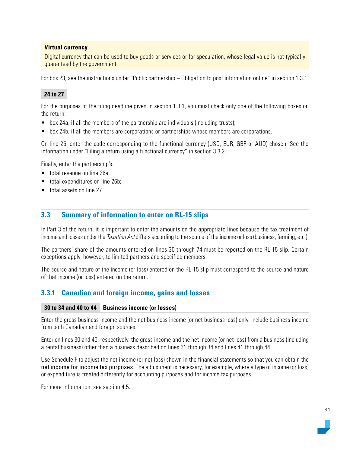#### <span id="page-30-0"></span>**Virtual currency**

Digital currency that can be used to buy goods or services or for speculation, whose legal value is not typically guaranteed by the government.

For box 23, see the instructions under "Public partnership – Obligation to post information online" in section 1.3.1.

#### **24 to 27**

For the purposes of the filing deadline given in section 1.3.1, you must check only one of the following boxes on the return:

- box 24a, if all the members of the partnership are individuals (including trusts);
- box 24b, if all the members are corporations or partnerships whose members are corporations.

On line 25, enter the code corresponding to the functional currency (USD, EUR, GBP or AUD) chosen. See the information under "Filing a return using a functional currency" in section 3.3.2.

Finally, enter the partnership's:

- total revenue on line 26a;
- total expenditures on line 26b;
- total assets on line 27

## **3.3 Summary of information to enter on RL-15 slips**

In Part 3 of the return, it is important to enter the amounts on the appropriate lines because the tax treatment of income and losses under the Taxation Act differs according to the source of the income or loss (business, farming, etc.).

The partners' share of the amounts entered on lines 30 through 74 must be reported on the RL-15 slip. Certain exceptions apply, however, to limited partners and specified members.

The source and nature of the income (or loss) entered on the RL-15 slip must correspond to the source and nature of that income (or loss) entered on the return.

## **3.3.1 Canadian and foreign income, gains and losses**

#### **30 to 34 and 40 to 44 Business income (or losses)**

Enter the gross business income and the net business income (or net business loss) only. Include business income from both Canadian and foreign sources.

Enter on lines 30 and 40, respectively, the gross income and the net income (or net loss) from a business (including a rental business) other than a business described on lines 31 through 34 and lines 41 through 44.

Use Schedule F to adjust the net income (or net loss) shown in the financial statements so that you can obtain the net income for income tax purposes. The adjustment is necessary, for example, where a type of income (or loss) or expenditure is treated differently for accounting purposes and for income tax purposes.

For more information, see section 4.5.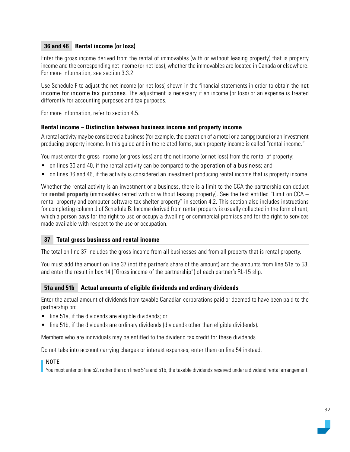#### **36 and 46 Rental income (or loss)**

Enter the gross income derived from the rental of immovables (with or without leasing property) that is property income and the corresponding net income (or net loss), whether the immovables are located in Canada or elsewhere. For more information, see section 3.3.2.

Use Schedule F to adjust the net income (or net loss) shown in the financial statements in order to obtain the net income for income tax purposes. The adjustment is necessary if an income (or loss) or an expense is treated differently for accounting purposes and tax purposes.

For more information, refer to section 4.5.

#### **Rental income – Distinction between business income and property income**

A rental activity may be considered a business (for example, the operation of a motel or a campground) or an investment producing property income. In this guide and in the related forms, such property income is called "rental income."

You must enter the gross income (or gross loss) and the net income (or net loss) from the rental of property:

- on lines 30 and 40, if the rental activity can be compared to the operation of a business; and
- on lines 36 and 46, if the activity is considered an investment producing rental income that is property income.

Whether the rental activity is an investment or a business, there is a limit to the CCA the partnership can deduct for **rental property** (immovables rented with or without leasing property). See the text entitled "Limit on CCA – rental property and computer software tax shelter property" in section 4.2. This section also includes instructions for completing column J of Schedule B. Income derived from rental property is usually collected in the form of rent, which a person pays for the right to use or occupy a dwelling or commercial premises and for the right to services made available with respect to the use or occupation.

#### **37 Total gross business and rental income**

The total on line 37 includes the gross income from all businesses and from all property that is rental property.

You must add the amount on line 37 (not the partner's share of the amount) and the amounts from line 51a to 53, and enter the result in box 14 ("Gross income of the partnership") of each partner's RL-15 slip.

#### **51a and 51b Actual amounts of eligible dividends and ordinary dividends**

Enter the actual amount of dividends from taxable Canadian corporations paid or deemed to have been paid to the partnership on:

- line 51a, if the dividends are eligible dividends; or
- line 51b, if the dividends are ordinary dividends (dividends other than eligible dividends).

Members who are individuals may be entitled to the dividend tax credit for these dividends.

Do not take into account carrying charges or interest expenses; enter them on line 54 instead.

#### NOTE

You must enter on line 52, rather than on lines 51a and 51b, the taxable dividends received under a dividend rental arrangement.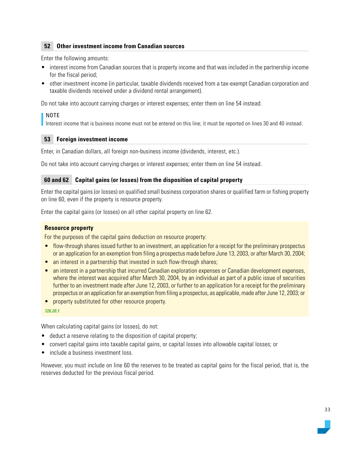#### **52 Other investment income from Canadian sources**

Enter the following amounts:

- interest income from Canadian sources that is property income and that was included in the partnership income for the fiscal period;
- other investment income (in particular, taxable dividends received from a tax-exempt Canadian corporation and taxable dividends received under a dividend rental arrangement).

Do not take into account carrying charges or interest expenses; enter them on line 54 instead.

#### NOTE

Interest income that is business income must not be entered on this line; it must be reported on lines 30 and 40 instead.

#### **53 Foreign investment income**

Enter, in Canadian dollars, all foreign non-business income (dividends, interest, etc.).

Do not take into account carrying charges or interest expenses; enter them on line 54 instead.

#### **60 and 62 Capital gains (or losses) from the disposition of capital property**

Enter the capital gains (or losses) on qualified small business corporation shares or qualified farm or fishing property on line 60, even if the property is resource property.

Enter the capital gains (or losses) on all other capital property on line 62.

#### **Resource property**

For the purposes of the capital gains deduction on resource property:

- flow-through shares issued further to an investment, an application for a receipt for the preliminary prospectus or an application for an exemption from filing a prospectus made before June 13, 2003, or after March 30, 2004;
- an interest in a partnership that invested in such flow-through shares;
- an interest in a partnership that incurred Canadian exploration expenses or Canadian development expenses, where the interest was acquired after March 30, 2004, by an individual as part of a public issue of securities further to an investment made after June 12, 2003, or further to an application for a receipt for the preliminary prospectus or an application for an exemption from filing a prospectus, as applicable, made after June 12, 2003; or
- property substituted for other resource property.

*726.20.1*

When calculating capital gains (or losses), do not:

- deduct a reserve relating to the disposition of capital property;
- convert capital gains into taxable capital gains, or capital losses into allowable capital losses; or
- include a business investment loss.

However, you must include on line 60 the reserves to be treated as capital gains for the fiscal period, that is, the reserves deducted for the previous fiscal period.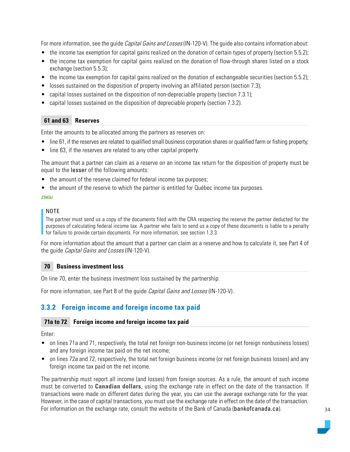<span id="page-33-0"></span>For more information, see the guide *Capital Gains and Losses* (IN-120-V). The guide also contains information about:

- the income tax exemption for capital gains realized on the donation of certain types of property (section 5.5.2);
- the income tax exemption for capital gains realized on the donation of flow-through shares listed on a stock exchange (section 5.5.3);
- the income tax exemption for capital gains realized on the donation of exchangeable securities (section 5.5.2);
- losses sustained on the disposition of property involving an affiliated person (section 7.3);
- capital losses sustained on the disposition of non-depreciable property (section 7.3.1);
- capital losses sustained on the disposition of depreciable property (section 7.3.2).

#### **61 and 63 Reserves**

Enter the amounts to be allocated among the partners as reserves on:

- line 61, if the reserves are related to qualified small business corporation shares or qualified farm or fishing property;
- line 63, if the reserves are related to any other capital property.

The amount that a partner can claim as a reserve on an income tax return for the disposition of property must be equal to the lesser of the following amounts:

- the amount of the reserve claimed for federal income tax purposes;
- the amount of the reserve to which the partner is entitled for Québec income tax purposes.

#### *234(b)*

#### NOTE

The partner must send us a copy of the documents filed with the CRA respecting the reserve the partner deducted for the purposes of calculating federal income tax. A partner who fails to send us a copy of these documents is liable to a penalty for failure to provide certain documents. For more information, see section 1.3.3.

For more information about the amount that a partner can claim as a reserve and how to calculate it, see Part 4 of the guide Capital Gains and Losses (IN-120-V).

#### **70 Business investment loss**

On line 70, enter the business investment loss sustained by the partnership.

For more information, see Part 8 of the quide *Capital Gains and Losses* (IN-120-V).

## **3.3.2 Foreign income and foreign income tax paid**

#### **71a to 72 Foreign income and foreign income tax paid**

Enter:

- on lines 71a and 71, respectively, the total net foreign non-business income (or net foreign nonbusiness losses) and any foreign income tax paid on the net income;
- on lines 72a and 72, respectively, the total net foreign business income (or net foreign business losses) and any foreign income tax paid on the net income.

The partnership must report all income (and losses) from foreign sources. As a rule, the amount of such income must be converted to **Canadian dollars**, using the exchange rate in effect on the date of the transaction. If transactions were made on different dates during the year, you can use the average exchange rate for the year. However, in the case of capital transactions, you must use the exchange rate in effect on the date of the transaction. For information on the exchange rate, consult the website of the Bank of Canada ([bankofcanada.ca](https://www.bankofcanada.ca/)).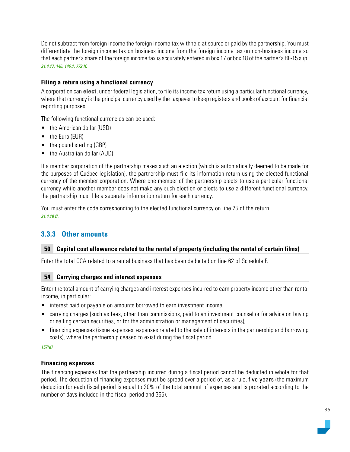<span id="page-34-0"></span>Do not subtract from foreign income the foreign income tax withheld at source or paid by the partnership. You must differentiate the foreign income tax on business income from the foreign income tax on non-business income so that each partner's share of the foreign income tax is accurately entered in box 17 or box 18 of the partner's RL-15 slip. *21.4.17, 146, 146.1, 772 ff.*

#### **Filing a return using a functional currency**

A corporation can **elect**, under federal legislation, to file its income tax return using a particular functional currency, where that currency is the principal currency used by the taxpayer to keep registers and books of account for financial reporting purposes.

The following functional currencies can be used:

- the American dollar (USD)
- the Euro (EUR)
- the pound sterling (GBP)
- the Australian dollar (AUD)

If a member corporation of the partnership makes such an election (which is automatically deemed to be made for the purposes of Québec legislation), the partnership must file its information return using the elected functional currency of the member corporation. Where one member of the partnership elects to use a particular functional currency while another member does not make any such election or elects to use a different functional currency, the partnership must file a separate information return for each currency.

You must enter the code corresponding to the elected functional currency on line 25 of the return. *21.4.18 ff.*

## **3.3.3 Other amounts**

#### **50 Capital cost allowance related to the rental of property (including the rental of certain films)**

Enter the total CCA related to a rental business that has been deducted on line 62 of Schedule F.

#### **54 Carrying charges and interest expenses**

Enter the total amount of carrying charges and interest expenses incurred to earn property income other than rental income, in particular:

- interest paid or payable on amounts borrowed to earn investment income;
- carrying charges (such as fees, other than commissions, paid to an investment counsellor for advice on buying or selling certain securities, or for the administration or management of securities);
- financing expenses (issue expenses, expenses related to the sale of interests in the partnership and borrowing costs), where the partnership ceased to exist during the fiscal period.

#### *157(d)*

#### **Financing expenses**

The financing expenses that the partnership incurred during a fiscal period cannot be deducted in whole for that period. The deduction of financing expenses must be spread over a period of, as a rule, five years (the maximum deduction for each fiscal period is equal to 20% of the total amount of expenses and is prorated according to the number of days included in the fiscal period and 365).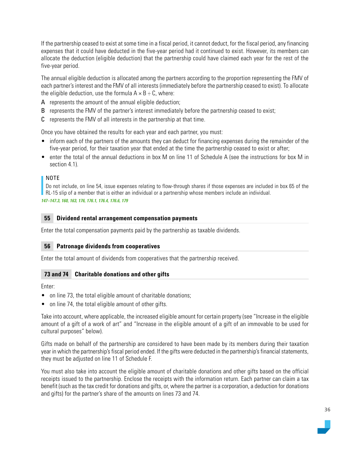If the partnership ceased to exist at some time in a fiscal period, it cannot deduct, for the fiscal period, any financing expenses that it could have deducted in the five-year period had it continued to exist. However, its members can allocate the deduction (eligible deduction) that the partnership could have claimed each year for the rest of the five-year period.

The annual eligible deduction is allocated among the partners according to the proportion representing the FMV of each partner's interest and the FMV of all interests (immediately before the partnership ceased to exist). To allocate the eligible deduction, use the formula  $A \times B \div C$ , where:

- A represents the amount of the annual eligible deduction;
- B represents the FMV of the partner's interest immediately before the partnership ceased to exist;
- C represents the FMV of all interests in the partnership at that time.

Once you have obtained the results for each year and each partner, you must:

- inform each of the partners of the amounts they can deduct for financing expenses during the remainder of the five-year period, for their taxation year that ended at the time the partnership ceased to exist or after;
- enter the total of the annual deductions in box M on line 11 of Schedule A (see the instructions for box M in section 4.1)

#### NOTE

Do not include, on line 54, issue expenses relating to flow-through shares if those expenses are included in box 65 of the RL-15 slip of a member that is either an individual or a partnership whose members include an individual.

*147–147.3, 160, 163, 176, 176.1, 176.4, 176.6, 179*

#### **55 Dividend rental arrangement compensation payments**

Enter the total compensation payments paid by the partnership as taxable dividends.

#### **56 Patronage dividends from cooperatives**

Enter the total amount of dividends from cooperatives that the partnership received.

#### **73 and 74 Charitable donations and other gifts**

Enter:

- on line 73, the total eligible amount of charitable donations;
- on line 74, the total eligible amount of other gifts.

Take into account, where applicable, the increased eligible amount for certain property (see "Increase in the eligible amount of a gift of a work of art" and "Increase in the eligible amount of a gift of an immovable to be used for cultural purposes" below).

Gifts made on behalf of the partnership are considered to have been made by its members during their taxation year in which the partnership's fiscal period ended. If the gifts were deducted in the partnership's financial statements, they must be adjusted on line 11 of Schedule F.

You must also take into account the eligible amount of charitable donations and other gifts based on the official receipts issued to the partnership. Enclose the receipts with the information return. Each partner can claim a tax benefit (such as the tax credit for donations and gifts, or, where the partner is a corporation, a deduction for donations and gifts) for the partner's share of the amounts on lines 73 and 74.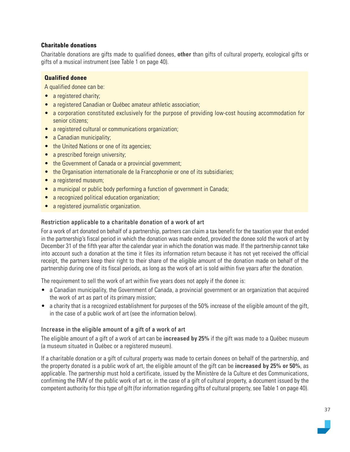## **Charitable donations**

Charitable donations are gifts made to qualified donees, **other** than gifts of cultural property, ecological gifts or gifts of a musical instrument (see Table 1 on page 40).

## **Qualified donee**

A qualified donee can be:

- a registered charity;
- a registered Canadian or Québec amateur athletic association;
- a corporation constituted exclusively for the purpose of providing low-cost housing accommodation for senior citizens;
- a registered cultural or communications organization;
- a Canadian municipality;
- the United Nations or one of its agencies;
- a prescribed foreign university;
- the Government of Canada or a provincial government;
- the Organisation internationale de la Francophonie or one of its subsidiaries;
- a registered museum;
- a municipal or public body performing a function of government in Canada;
- a recognized political education organization;
- a registered journalistic organization.

## Restriction applicable to a charitable donation of a work of art

For a work of art donated on behalf of a partnership, partners can claim a tax benefit for the taxation year that ended in the partnership's fiscal period in which the donation was made ended, provided the donee sold the work of art by December 31 of the fifth year after the calendar year in which the donation was made. If the partnership cannot take into account such a donation at the time it files its information return because it has not yet received the official receipt, the partners keep their right to their share of the eligible amount of the donation made on behalf of the partnership during one of its fiscal periods, as long as the work of art is sold within five years after the donation.

The requirement to sell the work of art within five years does not apply if the donee is:

- a Canadian municipality, the Government of Canada, a provincial government or an organization that acquired the work of art as part of its primary mission;
- a charity that is a recognized establishment for purposes of the 50% increase of the eligible amount of the gift, in the case of a public work of art (see the information below).

## Increase in the eligible amount of a gift of a work of art

The eligible amount of a gift of a work of art can be **increased by 25%** if the gift was made to a Québec museum (a museum situated in Québec or a registered museum).

If a charitable donation or a gift of cultural property was made to certain donees on behalf of the partnership, and the property donated is a public work of art, the eligible amount of the gift can be **increased by 25% or 50%**, as applicable. The partnership must hold a certificate, issued by the Ministère de la Culture et des Communications, confirming the FMV of the public work of art or, in the case of a gift of cultural property, a document issued by the competent authority for this type of gift (for information regarding gifts of cultural property, see Table 1 on page 40).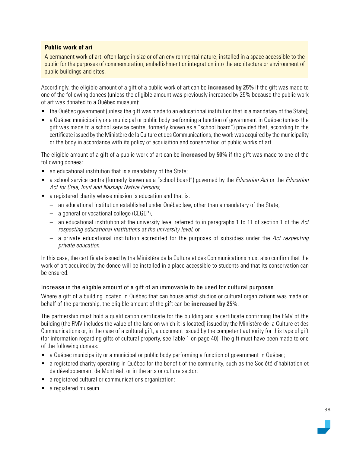## **Public work of art**

A permanent work of art, often large in size or of an environmental nature, installed in a space accessible to the public for the purposes of commemoration, embellishment or integration into the architecture or environment of public buildings and sites.

Accordingly, the eligible amount of a gift of a public work of art can be **increased by 25%** if the gift was made to one of the following donees (unless the eligible amount was previously increased by 25% because the public work of art was donated to a Québec museum):

- the Québec government (unless the gift was made to an educational institution that is a mandatary of the State);
- a Québec municipality or a municipal or public body performing a function of government in Québec (unless the gift was made to a school service centre, formerly known as a "school board") provided that, according to the certificate issued by the Ministère de la Culture et des Communications, the work was acquired by the municipality or the body in accordance with its policy of acquisition and conservation of public works of art.

The eligible amount of a gift of a public work of art can be **increased by 50%** if the gift was made to one of the following donees:

- an educational institution that is a mandatary of the State;
- a school service centre (formerly known as a "school board") governed by the Education Act or the Education Act for Cree, Inuit and Naskapi Native Persons;
- a registered charity whose mission is education and that is:
	- an educational institution established under Québec law, other than a mandatary of the State,
	- a general or vocational college (CEGEP),
	- an educational institution at the university level referred to in paragraphs 1 to 11 of section 1 of the Act respecting educational institutions at the university level, or
	- $-$  a private educational institution accredited for the purposes of subsidies under the Act respecting private education.

In this case, the certificate issued by the Ministère de la Culture et des Communications must also confirm that the work of art acquired by the donee will be installed in a place accessible to students and that its conservation can be ensured.

## Increase in the eligible amount of a gift of an immovable to be used for cultural purposes

Where a gift of a building located in Québec that can house artist studios or cultural organizations was made on behalf of the partnership, the eligible amount of the gift can be **increased by 25%**.

The partnership must hold a qualification certificate for the building and a certificate confirming the FMV of the building (the FMV includes the value of the land on which it is located) issued by the Ministère de la Culture et des Communications or, in the case of a cultural gift, a document issued by the competent authority for this type of gift (for information regarding gifts of cultural property, see Table 1 on page 40). The gift must have been made to one of the following donees:

- a Québec municipality or a municipal or public body performing a function of government in Québec;
- a registered charity operating in Québec for the benefit of the community, such as the Société d'habitation et de développement de Montréal, or in the arts or culture sector;
- a registered cultural or communications organization;
- a registered museum.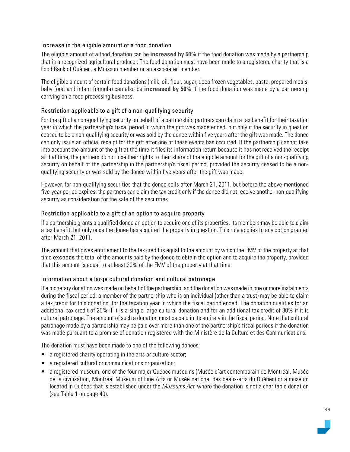## Increase in the eligible amount of a food donation

The eligible amount of a food donation can be **increased by 50%** if the food donation was made by a partnership that is a recognized agricultural producer. The food donation must have been made to a registered charity that is a Food Bank of Québec, a Moisson member or an associated member.

The eligible amount of certain food donations (milk, oil, flour, sugar, deep frozen vegetables, pasta, prepared meals, baby food and infant formula) can also be **increased by 50%** if the food donation was made by a partnership carrying on a food processing business.

## Restriction applicable to a gift of a non-qualifying security

For the gift of a non-qualifying security on behalf of a partnership, partners can claim a tax benefit for their taxation year in which the partnership's fiscal period in which the gift was made ended, but only if the security in question ceased to be a non-qualifying security or was sold by the donee within five years after the gift was made. The donee can only issue an official receipt for the gift after one of these events has occurred. If the partnership cannot take into account the amount of the gift at the time it files its information return because it has not received the receipt at that time, the partners do not lose their rights to their share of the eligible amount for the gift of a non-qualifying security on behalf of the partnership in the partnership's fiscal period, provided the security ceased to be a nonqualifying security or was sold by the donee within five years after the gift was made.

However, for non-qualifying securities that the donee sells after March 21, 2011, but before the above-mentioned five-year period expires, the partners can claim the tax credit only if the donee did not receive another non-qualifying security as consideration for the sale of the securities.

## Restriction applicable to a gift of an option to acquire property

If a partnership grants a qualified donee an option to acquire one of its properties, its members may be able to claim a tax benefit, but only once the donee has acquired the property in question. This rule applies to any option granted after March 21, 2011.

The amount that gives entitlement to the tax credit is equal to the amount by which the FMV of the property at that time exceeds the total of the amounts paid by the donee to obtain the option and to acquire the property, provided that this amount is equal to at least 20% of the FMV of the property at that time.

## Information about a large cultural donation and cultural patronage

If a monetary donation was made on behalf of the partnership, and the donation was made in one or more instalments during the fiscal period, a member of the partnership who is an individual (other than a trust) may be able to claim a tax credit for this donation, for the taxation year in which the fiscal period ended. The donation qualifies for an additional tax credit of 25% if it is a single large cultural donation and for an additional tax credit of 30% if it is cultural patronage. The amount of such a donation must be paid in its entirety in the fiscal period. Note that cultural patronage made by a partnership may be paid over more than one of the partnership's fiscal periods if the donation was made pursuant to a promise of donation registered with the Ministère de la Culture et des Communications.

The donation must have been made to one of the following donees:

- a registered charity operating in the arts or culture sector;
- a registered cultural or communications organization;
- a registered museum, one of the four major Québec museums (Musée d'art contemporain de Montréal, Musée de la civilisation, Montreal Museum of Fine Arts or Musée national des beaux-arts du Québec) or a museum located in Québec that is established under the *Museums Act*, where the donation is not a charitable donation (see Table 1 on page 40).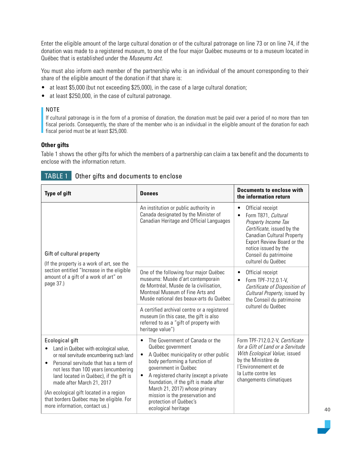Enter the eligible amount of the large cultural donation or of the cultural patronage on line 73 or on line 74, if the donation was made to a registered museum, to one of the four major Québec museums or to a museum located in Québec that is established under the Museums Act.

You must also inform each member of the partnership who is an individual of the amount corresponding to their share of the eligible amount of the donation if that share is:

- at least \$5,000 (but not exceeding \$25,000), in the case of a large cultural donation;
- at least \$250,000, in the case of cultural patronage.

## NOTE

If cultural patronage is in the form of a promise of donation, the donation must be paid over a period of no more than ten fiscal periods. Consequently, the share of the member who is an individual in the eligible amount of the donation for each fiscal period must be at least \$25,000.

## **Other gifts**

Table 1 shows the other gifts for which the members of a partnership can claim a tax benefit and the documents to enclose with the information return.

| <b>Type of gift</b>                                                                                                                                                                                                                                                                                                                                                                                | <b>Donees</b>                                                                                                                                                                                                                                                                                                                                                                                         | <b>Documents to enclose with</b><br>the information return                                                                                                                                                                             |  |
|----------------------------------------------------------------------------------------------------------------------------------------------------------------------------------------------------------------------------------------------------------------------------------------------------------------------------------------------------------------------------------------------------|-------------------------------------------------------------------------------------------------------------------------------------------------------------------------------------------------------------------------------------------------------------------------------------------------------------------------------------------------------------------------------------------------------|----------------------------------------------------------------------------------------------------------------------------------------------------------------------------------------------------------------------------------------|--|
| Gift of cultural property<br>(If the property is a work of art, see the<br>section entitled "Increase in the eligible<br>amount of a gift of a work of art" on<br>page 37.)                                                                                                                                                                                                                        | An institution or public authority in<br>Canada designated by the Minister of<br>Canadian Heritage and Official Languages                                                                                                                                                                                                                                                                             | Official receipt<br>Form T871, Cultural<br>Property Income Tax<br>Certificate, issued by the<br><b>Canadian Cultural Property</b><br>Export Review Board or the<br>notice issued by the<br>Conseil du patrimoine<br>culturel du Québec |  |
|                                                                                                                                                                                                                                                                                                                                                                                                    | One of the following four major Québec<br>museums: Musée d'art contemporain<br>de Montréal, Musée de la civilisation,<br>Montreal Museum of Fine Arts and<br>Musée national des beaux-arts du Québec                                                                                                                                                                                                  | Official receipt<br>Form TPF-712.0.1-V,<br>Certificate of Disposition of<br>Cultural Property, issued by<br>the Conseil du patrimoine                                                                                                  |  |
|                                                                                                                                                                                                                                                                                                                                                                                                    | A certified archival centre or a registered<br>museum (in this case, the gift is also<br>referred to as a "gift of property with<br>heritage value")                                                                                                                                                                                                                                                  | culturel du Québec                                                                                                                                                                                                                     |  |
| Ecological gift<br>Land in Québec with ecological value,<br>or real servitude encumbering such land<br>Personal servitude that has a term of<br>$\bullet$<br>not less than 100 years (encumbering<br>land located in Québec), if the gift is<br>made after March 21, 2017<br>(An ecological gift located in a region<br>that borders Québec may be eligible. For<br>more information, contact us.) | The Government of Canada or the<br>$\bullet$<br>Québec government<br>A Québec municipality or other public<br>$\bullet$<br>body performing a function of<br>government in Québec<br>A registered charity (except a private<br>$\bullet$<br>foundation, if the gift is made after<br>March 21, 2017) whose primary<br>mission is the preservation and<br>protection of Québec's<br>ecological heritage | Form TPF-712.0.2-V, Certificate<br>for a Gift of Land or a Servitude<br>With Ecological Value, issued<br>by the Ministère de<br>l'Environnement et de<br>la Lutte contre les<br>changements climatiques                                |  |

## TABLE 1 Other gifts and documents to enclose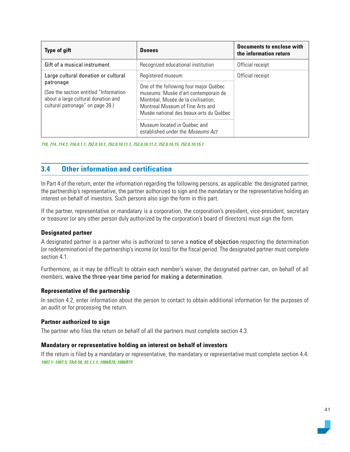| <b>Type of gift</b>                                                                                                            | <b>Donees</b>                                                                                                                                                                                        | Documents to enclose with<br>the information return |  |
|--------------------------------------------------------------------------------------------------------------------------------|------------------------------------------------------------------------------------------------------------------------------------------------------------------------------------------------------|-----------------------------------------------------|--|
| Gift of a musical instrument                                                                                                   | Recognized educational institution                                                                                                                                                                   | Official receipt                                    |  |
| Large cultural donation or cultural                                                                                            | Registered museum                                                                                                                                                                                    | Official receipt                                    |  |
| patronage<br>(See the section entitled "Information<br>about a large cultural donation and<br>cultural patronage" on page 39.) | One of the following four major Québec<br>museums: Musée d'art contemporain de<br>Montréal, Musée de la civilisation,<br>Montreal Museum of Fine Arts and<br>Musée national des beaux-arts du Québec |                                                     |  |
|                                                                                                                                | Museum located in Québec and<br>established under the <i>Museums Act</i>                                                                                                                             |                                                     |  |

*710, 714, 714.1, 716.0.1.1, 752.0.10.1, 752.0.10.11.1, 752.0.10.11.2, 752.0.10.15, 752.0.10.15.1*

## **3.4 Other information and certification**

In Part 4 of the return, enter the information regarding the following persons, as applicable: the designated partner, the partnership's representative, the partner authorized to sign and the mandatary or the representative holding an interest on behalf of investors. Such persons also sign the form in this part.

If the partner, representative or mandatary is a corporation, the corporation's president, vice-president, secretary or treasurer (or any other person duly authorized by the corporation's board of directors) must sign the form.

#### **Designated partner**

A designated partner is a partner who is authorized to serve a notice of objection respecting the determination (or redetermination) of the partnership's income (or loss) for the fiscal period. The designated partner must complete section 4.1.

Furthermore, as it may be difficult to obtain each member's waiver, the designated partner can, on behalf of all members, waive the three-year time period for making a determination.

#### **Representative of the partnership**

In section 4.2, enter information about the person to contact to obtain additional information for the purposes of an audit or for processing the return.

#### **Partner authorized to sign**

The partner who files the return on behalf of all the partners must complete section 4.3.

#### **Mandatary or representative holding an interest on behalf of investors**

If the return is filed by a mandatary or representative, the mandatary or representative must complete section 4.4. *1007.1–1007.5; TAA 58, 93.1.1.1; 1086R78, 1086R79*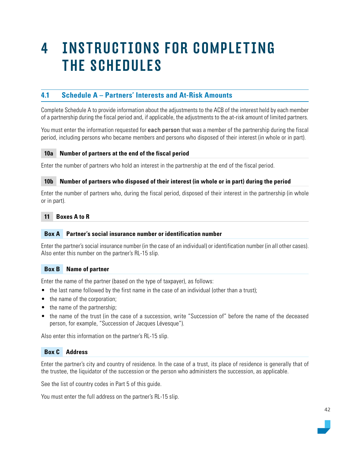# 4 INSTRUCTIONS FOR COMPLETING THE SCHEDULES

# **4.1 Schedule A – Partners' Interests and At-Risk Amounts**

Complete Schedule A to provide information about the adjustments to the ACB of the interest held by each member of a partnership during the fiscal period and, if applicable, the adjustments to the at-risk amount of limited partners.

You must enter the information requested for each person that was a member of the partnership during the fiscal period, including persons who became members and persons who disposed of their interest (in whole or in part).

## **10a Number of partners at the end of the fiscal period**

Enter the number of partners who hold an interest in the partnership at the end of the fiscal period.

#### **10b Number of partners who disposed of their interest (in whole or in part) during the period**

Enter the number of partners who, during the fiscal period, disposed of their interest in the partnership (in whole or in part).

## **11 Boxes A to R**

#### **Box A Partner's social insurance number or identification number**

Enter the partner's social insurance number (in the case of an individual) or identification number (in all other cases). Also enter this number on the partner's RL-15 slip.

#### **Box B Name of partner**

Enter the name of the partner (based on the type of taxpayer), as follows:

- the last name followed by the first name in the case of an individual (other than a trust);
- the name of the corporation;
- the name of the partnership;
- the name of the trust (in the case of a succession, write "Succession of" before the name of the deceased person, for example, "Succession of Jacques Lévesque").

Also enter this information on the partner's RL-15 slip.

## **Box C Address**

Enter the partner's city and country of residence. In the case of a trust, its place of residence is generally that of the trustee, the liquidator of the succession or the person who administers the succession, as applicable.

See the list of country codes in Part 5 of this guide.

You must enter the full address on the partner's RL-15 slip.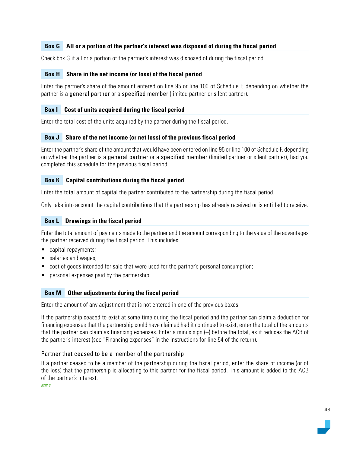## **Box G All or a portion of the partner's interest was disposed of during the fiscal period**

Check box G if all or a portion of the partner's interest was disposed of during the fiscal period.

## **Box H Share in the net income (or loss) of the fiscal period**

Enter the partner's share of the amount entered on line 95 or line 100 of Schedule F, depending on whether the partner is a general partner or a specified member (limited partner or silent partner).

#### **Box I Cost of units acquired during the fiscal period**

Enter the total cost of the units acquired by the partner during the fiscal period.

## **Box J Share of the net income (or net loss) of the previous fiscal period**

Enter the partner's share of the amount that would have been entered on line 95 or line 100 of Schedule F, depending on whether the partner is a general partner or a specified member (limited partner or silent partner), had you completed this schedule for the previous fiscal period.

## **Box K Capital contributions during the fiscal period**

Enter the total amount of capital the partner contributed to the partnership during the fiscal period.

Only take into account the capital contributions that the partnership has already received or is entitled to receive.

## **Box L Drawings in the fiscal period**

Enter the total amount of payments made to the partner and the amount corresponding to the value of the advantages the partner received during the fiscal period. This includes:

- capital repayments;
- salaries and wages:
- cost of goods intended for sale that were used for the partner's personal consumption;
- personal expenses paid by the partnership.

#### **Box M Other adjustments during the fiscal period**

Enter the amount of any adjustment that is not entered in one of the previous boxes.

If the partnership ceased to exist at some time during the fiscal period and the partner can claim a deduction for financing expenses that the partnership could have claimed had it continued to exist, enter the total of the amounts that the partner can claim as financing expenses. Enter a minus sign (–) before the total, as it reduces the ACB of the partner's interest (see "Financing expenses" in the instructions for line 54 of the return).

#### Partner that ceased to be a member of the partnership

If a partner ceased to be a member of the partnership during the fiscal period, enter the share of income (or of the loss) that the partnership is allocating to this partner for the fiscal period. This amount is added to the ACB of the partner's interest.

*602.1*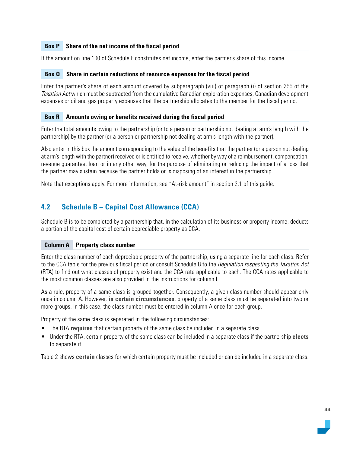## **Box P Share of the net income of the fiscal period**

If the amount on line 100 of Schedule F constitutes net income, enter the partner's share of this income.

#### **Box Q Share in certain reductions of resource expenses for the fiscal period**

Enter the partner's share of each amount covered by subparagraph (viii) of paragraph (i) of section 255 of the Taxation Act which must be subtracted from the cumulative Canadian exploration expenses, Canadian development expenses or oil and gas property expenses that the partnership allocates to the member for the fiscal period.

#### **Box R Amounts owing or benefits received during the fiscal period**

Enter the total amounts owing to the partnership (or to a person or partnership not dealing at arm's length with the partnership) by the partner (or a person or partnership not dealing at arm's length with the partner).

Also enter in this box the amount corresponding to the value of the benefits that the partner (or a person not dealing at arm's length with the partner) received or is entitled to receive, whether by way of a reimbursement, compensation, revenue guarantee, loan or in any other way, for the purpose of eliminating or reducing the impact of a loss that the partner may sustain because the partner holds or is disposing of an interest in the partnership.

Note that exceptions apply. For more information, see "At-risk amount" in section 2.1 of this guide.

## **4.2 Schedule B – Capital Cost Allowance (CCA)**

Schedule B is to be completed by a partnership that, in the calculation of its business or property income, deducts a portion of the capital cost of certain depreciable property as CCA.

#### **Column A Property class number**

Enter the class number of each depreciable property of the partnership, using a separate line for each class. Refer to the CCA table for the previous fiscal period or consult Schedule B to the *Regulation respecting the Taxation Act* (RTA) to find out what classes of property exist and the CCA rate applicable to each. The CCA rates applicable to the most common classes are also provided in the instructions for column I.

As a rule, property of a same class is grouped together. Consequently, a given class number should appear only once in column A. However, **in certain circumstances**, property of a same class must be separated into two or more groups. In this case, the class number must be entered in column A once for each group.

Property of the same class is separated in the following circumstances:

- The RTA **requires** that certain property of the same class be included in a separate class.
- Under the RTA, certain property of the same class can be included in a separate class if the partnership **elects** to separate it.

Table 2 shows **certain** classes for which certain property must be included or can be included in a separate class.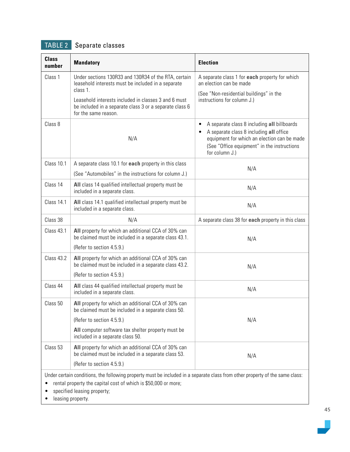# TABLE 2 Separate classes

| <b>Class</b><br>number | <b>Mandatory</b>                                                                                                                                    | <b>Election</b>                                                                                                                                                                                                                  |
|------------------------|-----------------------------------------------------------------------------------------------------------------------------------------------------|----------------------------------------------------------------------------------------------------------------------------------------------------------------------------------------------------------------------------------|
| Class 1                | Under sections 130R33 and 130R34 of the RTA, certain<br>leasehold interests must be included in a separate                                          | A separate class 1 for <b>each</b> property for which<br>an election can be made                                                                                                                                                 |
|                        | class 1.<br>Leasehold interests included in classes 3 and 6 must<br>be included in a separate class 3 or a separate class 6<br>for the same reason. | (See "Non-residential buildings" in the<br>instructions for column J.)                                                                                                                                                           |
| Class 8                | N/A                                                                                                                                                 | A separate class 8 including all billboards<br>$\bullet$<br>A separate class 8 including all office<br>$\bullet$<br>equipment for which an election can be made<br>(See "Office equipment" in the instructions<br>for column J.) |
| Class 10.1             | A separate class 10.1 for each property in this class<br>(See "Automobiles" in the instructions for column J.)                                      | N/A                                                                                                                                                                                                                              |
| Class 14               | All class 14 qualified intellectual property must be<br>included in a separate class.                                                               | N/A                                                                                                                                                                                                                              |
| Class 14.1             | All class 14.1 qualified intellectual property must be<br>included in a separate class.                                                             | N/A                                                                                                                                                                                                                              |
| Class 38               | N/A                                                                                                                                                 | A separate class 38 for each property in this class                                                                                                                                                                              |
| Class 43.1             | All property for which an additional CCA of 30% can<br>be claimed must be included in a separate class 43.1.                                        | N/A                                                                                                                                                                                                                              |
|                        | (Refer to section 4.5.9.)                                                                                                                           |                                                                                                                                                                                                                                  |
| Class 43.2             | All property for which an additional CCA of 30% can<br>be claimed must be included in a separate class 43.2.                                        | N/A                                                                                                                                                                                                                              |
|                        | (Refer to section 4.5.9.)                                                                                                                           |                                                                                                                                                                                                                                  |
| Class 44               | All class 44 qualified intellectual property must be<br>included in a separate class.                                                               | N/A                                                                                                                                                                                                                              |
| Class <sub>50</sub>    | All property for which an additional CCA of 30% can<br>be claimed must be included in a separate class 50.                                          |                                                                                                                                                                                                                                  |
|                        | (Refer to section 4.5.9.)                                                                                                                           | N/A                                                                                                                                                                                                                              |
|                        | All computer software tax shelter property must be<br>included in a separate class 50.                                                              |                                                                                                                                                                                                                                  |
| Class 53               | All property for which an additional CCA of 30% can<br>be claimed must be included in a separate class 53.                                          | N/A                                                                                                                                                                                                                              |
|                        | (Refer to section 4.5.9.)                                                                                                                           |                                                                                                                                                                                                                                  |

Under certain conditions, the following property must be included in a separate class from other property of the same class:

• rental property the capital cost of which is \$50,000 or more;

• specified leasing property;

• leasing property.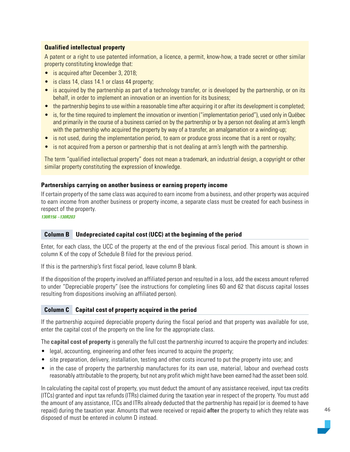## **Qualified intellectual property**

A patent or a right to use patented information, a licence, a permit, know-how, a trade secret or other similar property constituting knowledge that:

- is acquired after December 3, 2018;
- is class 14, class 14.1 or class 44 property;
- is acquired by the partnership as part of a technology transfer, or is developed by the partnership, or on its behalf, in order to implement an innovation or an invention for its business;
- the partnership begins to use within a reasonable time after acquiring it or after its development is completed;
- is, for the time required to implement the innovation or invention ("implementation period"), used only in Québec and primarily in the course of a business carried on by the partnership or by a person not dealing at arm's length with the partnership who acquired the property by way of a transfer, an amalgamation or a winding-up;
- is not used, during the implementation period, to earn or produce gross income that is a rent or royalty;
- is not acquired from a person or partnership that is not dealing at arm's length with the partnership.

The term "qualified intellectual property" does not mean a trademark, an industrial design, a copyright or other similar property constituting the expression of knowledge.

## **Partnerships carrying on another business or earning property income**

If certain property of the same class was acquired to earn income from a business, and other property was acquired to earn income from another business or property income, a separate class must be created for each business in respect of the property.

*130R156 –130R203*

#### **Column B Undepreciated capital cost (UCC) at the beginning of the period**

Enter, for each class, the UCC of the property at the end of the previous fiscal period. This amount is shown in column K of the copy of Schedule B filed for the previous period.

If this is the partnership's first fiscal period, leave column B blank.

If the disposition of the property involved an affiliated person and resulted in a loss, add the excess amount referred to under "Depreciable property" (see the instructions for completing lines 60 and 62 that discuss capital losses resulting from dispositions involving an affiliated person).

## **Column C Capital cost of property acquired in the period**

If the partnership acquired depreciable property during the fiscal period and that property was available for use, enter the capital cost of the property on the line for the appropriate class.

The **capital cost of property** is generally the full cost the partnership incurred to acquire the property and includes:

- legal, accounting, engineering and other fees incurred to acquire the property;
- site preparation, delivery, installation, testing and other costs incurred to put the property into use; and
- in the case of property the partnership manufactures for its own use, material, labour and overhead costs reasonably attributable to the property, but not any profit which might have been earned had the asset been sold.

In calculating the capital cost of property, you must deduct the amount of any assistance received, input tax credits (ITCs) granted and input tax refunds (ITRs) claimed during the taxation year in respect of the property. You must add the amount of any assistance, ITCs and ITRs already deducted that the partnership has repaid (or is deemed to have repaid) during the taxation year. Amounts that were received or repaid **after** the property to which they relate was disposed of must be entered in column D instead.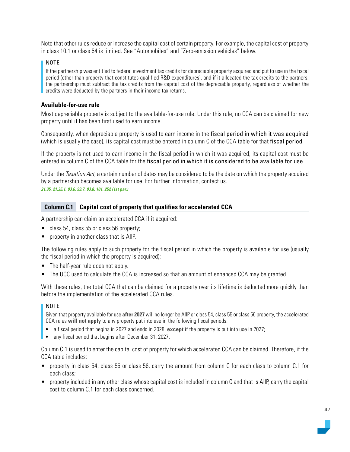Note that other rules reduce or increase the capital cost of certain property. For example, the capital cost of property in class 10.1 or class 54 is limited. See "Automobiles" and "Zero-emission vehicles" below.

#### NOTE

If the partnership was entitled to federal investment tax credits for depreciable property acquired and put to use in the fiscal period (other than property that constitutes qualified R&D expenditures), and if it allocated the tax credits to the partners, the partnership must subtract the tax credits from the capital cost of the depreciable property, regardless of whether the credits were deducted by the partners in their income tax returns.

#### **Available-for-use rule**

Most depreciable property is subject to the available-for-use rule. Under this rule, no CCA can be claimed for new property until it has been first used to earn income.

Consequently, when depreciable property is used to earn income in the fiscal period in which it was acquired (which is usually the case), its capital cost must be entered in column C of the CCA table for that fiscal period.

If the property is not used to earn income in the fiscal period in which it was acquired, its capital cost must be entered in column C of the CCA table for the fiscal period in which it is considered to be available for use.

Under the Taxation Act, a certain number of dates may be considered to be the date on which the property acquired by a partnership becomes available for use. For further information, contact us. *21.35, 21.35.1. 93.6, 93.7, 93.8, 101, 252 (1st par.)*

#### **Column C.1 Capital cost of property that qualifies for accelerated CCA**

A partnership can claim an accelerated CCA if it acquired:

- class 54, class 55 or class 56 property;
- property in another class that is AIIP.

The following rules apply to such property for the fiscal period in which the property is available for use (usually the fiscal period in which the property is acquired):

- The half-year rule does not apply.
- The UCC used to calculate the CCA is increased so that an amount of enhanced CCA may be granted.

With these rules, the total CCA that can be claimed for a property over its lifetime is deducted more quickly than before the implementation of the accelerated CCA rules.

#### NOTE

Given that property available for use **after 2027** will no longer be AIIP or class 54, class 55 or class 56 property, the accelerated CCA rules **will not apply** to any property put into use in the following fiscal periods:

- a fiscal period that begins in 2027 and ends in 2028, **except** if the property is put into use in 2027;
- any fiscal period that begins after December 31, 2027.

Column C.1 is used to enter the capital cost of property for which accelerated CCA can be claimed. Therefore, if the CCA table includes:

- property in class 54, class 55 or class 56, carry the amount from column C for each class to column C.1 for each class;
- property included in any other class whose capital cost is included in column C and that is AIIP, carry the capital cost to column C.1 for each class concerned.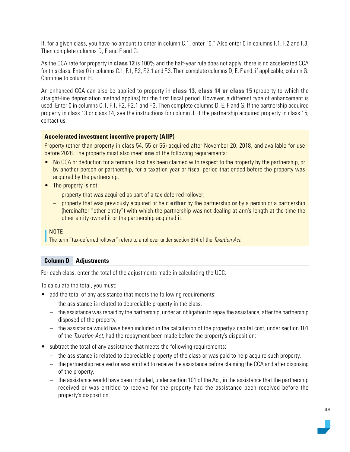If, for a given class, you have no amount to enter in column C.1, enter "0." Also enter 0 in columns F.1, F.2 and F.3. Then complete columns D, E and F and G.

As the CCA rate for property in **class 12** is 100% and the half-year rule does not apply, there is no accelerated CCA for this class. Enter 0 in columns C.1, F.1, F.2, F.2.1 and F.3. Then complete columns D, E, F and, if applicable, column G. Continue to column H.

An enhanced CCA can also be applied to property in **class 13, class 14 or class 15** (property to which the straight-line depreciation method applies) for the first fiscal period. However, a different type of enhancement is used. Enter 0 in columns C.1, F.1, F.2, F.2.1 and F.3. Then complete columns D, E, F and G. If the partnership acquired property in class 13 or class 14, see the instructions for column J. If the partnership acquired property in class 15, contact us.

#### **Accelerated investment incentive property (AIIP)**

Property (other than property in class 54, 55 or 56) acquired after November 20, 2018, and available for use before 2028. The property must also meet **one** of the following requirements:

- No CCA or deduction for a terminal loss has been claimed with respect to the property by the partnership, or by another person or partnership, for a taxation year or fiscal period that ended before the property was acquired by the partnership.
- The property is not:
	- property that was acquired as part of a tax-deferred rollover;
	- property that was previously acquired or held **either** by the partnership **or** by a person or a partnership (hereinafter "other entity") with which the partnership was not dealing at arm's length at the time the other entity owned it or the partnership acquired it.

#### NOTE

The term "tax-deferred rollover" refers to a rollover under section 614 of the Taxation Act.

#### **Column D Adjustments**

For each class, enter the total of the adjustments made in calculating the UCC.

To calculate the total, you must:

- add the total of any assistance that meets the following requirements:
	- the assistance is related to depreciable property in the class,
	- the assistance was repaid by the partnership, under an obligation to repay the assistance, after the partnership disposed of the property,
	- the assistance would have been included in the calculation of the property's capital cost, under section 101 of the *Taxation Act*, had the repayment been made before the property's disposition;
- subtract the total of any assistance that meets the following requirements:
	- the assistance is related to depreciable property of the class or was paid to help acquire such property,
	- the partnership received or was entitled to receive the assistance before claiming the CCA and after disposing of the property,
	- the assistance would have been included, under section 101 of the Act, in the assistance that the partnership received or was entitled to receive for the property had the assistance been received before the property's disposition.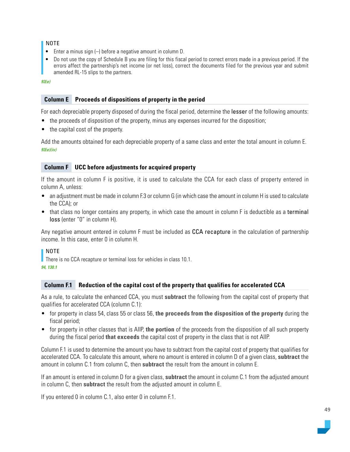## NOTE

- Enter a minus sign (–) before a negative amount in column D.
- Do not use the copy of Schedule B you are filing for this fiscal period to correct errors made in a previous period. If the errors affect the partnership's net income (or net loss), correct the documents filed for the previous year and submit amended RL-15 slips to the partners.

*93(e)*

## **Column E Proceeds of dispositions of property in the period**

For each depreciable property disposed of during the fiscal period, determine the lesser of the following amounts:

- the proceeds of disposition of the property, minus any expenses incurred for the disposition;
- the capital cost of the property.

Add the amounts obtained for each depreciable property of a same class and enter the total amount in column E. *93(e)(iv)*

## **Column F UCC before adjustments for acquired property**

If the amount in column F is positive, it is used to calculate the CCA for each class of property entered in column A, unless:

- an adjustment must be made in column F.3 or column G (in which case the amount in column H is used to calculate the CCA); or
- that class no longer contains any property, in which case the amount in column F is deductible as a terminal loss (enter "0" in column H).

Any negative amount entered in column F must be included as CCA recapture in the calculation of partnership income. In this case, enter 0 in column H.

#### NOTE

There is no CCA recapture or terminal loss for vehicles in class 10.1.

#### *94, 130.1*

## **Column F.1 Reduction of the capital cost of the property that qualifies for accelerated CCA**

As a rule, to calculate the enhanced CCA, you must **subtract** the following from the capital cost of property that qualifies for accelerated CCA (column C.1):

- for property in class 54, class 55 or class 56, **the proceeds from the disposition of the property** during the fiscal period;
- for property in other classes that is AIIP, **the portion** of the proceeds from the disposition of all such property during the fiscal period **that exceeds** the capital cost of property in the class that is not AIIP.

Column F.1 is used to determine the amount you have to subtract from the capital cost of property that qualifies for accelerated CCA. To calculate this amount, where no amount is entered in column D of a given class, **subtract** the amount in column C.1 from column C, then **subtract** the result from the amount in column E.

If an amount is entered in column D for a given class, **subtract** the amount in column C.1 from the adjusted amount in column C, then **subtract** the result from the adjusted amount in column E.

If you entered 0 in column C.1, also enter 0 in column F.1.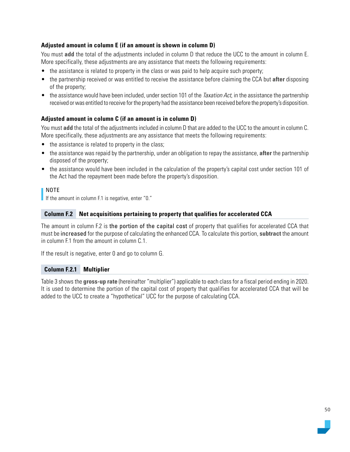## **Adjusted amount in column E (if an amount is shown in column D)**

You must **add** the total of the adjustments included in column D that reduce the UCC to the amount in column E. More specifically, these adjustments are any assistance that meets the following requirements:

- the assistance is related to property in the class or was paid to help acquire such property;
- the partnership received or was entitled to receive the assistance before claiming the CCA but **after** disposing of the property;
- $\bullet$  the assistance would have been included, under section 101 of the *Taxation Act*, in the assistance the partnership received or was entitled to receive for the property had the assistance been received before the property's disposition.

## **Adjusted amount in column C (if an amount is in column D)**

You must **add** the total of the adjustments included in column D that are added to the UCC to the amount in column C. More specifically, these adjustments are any assistance that meets the following requirements:

- the assistance is related to property in the class;
- the assistance was repaid by the partnership, under an obligation to repay the assistance, **after** the partnership disposed of the property;
- the assistance would have been included in the calculation of the property's capital cost under section 101 of the Act had the repayment been made before the property's disposition.

## NOTE

If the amount in column F.1 is negative, enter "0."

## **Column F.2 Net acquisitions pertaining to property that qualifies for accelerated CCA**

The amount in column F.2 is the portion of the capital cost of property that qualifies for accelerated CCA that must be increased for the purpose of calculating the enhanced CCA. To calculate this portion, **subtract** the amount in column F.1 from the amount in column C.1.

If the result is negative, enter 0 and go to column G.

#### **Column F.2.1 Multiplier**

Table 3 shows the **gross-up rate** (hereinafter "multiplier") applicable to each class for a fiscal period ending in 2020. It is used to determine the portion of the capital cost of property that qualifies for accelerated CCA that will be added to the UCC to create a "hypothetical" UCC for the purpose of calculating CCA.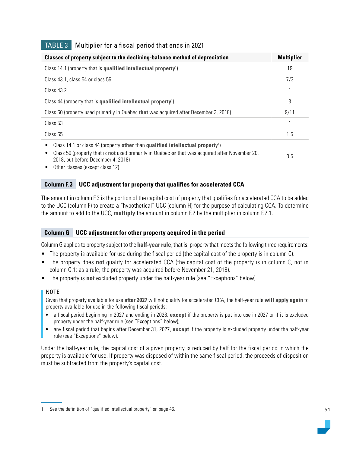| Classes of property subject to the declining-balance method of depreciation                                                                                                                                                                                                           |     |
|---------------------------------------------------------------------------------------------------------------------------------------------------------------------------------------------------------------------------------------------------------------------------------------|-----|
| Class 14.1 (property that is qualified intellectual property <sup>1</sup> )                                                                                                                                                                                                           | 19  |
| Class 43.1, class 54 or class 56                                                                                                                                                                                                                                                      | 7/3 |
| Class 43.2                                                                                                                                                                                                                                                                            |     |
| Class 44 (property that is qualified intellectual property <sup>1</sup> )                                                                                                                                                                                                             |     |
| Class 50 (property used primarily in Québec that was acquired after December 3, 2018)                                                                                                                                                                                                 |     |
| Class 53                                                                                                                                                                                                                                                                              |     |
| Class 55                                                                                                                                                                                                                                                                              |     |
| Class 14.1 or class 44 (property other than qualified intellectual property <sup>1</sup> )<br>٠<br>Class 50 (property that is not used primarily in Québec or that was acquired after November 20,<br>٠<br>2018, but before December 4, 2018)<br>Other classes (except class 12)<br>٠ |     |

## TABLE 3 Multiplier for a fiscal period that ends in 2021

## **Column F.3 UCC adjustment for property that qualifies for accelerated CCA**

The amount in column F.3 is the portion of the capital cost of property that qualifies for accelerated CCA to be added to the UCC (column F) to create a "hypothetical" UCC (column H) for the purpose of calculating CCA. To determine the amount to add to the UCC, **multiply** the amount in column F.2 by the multiplier in column F.2.1.

#### **Column G UCC adjustment for other property acquired in the period**

Column G applies to property subject to the **half-year rule**, that is, property that meets the following three requirements:

- The property is available for use during the fiscal period (the capital cost of the property is in column C).
- The property does **not** qualify for accelerated CCA (the capital cost of the property is in column C, not in column C.1; as a rule, the property was acquired before November 21, 2018).
- The property is **not** excluded property under the half-year rule (see "Exceptions" below).

#### NOTE

Given that property available for use **after 2027** will not qualify for accelerated CCA, the half-year rule **will apply again** to property available for use in the following fiscal periods:

- a fiscal period beginning in 2027 and ending in 2028, **except** if the property is put into use in 2027 or if it is excluded property under the half-year rule (see "Exceptions" below);
- any fiscal period that begins after December 31, 2027, **except** if the property is excluded property under the half-year rule (see "Exceptions" below).

Under the half-year rule, the capital cost of a given property is reduced by half for the fiscal period in which the property is available for use. If property was disposed of within the same fiscal period, the proceeds of disposition must be subtracted from the property's capital cost.

<sup>1.</sup> See the definition of "qualified intellectual property" on page 46.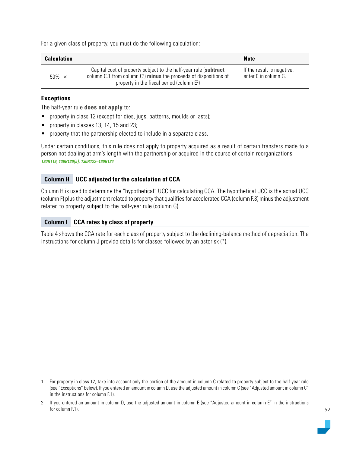For a given class of property, you must do the following calculation:

| <b>Calculation</b> |                                                                                                                                                                                          | <b>Note</b>                                        |
|--------------------|------------------------------------------------------------------------------------------------------------------------------------------------------------------------------------------|----------------------------------------------------|
| $50\% \times$      | Capital cost of property subject to the half-year rule (subtract<br>column $C.1$ from column $C1$ minus the proceeds of dispositions of<br>property in the fiscal period (column $E^2$ ) | If the result is negative,<br>enter 0 in column G. |

## **Exceptions**

The half-year rule **does not apply** to:

- property in class 12 (except for dies, jugs, patterns, moulds or lasts);
- property in classes 13, 14, 15 and 23;
- property that the partnership elected to include in a separate class.

Under certain conditions, this rule does not apply to property acquired as a result of certain transfers made to a person not dealing at arm's length with the partnership or acquired in the course of certain reorganizations. *130R119, 130R120(a), 130R122–130R124*

## **Column H UCC adjusted for the calculation of CCA**

Column H is used to determine the "hypothetical" UCC for calculating CCA. The hypothetical UCC is the actual UCC (column F) plus the adjustment related to property that qualifies for accelerated CCA (column F.3) minus the adjustment related to property subject to the half-year rule (column G).

## **Column I CCA rates by class of property**

Table 4 shows the CCA rate for each class of property subject to the declining-balance method of depreciation. The instructions for column J provide details for classes followed by an asterisk (\*).

<sup>1.</sup> For property in class 12, take into account only the portion of the amount in column C related to property subject to the half-year rule (see "Exceptions" below). If you entered an amount in column D, use the adjusted amount in column C (see "Adjusted amount in column C" in the instructions for column F.1).

<sup>2.</sup> If you entered an amount in column D, use the adjusted amount in column E (see "Adjusted amount in column E" in the instructions for column F.1).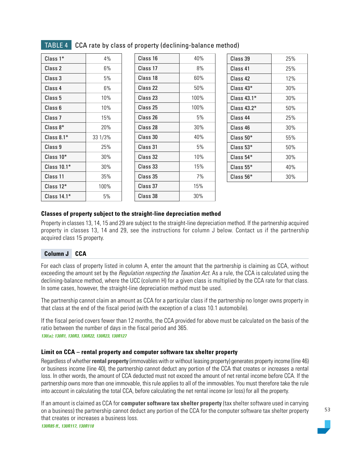| $Class 1*$    | $4\%$   |
|---------------|---------|
| Class 2       | 6%      |
| Class 3       | 5%      |
| Class 4       | 6%      |
| Class 5       | 10%     |
| Class 6       | 10%     |
| Class 7       | 15%     |
| $Class 8*$    | 20%     |
| Class $8.1*$  | 33 1/3% |
| Class 9       | 25%     |
| Class $10*$   | 30%     |
| Class $10.1*$ | 30%     |
| Class 11      | 35%     |
| Class 12*     | 100%    |
| Class $14.1*$ | 5%      |

## TABLE 4 CCA rate by class of property (declining-balance method)

| Class 16 | 40%  |  |
|----------|------|--|
| Class 17 | 8%   |  |
| Class 18 | 60%  |  |
| Class 22 | 50%  |  |
| Class 23 | 100% |  |
| Class 25 | 100% |  |
| Class 26 | 5%   |  |
| Class 28 | 30%  |  |
| Class 30 | 40%  |  |
| Class 31 | 5%   |  |
| Class 32 | 10%  |  |
| Class 33 | 15%  |  |
| Class 35 | 7%   |  |
| Class 37 | 15%  |  |
| Class 38 | 30%  |  |

| Class 39                 | 25% |
|--------------------------|-----|
| Class 41                 | 25% |
| Class 42                 | 12% |
| $\mathsf{Class}\ 43^*$   | 30% |
| $\mathsf{Class}\ 43.1^*$ | 30% |
| $\rm{Class}$ 43.2 $^*$   | 50% |
| Class 44                 | 25% |
| Class 46                 | 30% |
| $Class 50*$              | 55% |
| $\mathsf{Class}\: 53^*$  | 50% |
| $\mathsf{Class}\: 54^*$  | 30% |
| $Class 55*$              | 40% |
| $\mathsf{Class}\: 56^*$  | 30% |
|                          |     |

## **Classes of property subject to the straight-line depreciation method**

Property in classes 13, 14, 15 and 29 are subject to the straight-line depreciation method. If the partnership acquired property in classes 13, 14 and 29, see the instructions for column J below. Contact us if the partnership acquired class 15 property.

## **Column J CCA**

For each class of property listed in column A, enter the amount that the partnership is claiming as CCA, without exceeding the amount set by the *Regulation respecting the Taxation Act*. As a rule, the CCA is calculated using the declining-balance method, where the UCC (column H) for a given class is multiplied by the CCA rate for that class. In some cases, however, the straight-line depreciation method must be used.

The partnership cannot claim an amount as CCA for a particular class if the partnership no longer owns property in that class at the end of the fiscal period (with the exception of a class 10.1 automobile).

If the fiscal period covers fewer than 12 months, the CCA provided for above must be calculated on the basis of the ratio between the number of days in the fiscal period and 365.

*130(a); 130R1, 130R3, 130R22, 130R23, 130R127*

#### **Limit on CCA – rental property and computer software tax shelter property**

Regardless of whether **rental property** (immovables with or without leasing property) generates property income (line 46) or business income (line 40), the partnership cannot deduct any portion of the CCA that creates or increases a rental loss. In other words, the amount of CCA deducted must not exceed the amount of net rental income before CCA. If the partnership owns more than one immovable, this rule applies to all of the immovables. You must therefore take the rule into account in calculating the total CCA, before calculating the net rental income (or loss) for all the property.

If an amount is claimed as CCA for **computer software tax shelter property** (tax shelter software used in carrying on a business) the partnership cannot deduct any portion of the CCA for the computer software tax shelter property that creates or increases a business loss.

*130R85 ff., 130R117, 130R118*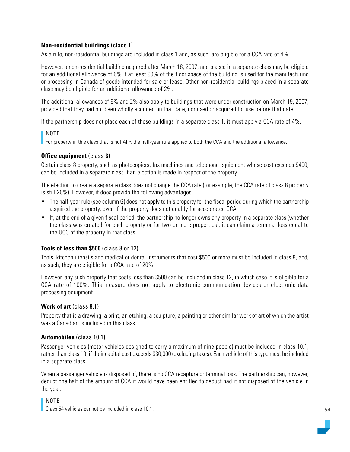## **Non-residential buildings** (class 1)

As a rule, non-residential buildings are included in class 1 and, as such, are eligible for a CCA rate of 4%.

However, a non-residential building acquired after March 18, 2007, and placed in a separate class may be eligible for an additional allowance of 6% if at least 90% of the floor space of the building is used for the manufacturing or processing in Canada of goods intended for sale or lease. Other non-residential buildings placed in a separate class may be eligible for an additional allowance of 2%.

The additional allowances of 6% and 2% also apply to buildings that were under construction on March 19, 2007, provided that they had not been wholly acquired on that date, nor used or acquired for use before that date.

If the partnership does not place each of these buildings in a separate class 1, it must apply a CCA rate of 4%.

## NOTE

For property in this class that is not AIIP, the half-year rule applies to both the CCA and the additional allowance.

## **Office equipment** (class 8)

Certain class 8 property, such as photocopiers, fax machines and telephone equipment whose cost exceeds \$400, can be included in a separate class if an election is made in respect of the property.

The election to create a separate class does not change the CCA rate (for example, the CCA rate of class 8 property is still 20%). However, it does provide the following advantages:

- The half-year rule (see column G) does not apply to this property for the fiscal period during which the partnership acquired the property, even if the property does not qualify for accelerated CCA.
- If, at the end of a given fiscal period, the partnership no longer owns any property in a separate class (whether the class was created for each property or for two or more properties), it can claim a terminal loss equal to the UCC of the property in that class.

## **Tools of less than \$500** (class 8 or 12)

Tools, kitchen utensils and medical or dental instruments that cost \$500 or more must be included in class 8, and, as such, they are eligible for a CCA rate of 20%.

However, any such property that costs less than \$500 can be included in class 12, in which case it is eligible for a CCA rate of 100%. This measure does not apply to electronic communication devices or electronic data processing equipment.

#### **Work of art** (class 8.1)

Property that is a drawing, a print, an etching, a sculpture, a painting or other similar work of art of which the artist was a Canadian is included in this class.

#### **Automobiles** (class 10.1)

Passenger vehicles (motor vehicles designed to carry a maximum of nine people) must be included in class 10.1, rather than class 10, if their capital cost exceeds \$30,000 (excluding taxes). Each vehicle of this type must be included in a separate class.

When a passenger vehicle is disposed of, there is no CCA recapture or terminal loss. The partnership can, however, deduct one half of the amount of CCA it would have been entitled to deduct had it not disposed of the vehicle in the year.

#### NOTE

Class 54 vehicles cannot be included in class 10.1.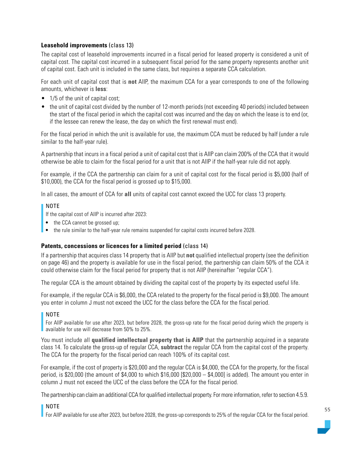## **Leasehold improvements** (class 13)

The capital cost of leasehold improvements incurred in a fiscal period for leased property is considered a unit of capital cost. The capital cost incurred in a subsequent fiscal period for the same property represents another unit of capital cost. Each unit is included in the same class, but requires a separate CCA calculation.

For each unit of capital cost that is **not** AIIP, the maximum CCA for a year corresponds to one of the following amounts, whichever is **less**:

- 1/5 of the unit of capital cost;
- the unit of capital cost divided by the number of 12-month periods (not exceeding 40 periods) included between the start of the fiscal period in which the capital cost was incurred and the day on which the lease is to end (or, if the lessee can renew the lease, the day on which the first renewal must end).

For the fiscal period in which the unit is available for use, the maximum CCA must be reduced by half (under a rule similar to the half-year rule).

A partnership that incurs in a fiscal period a unit of capital cost that is AIIP can claim 200% of the CCA that it would otherwise be able to claim for the fiscal period for a unit that is not AIIP if the half-year rule did not apply.

For example, if the CCA the partnership can claim for a unit of capital cost for the fiscal period is \$5,000 (half of \$10,000), the CCA for the fiscal period is grossed up to \$15,000.

In all cases, the amount of CCA for **all** units of capital cost cannot exceed the UCC for class 13 property.

## NOTE

If the capital cost of AIIP is incurred after 2023:

- the CCA cannot be grossed up;
- the rule similar to the half-year rule remains suspended for capital costs incurred before 2028.

## **Patents, concessions or licences for a limited period** (class 14)

If a partnership that acquires class 14 property that is AIIP but **not** qualified intellectual property (see the definition on page 46) and the property is available for use in the fiscal period, the partnership can claim 50% of the CCA it could otherwise claim for the fiscal period for property that is not AIIP (hereinafter "regular CCA").

The regular CCA is the amount obtained by dividing the capital cost of the property by its expected useful life.

For example, if the regular CCA is \$6,000, the CCA related to the property for the fiscal period is \$9,000. The amount you enter in column J must not exceed the UCC for the class before the CCA for the fiscal period.

## NOTE

For AIIP available for use after 2023, but before 2028, the gross-up rate for the fiscal period during which the property is available for use will decrease from 50% to 25%.

You must include all **qualified intellectual property that is AIIP** that the partnership acquired in a separate class 14. To calculate the gross-up of regular CCA, **subtract** the regular CCA from the capital cost of the property. The CCA for the property for the fiscal period can reach 100% of its capital cost.

For example, if the cost of property is \$20,000 and the regular CCA is \$4,000, the CCA for the property, for the fiscal period, is \$20,000 (the amount of \$4,000 to which \$16,000  $[$20,000 - $4,000]$  is added). The amount you enter in column J must not exceed the UCC of the class before the CCA for the fiscal period.

The partnership can claim an additional CCA for qualified intellectual property. For more information, refer to section 4.5.9.

## NOTE

For AIIP available for use after 2023, but before 2028, the gross-up corresponds to 25% of the regular CCA for the fiscal period.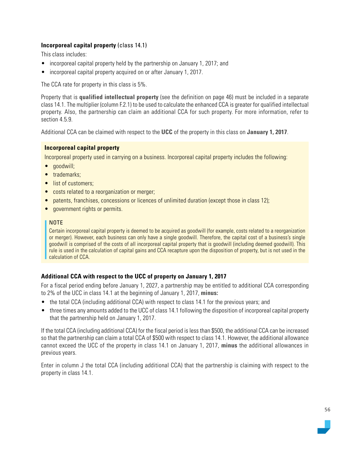## **Incorporeal capital property** (class 14.1)

This class includes:

- incorporeal capital property held by the partnership on January 1, 2017; and
- incorporeal capital property acquired on or after January 1, 2017.

The CCA rate for property in this class is 5%.

Property that is **qualified intellectual property** (see the definition on page 46) must be included in a separate class 14.1. The multiplier (column F.2.1) to be used to calculate the enhanced CCA is greater for qualified intellectual property. Also, the partnership can claim an additional CCA for such property. For more information, refer to section 4.5.9.

Additional CCA can be claimed with respect to the **UCC** of the property in this class on **January 1, 2017**.

## **Incorporeal capital property**

Incorporeal property used in carrying on a business. Incorporeal capital property includes the following:

- goodwill;
- trademarks:
- list of customers:
- costs related to a reorganization or merger;
- patents, franchises, concessions or licences of unlimited duration (except those in class 12);
- government rights or permits.

## NOTE

Certain incorporeal capital property is deemed to be acquired as goodwill (for example, costs related to a reorganization or merger). However, each business can only have a single goodwill. Therefore, the capital cost of a business's single goodwill is comprised of the costs of all incorporeal capital property that is goodwill (including deemed goodwill). This rule is used in the calculation of capital gains and CCA recapture upon the disposition of property, but is not used in the calculation of CCA.

## **Additional CCA with respect to the UCC of property on January 1, 2017**

For a fiscal period ending before January 1, 2027, a partnership may be entitled to additional CCA corresponding to 2% of the UCC in class 14.1 at the beginning of January 1, 2017, **minus:**

- the total CCA (including additional CCA) with respect to class 14.1 for the previous years; and
- three times any amounts added to the UCC of class 14.1 following the disposition of incorporeal capital property that the partnership held on January 1, 2017.

If the total CCA (including additional CCA) for the fiscal period is less than \$500, the additional CCA can be increased so that the partnership can claim a total CCA of \$500 with respect to class 14.1. However, the additional allowance cannot exceed the UCC of the property in class 14.1 on January 1, 2017, **minus** the additional allowances in previous years.

Enter in column J the total CCA (including additional CCA) that the partnership is claiming with respect to the property in class 14.1.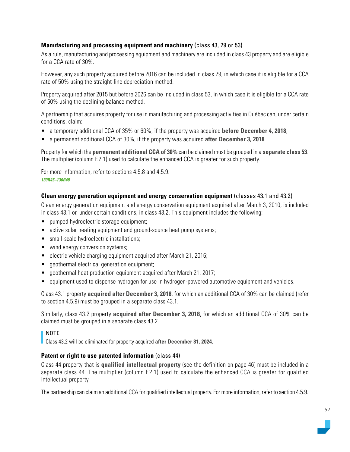## **Manufacturing and processing equipment and machinery** (class 43, 29 or 53)

As a rule, manufacturing and processing equipment and machinery are included in class 43 property and are eligible for a CCA rate of 30%.

However, any such property acquired before 2016 can be included in class 29, in which case it is eligible for a CCA rate of 50% using the straight-line depreciation method.

Property acquired after 2015 but before 2026 can be included in class 53, in which case it is eligible for a CCA rate of 50% using the declining-balance method.

A partnership that acquires property for use in manufacturing and processing activities in Québec can, under certain conditions, claim:

- a temporary additional CCA of 35% or 60%, if the property was acquired **before December 4, 2018**;
- a permanent additional CCA of 30%, if the property was acquired **after December 3, 2018**.

Property for which the **permanent additional CCA of 30%** can be claimed must be grouped in a **separate class 53**. The multiplier (column F.2.1) used to calculate the enhanced CCA is greater for such property.

For more information, refer to sections 4.5.8 and 4.5.9. *130R45–130R48*

## **Clean energy generation equipment and energy conservation equipment** (classes 43.1 and 43.2)

Clean energy generation equipment and energy conservation equipment acquired after March 3, 2010, is included in class 43.1 or, under certain conditions, in class 43.2. This equipment includes the following:

- pumped hydroelectric storage equipment;
- active solar heating equipment and ground-source heat pump systems;
- small-scale hydroelectric installations;
- wind energy conversion systems;
- electric vehicle charging equipment acquired after March 21, 2016;
- geothermal electrical generation equipment;
- geothermal heat production equipment acquired after March 21, 2017;
- equipment used to dispense hydrogen for use in hydrogen-powered automotive equipment and vehicles.

Class 43.1 property **acquired after December 3, 2018**, for which an additional CCA of 30% can be claimed (refer to section 4.5.9) must be grouped in a separate class 43.1.

Similarly, class 43.2 property **acquired after December 3, 2018**, for which an additional CCA of 30% can be claimed must be grouped in a separate class 43.2.

## NOTE

Class 43.2 will be eliminated for property acquired **after December 31, 2024**.

## **Patent or right to use patented information** (class 44)

Class 44 property that is **qualified intellectual property** (see the definition on page 46) must be included in a separate class 44. The multiplier (column F.2.1) used to calculate the enhanced CCA is greater for qualified intellectual property.

The partnership can claim an additional CCA for qualified intellectual property. For more information, refer to section 4.5.9.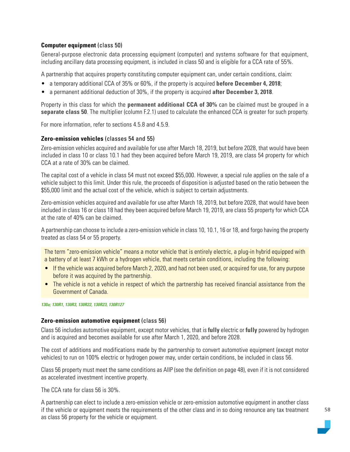## **Computer equipment (class 50)**

General-purpose electronic data processing equipment (computer) and systems software for that equipment, including ancillary data processing equipment, is included in class 50 and is eligible for a CCA rate of 55%.

A partnership that acquires property constituting computer equipment can, under certain conditions, claim:

- a temporary additional CCA of 35% or 60%, if the property is acquired **before December 4, 2018**;
- a permanent additional deduction of 30%, if the property is acquired **after December 3, 2018**.

Property in this class for which the **permanent additional CCA of 30%** can be claimed must be grouped in a **separate class 50**. The multiplier (column F.2.1) used to calculate the enhanced CCA is greater for such property.

For more information, refer to sections 4.5.8 and 4.5.9.

## **Zero-emission vehicles** (classes 54 and 55)

Zero-emission vehicles acquired and available for use after March 18, 2019, but before 2028, that would have been included in class 10 or class 10.1 had they been acquired before March 19, 2019, are class 54 property for which CCA at a rate of 30% can be claimed.

The capital cost of a vehicle in class 54 must not exceed \$55,000. However, a special rule applies on the sale of a vehicle subject to this limit. Under this rule, the proceeds of disposition is adjusted based on the ratio between the \$55,000 limit and the actual cost of the vehicle, which is subject to certain adjustments.

Zero-emission vehicles acquired and available for use after March 18, 2019, but before 2028, that would have been included in class 16 or class 18 had they been acquired before March 19, 2019, are class 55 property for which CCA at the rate of 40% can be claimed.

A partnership can choose to include a zero-emission vehicle in class 10, 10.1, 16 or 18, and forgo having the property treated as class 54 or 55 property.

The term "zero-emission vehicle" means a motor vehicle that is entirely electric, a plug-in hybrid equipped with a battery of at least 7 kWh or a hydrogen vehicle, that meets certain conditions, including the following:

- If the vehicle was acquired before March 2, 2020, and had not been used, or acquired for use, for any purpose before it was acquired by the partnership.
- The vehicle is not a vehicle in respect of which the partnership has received financial assistance from the Government of Canada.

*130a; 130R1, 130R3, 130R22, 130R23, 130R127*

#### **Zero-emission automotive equipment** (class 56)

Class 56 includes automotive equipment, except motor vehicles, that is **fully** electric or **fully** powered by hydrogen and is acquired and becomes available for use after March 1, 2020, and before 2028.

The cost of additions and modifications made by the partnership to convert automotive equipment (except motor vehicles) to run on 100% electric or hydrogen power may, under certain conditions, be included in class 56.

Class 56 property must meet the same conditions as AIIP (see the definition on page 48), even if it is not considered as accelerated investment incentive property.

The CCA rate for class 56 is 30%.

A partnership can elect to include a zero-emission vehicle or zero-emission automotive equipment in another class if the vehicle or equipment meets the requirements of the other class and in so doing renounce any tax treatment as class 56 property for the vehicle or equipment.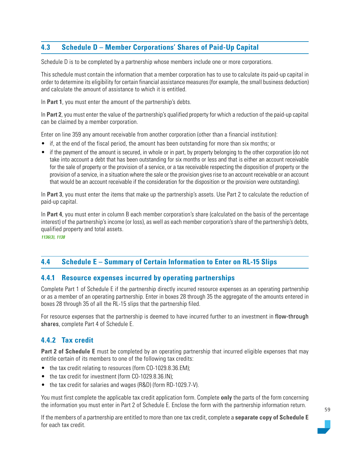# **4.3 Schedule D – Member Corporations' Shares of Paid-Up Capital**

Schedule D is to be completed by a partnership whose members include one or more corporations.

This schedule must contain the information that a member corporation has to use to calculate its paid-up capital in order to determine its eligibility for certain financial assistance measures (for example, the small business deduction) and calculate the amount of assistance to which it is entitled.

In **Part 1**, you must enter the amount of the partnership's debts.

In **Part 2**, you must enter the value of the partnership's qualified property for which a reduction of the paid-up capital can be claimed by a member corporation.

Enter on line 359 any amount receivable from another corporation (other than a financial institution):

- if, at the end of the fiscal period, the amount has been outstanding for more than six months; or
- if the payment of the amount is secured, in whole or in part, by property belonging to the other corporation (do not take into account a debt that has been outstanding for six months or less and that is either an account receivable for the sale of property or the provision of a service, or a tax receivable respecting the disposition of property or the provision of a service, in a situation where the sale or the provision gives rise to an account receivable or an account that would be an account receivable if the consideration for the disposition or the provision were outstanding).

In **Part 3**, you must enter the items that make up the partnership's assets. Use Part 2 to calculate the reduction of paid-up capital.

In **Part 4**, you must enter in column B each member corporation's share (calculated on the basis of the percentage interest) of the partnership's income (or loss), as well as each member corporation's share of the partnership's debts, qualified property and total assets.

*1136(3), 1138*

# **4.4 Schedule E – Summary of Certain Information to Enter on RL-15 Slips**

## **4.4.1 Resource expenses incurred by operating partnerships**

Complete Part 1 of Schedule E if the partnership directly incurred resource expenses as an operating partnership or as a member of an operating partnership. Enter in boxes 28 through 35 the aggregate of the amounts entered in boxes 28 through 35 of all the RL-15 slips that the partnership filed.

For resource expenses that the partnership is deemed to have incurred further to an investment in flow-through shares, complete Part 4 of Schedule E.

# **4.4.2 Tax credit**

**Part 2 of Schedule E** must be completed by an operating partnership that incurred eligible expenses that may entitle certain of its members to one of the following tax credits:

- the tax credit relating to resources (form CO-1029.8.36.EM);
- the tax credit for investment (form CO-1029.8.36.IN);
- the tax credit for salaries and wages (R&D) (form RD-1029.7-V).

You must first complete the applicable tax credit application form. Complete **only** the parts of the form concerning the information you must enter in Part 2 of Schedule E. Enclose the form with the partnership information return.

If the members of a partnership are entitled to more than one tax credit, complete a **separate copy of Schedule E**  for each tax credit.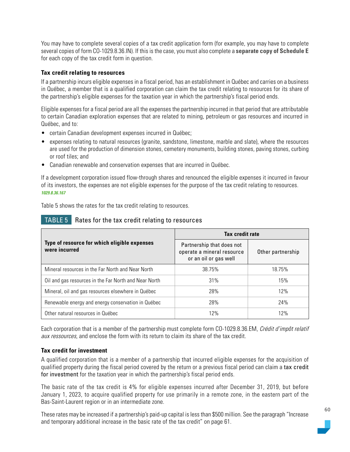You may have to complete several copies of a tax credit application form (for example, you may have to complete several copies of form CO-1029.8.36.IN). If this is the case, you must also complete a **separate copy of Schedule E**  for each copy of the tax credit form in question.

## **Tax credit relating to resources**

If a partnership incurs eligible expenses in a fiscal period, has an establishment in Québec and carries on a business in Québec, a member that is a qualified corporation can claim the tax credit relating to resources for its share of the partnership's eligible expenses for the taxation year in which the partnership's fiscal period ends.

Eligible expenses for a fiscal period are all the expenses the partnership incurred in that period that are attributable to certain Canadian exploration expenses that are related to mining, petroleum or gas resources and incurred in Québec, and to:

- certain Canadian development expenses incurred in Québec;
- expenses relating to natural resources (granite, sandstone, limestone, marble and slate), where the resources are used for the production of dimension stones, cemetery monuments, building stones, paving stones, curbing or roof tiles; and
- Canadian renewable and conservation expenses that are incurred in Québec.

If a development corporation issued flow-through shares and renounced the eligible expenses it incurred in favour of its investors, the expenses are not eligible expenses for the purpose of the tax credit relating to resources. *1029.8.36.167*

Table 5 shows the rates for the tax credit relating to resources.

|                                                               | <b>Tax credit rate</b>                                                           |                   |
|---------------------------------------------------------------|----------------------------------------------------------------------------------|-------------------|
| Type of resource for which eligible expenses<br>were incurred | Partnership that does not<br>operate a mineral resource<br>or an oil or gas well | Other partnership |
| Mineral resources in the Far North and Near North             | 38.75%                                                                           | 18.75%            |
| Oil and gas resources in the Far North and Near North         | 31%                                                                              | 15%               |
| Mineral, oil and gas resources elsewhere in Québec            | 28%                                                                              | 12%               |
| Renewable energy and energy conservation in Québec            | 28%                                                                              | 24%               |
| Other natural resources in Québec                             | 12%                                                                              | 12%               |

## TABLE 5 Rates for the tax credit relating to resources

Each corporation that is a member of the partnership must complete form CO-1029.8.36.EM, Crédit d'impôt relatif aux ressources, and enclose the form with its return to claim its share of the tax credit.

## **Tax credit for investment**

A qualified corporation that is a member of a partnership that incurred eligible expenses for the acquisition of qualified property during the fiscal period covered by the return or a previous fiscal period can claim a tax credit for investment for the taxation year in which the partnership's fiscal period ends.

The basic rate of the tax credit is 4% for eligible expenses incurred after December 31, 2019, but before January 1, 2023, to acquire qualified property for use primarily in a remote zone, in the eastern part of the Bas-Saint-Laurent region or in an intermediate zone.

These rates may be increased if a partnership's paid-up capital is less than \$500 million. See the paragraph "Increase and temporary additional increase in the basic rate of the tax credit" on page 61.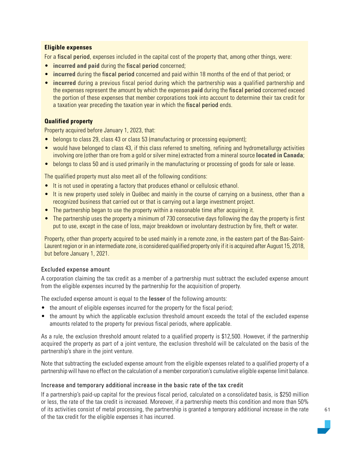## **Eligible expenses**

For a fiscal period, expenses included in the capital cost of the property that, among other things, were:

- **incurred and paid** during the fiscal period concerned;
- **incurred** during the fiscal period concerned and paid within 18 months of the end of that period; or
- **incurred** during a previous fiscal period during which the partnership was a qualified partnership and the expenses represent the amount by which the expenses **paid** during the fiscal period concerned exceed the portion of these expenses that member corporations took into account to determine their tax credit for a taxation year preceding the taxation year in which the fiscal period ends.

## **Qualified property**

Property acquired before January 1, 2023, that:

- belongs to class 29, class 43 or class 53 (manufacturing or processing equipment);
- would have belonged to class 43, if this class referred to smelting, refining and hydrometallurgy activities involving ore (other than ore from a gold or silver mine) extracted from a mineral source **located in Canada**;
- belongs to class 50 and is used primarily in the manufacturing or processing of goods for sale or lease.

The qualified property must also meet all of the following conditions:

- It is not used in operating a factory that produces ethanol or cellulosic ethanol.
- It is new property used solely in Québec and mainly in the course of carrying on a business, other than a recognized business that carried out or that is carrying out a large investment project.
- The partnership began to use the property within a reasonable time after acquiring it.
- The partnership uses the property a minimum of 730 consecutive days following the day the property is first put to use, except in the case of loss, major breakdown or involuntary destruction by fire, theft or water.

Property, other than property acquired to be used mainly in a remote zone, in the eastern part of the Bas-Saint-Laurent region or in an intermediate zone, is considered qualified property only if it is acquired after August 15, 2018, but before January 1, 2021.

## Excluded expense amount

A corporation claiming the tax credit as a member of a partnership must subtract the excluded expense amount from the eligible expenses incurred by the partnership for the acquisition of property.

The excluded expense amount is equal to the **lesser** of the following amounts:

- the amount of eligible expenses incurred for the property for the fiscal period;
- the amount by which the applicable exclusion threshold amount exceeds the total of the excluded expense amounts related to the property for previous fiscal periods, where applicable.

As a rule, the exclusion threshold amount related to a qualified property is \$12,500. However, if the partnership acquired the property as part of a joint venture, the exclusion threshold will be calculated on the basis of the partnership's share in the joint venture.

Note that subtracting the excluded expense amount from the eligible expenses related to a qualified property of a partnership will have no effect on the calculation of a member corporation's cumulative eligible expense limit balance.

#### Increase and temporary additional increase in the basic rate of the tax credit

If a partnership's paid-up capital for the previous fiscal period, calculated on a consolidated basis, is \$250 million or less, the rate of the tax credit is increased. Moreover, if a partnership meets this condition and more than 50% of its activities consist of metal processing, the partnership is granted a temporary additional increase in the rate of the tax credit for the eligible expenses it has incurred.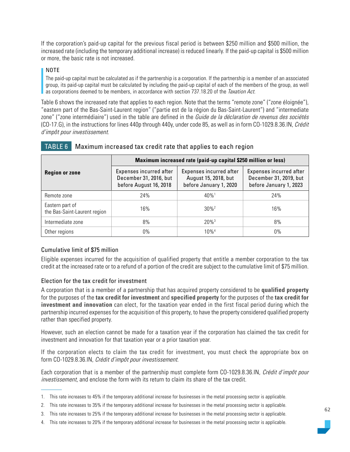If the corporation's paid-up capital for the previous fiscal period is between \$250 million and \$500 million, the increased rate (including the temporary additional increase) is reduced linearly. If the paid-up capital is \$500 million or more, the basic rate is not increased.

## NOTE

The paid-up capital must be calculated as if the partnership is a corporation. If the partnership is a member of an associated group, its paid-up capital must be calculated by including the paid-up capital of each of the members of the group, as well as corporations deemed to be members, in accordance with section 737.18.20 of the Taxation Act.

Table 6 shows the increased rate that applies to each region. Note that the terms "remote zone" ("zone éloignée"), "eastern part of the Bas-Saint-Laurent region" ("partie est de la région du Bas-Saint-Laurent") and "intermediate zone" ("zone intermédiaire") used in the table are defined in the Guide de la déclaration de revenus des sociétés (CO-17.G), in the instructions for lines 440p through 440y, under code 85, as well as in form CO-1029.8.36.IN, Crédit d'impôt pour investissement.

|                                                 | Maximum increased rate (paid-up capital \$250 million or less)              |                                                                           |                                                                             |  |
|-------------------------------------------------|-----------------------------------------------------------------------------|---------------------------------------------------------------------------|-----------------------------------------------------------------------------|--|
| <b>Region or zone</b>                           | Expenses incurred after<br>December 31, 2016, but<br>before August 16, 2018 | Expenses incurred after<br>August 15, 2018, but<br>before January 1, 2020 | Expenses incurred after<br>December 31, 2019, but<br>before January 1, 2023 |  |
| Remote zone                                     | 24%                                                                         | $40\%$ <sup>1</sup>                                                       | 24%                                                                         |  |
| Eastern part of<br>the Bas-Saint-Laurent region | 16%                                                                         | $30\%$ <sup>2</sup>                                                       | 16%                                                                         |  |
| Intermediate zone                               | 8%                                                                          | $20\%$ <sup>3</sup>                                                       | 8%                                                                          |  |
| Other regions                                   | $0\%$                                                                       | $10\%$ <sup>4</sup>                                                       | $0\%$                                                                       |  |

## TABLE 6 Maximum increased tax credit rate that applies to each region

## Cumulative limit of \$75 million

Eligible expenses incurred for the acquisition of qualified property that entitle a member corporation to the tax credit at the increased rate or to a refund of a portion of the credit are subject to the cumulative limit of \$75 million.

## Election for the tax credit for investment

A corporation that is a member of a partnership that has acquired property considered to be **qualified property** for the purposes of the **tax credit for investment** and **specified property** for the purposes of the **tax credit for investment and innovation** can elect, for the taxation year ended in the first fiscal period during which the partnership incurred expenses for the acquisition of this property, to have the property considered qualified property rather than specified property.

However, such an election cannot be made for a taxation year if the corporation has claimed the tax credit for investment and innovation for that taxation year or a prior taxation year.

If the corporation elects to claim the tax credit for investment, you must check the appropriate box on form CO-1029.8.36.IN, Crédit d'impôt pour investissement.

Each corporation that is a member of the partnership must complete form CO-1029.8.36.IN, Crédit d'impôt pour investissement, and enclose the form with its return to claim its share of the tax credit.

<sup>1.</sup> This rate increases to 45% if the temporary additional increase for businesses in the metal processing sector is applicable.

<sup>2.</sup> This rate increases to 35% if the temporary additional increase for businesses in the metal processing sector is applicable.

<sup>3.</sup> This rate increases to 25% if the temporary additional increase for businesses in the metal processing sector is applicable.

<sup>4.</sup> This rate increases to 20% if the temporary additional increase for businesses in the metal processing sector is applicable.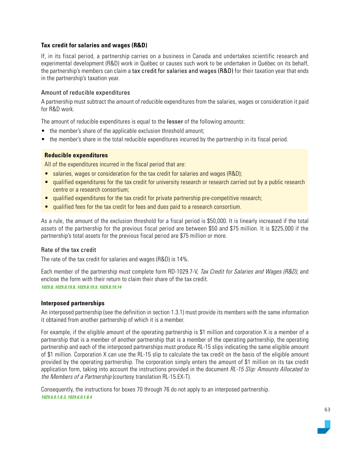## **Tax credit for salaries and wages (R&D)**

If, in its fiscal period, a partnership carries on a business in Canada and undertakes scientific research and experimental development (R&D) work in Québec or causes such work to be undertaken in Québec on its behalf, the partnership's members can claim a tax credit for salaries and wages (R&D) for their taxation year that ends in the partnership's taxation year.

## Amount of reducible expenditures

A partnership must subtract the amount of reducible expenditures from the salaries, wages or consideration it paid for R&D work.

The amount of reducible expenditures is equal to the **lesser** of the following amounts:

- the member's share of the applicable exclusion threshold amount;
- the member's share in the total reducible expenditures incurred by the partnership in its fiscal period.

## **Reducible expenditures**

All of the expenditures incurred in the fiscal period that are:

- salaries, wages or consideration for the tax credit for salaries and wages (R&D);
- qualified expenditures for the tax credit for university research or research carried out by a public research centre or a research consortium;
- qualified expenditures for the tax credit for private partnership pre-competitive research;
- qualified fees for the tax credit for fees and dues paid to a research consortium.

As a rule, the amount of the exclusion threshold for a fiscal period is \$50,000. It is linearly increased if the total assets of the partnership for the previous fiscal period are between \$50 and \$75 million. It is \$225,000 if the partnership's total assets for the previous fiscal period are \$75 million or more.

#### Rate of the tax credit

The rate of the tax credit for salaries and wages (R&D) is 14%.

Each member of the partnership must complete form RD-1029.7-V, Tax Credit for Salaries and Wages (R&D), and enclose the form with their return to claim their share of the tax credit. *1029.8, 1029.8.19.8, 1029.8.19.9, 1029.8.19.14*

# **Interposed partnerships**

An interposed partnership (see the definition in section 1.3.1) must provide its members with the same information it obtained from another partnership of which it is a member.

For example, if the eligible amount of the operating partnership is \$1 million and corporation X is a member of a partnership that is a member of another partnership that is a member of the operating partnership, the operating partnership and each of the interposed partnerships must produce RL-15 slips indicating the same eligible amount of \$1 million. Corporation X can use the RL-15 slip to calculate the tax credit on the basis of the eligible amount provided by the operating partnership. The corporation simply enters the amount of \$1 million on its tax credit application form, taking into account the instructions provided in the document RL-15 Slip: Amounts Allocated to the Members of a Partnership (courtesy translation RL-15.EX-T).

Consequently, the instructions for boxes 70 through 76 do not apply to an interposed partnership. *1029.6.0.1.8.3, 1029.6.0.1.8.4*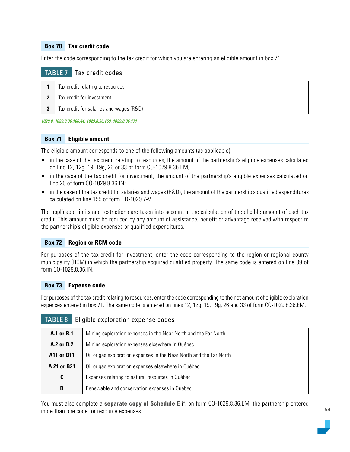## **Box 70 Tax credit code**

Enter the code corresponding to the tax credit for which you are entering an eligible amount in box 71.

## TABLE 7 Tax credit codes

| Tax credit relating to resources        |
|-----------------------------------------|
| Tax credit for investment               |
| Tax credit for salaries and wages (R&D) |

*1029.8, 1029.8.36.166.44, 1029.8.36.169, 1029.8.36.171*

#### **Box 71 Eligible amount**

The eligible amount corresponds to one of the following amounts (as applicable):

- in the case of the tax credit relating to resources, the amount of the partnership's eligible expenses calculated on line 12, 12g, 19, 19g, 26 or 33 of form CO-1029.8.36.EM;
- in the case of the tax credit for investment, the amount of the partnership's eligible expenses calculated on line 20 of form CO-1029.8.36.IN;
- in the case of the tax credit for salaries and wages (R&D), the amount of the partnership's qualified expenditures calculated on line 155 of form RD-1029.7-V.

The applicable limits and restrictions are taken into account in the calculation of the eligible amount of each tax credit. This amount must be reduced by any amount of assistance, benefit or advantage received with respect to the partnership's eligible expenses or qualified expenditures.

## **Box 72 Region or RCM code**

For purposes of the tax credit for investment, enter the code corresponding to the region or regional county municipality (RCM) in which the partnership acquired qualified property. The same code is entered on line 09 of form CO-1029.8.36.IN.

#### **Box 73 Expense code**

For purposes of the tax credit relating to resources, enter the code corresponding to the net amount of eligible exploration expenses entered in box 71. The same code is entered on lines 12, 12g, 19, 19g, 26 and 33 of form CO-1029.8.36.EM.

| A.1 or B.1  | Mining exploration expenses in the Near North and the Far North     |
|-------------|---------------------------------------------------------------------|
| A.2 or B.2  | Mining exploration expenses elsewhere in Québec                     |
| A11 or B11  | Oil or gas exploration expenses in the Near North and the Far North |
| A 21 or B21 | Oil or gas exploration expenses elsewhere in Québec                 |
| C           | Expenses relating to natural resources in Québec                    |
| D           | Renewable and conservation expenses in Québec                       |

## TABLE 8 Eligible exploration expense codes

You must also complete a **separate copy of Schedule E** if, on form CO-1029.8.36.EM, the partnership entered more than one code for resource expenses.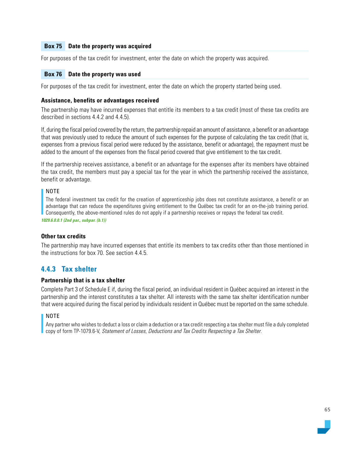## **Box 75 Date the property was acquired**

For purposes of the tax credit for investment, enter the date on which the property was acquired.

#### **Box 76 Date the property was used**

For purposes of the tax credit for investment, enter the date on which the property started being used.

#### **Assistance, benefits or advantages received**

The partnership may have incurred expenses that entitle its members to a tax credit (most of these tax credits are described in sections 4.4.2 and 4.4.5).

If, during the fiscal period covered by the return, the partnership repaid an amount of assistance, a benefit or an advantage that was previously used to reduce the amount of such expenses for the purpose of calculating the tax credit (that is, expenses from a previous fiscal period were reduced by the assistance, benefit or advantage), the repayment must be added to the amount of the expenses from the fiscal period covered that give entitlement to the tax credit.

If the partnership receives assistance, a benefit or an advantage for the expenses after its members have obtained the tax credit, the members must pay a special tax for the year in which the partnership received the assistance, benefit or advantage.

#### NOTE

The federal investment tax credit for the creation of apprenticeship jobs does not constitute assistance, a benefit or an advantage that can reduce the expenditures giving entitlement to the Québec tax credit for an on-the-job training period. Consequently, the above-mentioned rules do not apply if a partnership receives or repays the federal tax credit.

*1029.6.0.0.1 (2nd par., subpar. (b.1))*

#### **Other tax credits**

The partnership may have incurred expenses that entitle its members to tax credits other than those mentioned in the instructions for box 70. See section 4.4.5.

## **4.4.3 Tax shelter**

#### **Partnership that is a tax shelter**

Complete Part 3 of Schedule E if, during the fiscal period, an individual resident in Québec acquired an interest in the partnership and the interest constitutes a tax shelter. All interests with the same tax shelter identification number that were acquired during the fiscal period by individuals resident in Québec must be reported on the same schedule.

#### NOTE

Any partner who wishes to deduct a loss or claim a deduction or a tax credit respecting a tax shelter must file a duly completed copy of form TP-1079.6-V, Statement of Losses, Deductions and Tax Credits Respecting a Tax Shelter.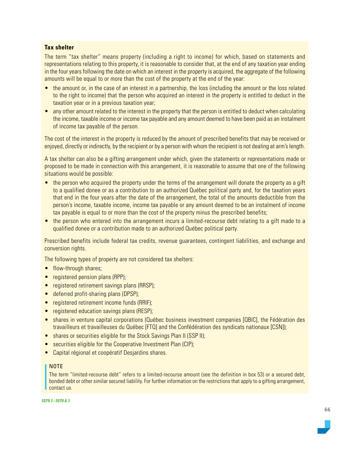## **Tax shelter**

The term "tax shelter" means property (including a right to income) for which, based on statements and representations relating to this property, it is reasonable to consider that, at the end of any taxation year ending in the four years following the date on which an interest in the property is acquired, the aggregate of the following amounts will be equal to or more than the cost of the property at the end of the year:

- the amount or, in the case of an interest in a partnership, the loss (including the amount or the loss related to the right to income) that the person who acquired an interest in the property is entitled to deduct in the taxation year or in a previous taxation year;
- any other amount related to the interest in the property that the person is entitled to deduct when calculating the income, taxable income or income tax payable and any amount deemed to have been paid as an instalment of income tax payable of the person.

The cost of the interest in the property is reduced by the amount of prescribed benefits that may be received or enjoyed, directly or indirectly, by the recipient or by a person with whom the recipient is not dealing at arm's length.

A tax shelter can also be a gifting arrangement under which, given the statements or representations made or proposed to be made in connection with this arrangement, it is reasonable to assume that one of the following situations would be possible:

- the person who acquired the property under the terms of the arrangement will donate the property as a gift to a qualified donee or as a contribution to an authorized Québec political party and, for the taxation years that end in the four years after the date of the arrangement, the total of the amounts deductible from the person's income, taxable income, income tax payable or any amount deemed to be an instalment of income tax payable is equal to or more than the cost of the property minus the prescribed benefits;
- the person who entered into the arrangement incurs a limited-recourse debt relating to a gift made to a qualified donee or a contribution made to an authorized Québec political party.

Prescribed benefits include federal tax credits, revenue guarantees, contingent liabilities, and exchange and conversion rights.

The following types of property are not considered tax shelters:

- flow-through shares;
- registered pension plans (RPP);
- registered retirement savings plans (RRSP);
- deferred profit-sharing plans (DPSP);
- registered retirement income funds (RRIF);
- registered education savings plans (RESP);
- shares in venture capital corporations (Québec business investment companies [QBIC], the Fédération des travailleurs et travailleuses du Québec [FTQ] and the Confédération des syndicats nationaux [CSN]);
- shares or securities eligible for the Stock Savings Plan II (SSP II);
- securities eligible for the Cooperative Investment Plan (CIP);
- Capital régional et coopératif Desjardins shares.

#### NOTE

The term "limited-recourse debt" refers to a limited-recourse amount (see the definition in box 53) or a secured debt, bonded debt or other similar secured liability. For further information on the restrictions that apply to a gifting arrangement, contact us.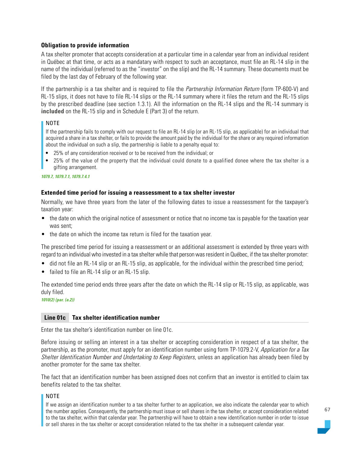## **Obligation to provide information**

A tax shelter promoter that accepts consideration at a particular time in a calendar year from an individual resident in Québec at that time, or acts as a mandatary with respect to such an acceptance, must file an RL-14 slip in the name of the individual (referred to as the "investor" on the slip) and the RL-14 summary. These documents must be filed by the last day of February of the following year.

If the partnership is a tax shelter and is required to file the *Partnership Information Return* (form TP-600-V) and RL-15 slips, it does not have to file RL-14 slips or the RL-14 summary where it files the return and the RL-15 slips by the prescribed deadline (see section 1.3.1). All the information on the RL-14 slips and the RL-14 summary is **included** on the RL-15 slip and in Schedule E (Part 3) of the return.

#### NOTE

If the partnership fails to comply with our request to file an RL-14 slip (or an RL-15 slip, as applicable) for an individual that acquired a share in a tax shelter, or fails to provide the amount paid by the individual for the share or any required information about the individual on such a slip, the partnership is liable to a penalty equal to:

- 25% of any consideration received or to be received from the individual; or
- 25% of the value of the property that the individual could donate to a qualified donee where the tax shelter is a gifting arrangement.

*1079.7, 1079.7.1, 1079.7.4.1*

#### **Extended time period for issuing a reassessment to a tax shelter investor**

Normally, we have three years from the later of the following dates to issue a reassessment for the taxpayer's taxation year:

- the date on which the original notice of assessment or notice that no income tax is payable for the taxation year was sent;
- the date on which the income tax return is filed for the taxation year.

The prescribed time period for issuing a reassessment or an additional assessment is extended by three years with regard to an individual who invested in a tax shelter while that person was resident in Québec, if the tax shelter promoter:

- did not file an RL-14 slip or an RL-15 slip, as applicable, for the individual within the prescribed time period;
- failed to file an RL-14 slip or an RL-15 slip.

The extended time period ends three years after the date on which the RL-14 slip or RL-15 slip, as applicable, was duly filed.

*1010(2) (par. (a.2))*

#### **Line 01c Tax shelter identification number**

Enter the tax shelter's identification number on line 01c.

Before issuing or selling an interest in a tax shelter or accepting consideration in respect of a tax shelter, the partnership, as the promoter, must apply for an identification number using form TP-1079.2-V, Application for a Tax Shelter Identification Number and Undertaking to Keep Registers, unless an application has already been filed by another promoter for the same tax shelter.

The fact that an identification number has been assigned does not confirm that an investor is entitled to claim tax benefits related to the tax shelter.

#### NOTE

If we assign an identification number to a tax shelter further to an application, we also indicate the calendar year to which the number applies. Consequently, the partnership must issue or sell shares in the tax shelter, or accept consideration related to the tax shelter, within that calendar year. The partnership will have to obtain a new identification number in order to issue or sell shares in the tax shelter or accept consideration related to the tax shelter in a subsequent calendar year.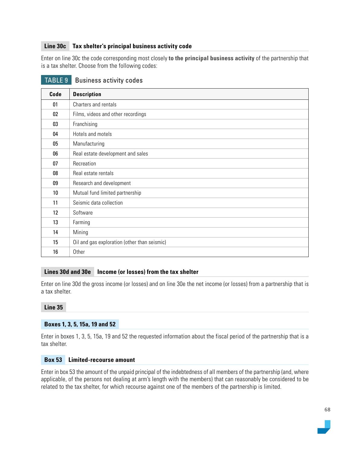## **Line 30c Tax shelter's principal business activity code**

Enter on line 30c the code corresponding most closely **to the principal business activity** of the partnership that is a tax shelter. Choose from the following codes:

| Code | <b>Description</b>                           |
|------|----------------------------------------------|
| 01   | Charters and rentals                         |
| 02   | Films, videos and other recordings           |
| 03   | Franchising                                  |
| 04   | Hotels and motels                            |
| 05   | Manufacturing                                |
| 06   | Real estate development and sales            |
| 07   | Recreation                                   |
| 08   | Real estate rentals                          |
| 09   | Research and development                     |
| 10   | Mutual fund limited partnership              |
| 11   | Seismic data collection                      |
| 12   | Software                                     |
| 13   | Farming                                      |
| 14   | Mining                                       |
| 15   | Oil and gas exploration (other than seismic) |
| 16   | Other                                        |

## TABLE 9 Business activity codes

#### **Lines 30d and 30e Income (or losses) from the tax shelter**

Enter on line 30d the gross income (or losses) and on line 30e the net income (or losses) from a partnership that is a tax shelter.

#### **Line 35**

#### **Boxes 1, 3, 5, 15a, 19 and 52**

Enter in boxes 1, 3, 5, 15a, 19 and 52 the requested information about the fiscal period of the partnership that is a tax shelter.

#### **Box 53 Limited-recourse amount**

Enter in box 53 the amount of the unpaid principal of the indebtedness of all members of the partnership (and, where applicable, of the persons not dealing at arm's length with the members) that can reasonably be considered to be related to the tax shelter, for which recourse against one of the members of the partnership is limited.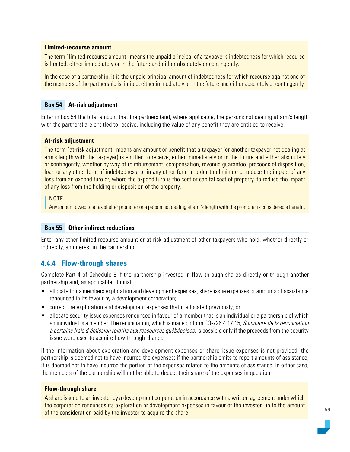#### **Limited-recourse amount**

The term "limited-recourse amount" means the unpaid principal of a taxpayer's indebtedness for which recourse is limited, either immediately or in the future and either absolutely or contingently.

In the case of a partnership, it is the unpaid principal amount of indebtedness for which recourse against one of the members of the partnership is limited, either immediately or in the future and either absolutely or contingently.

#### **Box 54 At-risk adjustment**

Enter in box 54 the total amount that the partners (and, where applicable, the persons not dealing at arm's length with the partners) are entitled to receive, including the value of any benefit they are entitled to receive.

#### **At-risk adjustment**

The term "at-risk adjustment" means any amount or benefit that a taxpayer (or another taxpayer not dealing at arm's length with the taxpayer) is entitled to receive, either immediately or in the future and either absolutely or contingently, whether by way of reimbursement, compensation, revenue guarantee, proceeds of disposition, loan or any other form of indebtedness, or in any other form in order to eliminate or reduce the impact of any loss from an expenditure or, where the expenditure is the cost or capital cost of property, to reduce the impact of any loss from the holding or disposition of the property.

#### NOTE

Any amount owed to a tax shelter promoter or a person not dealing at arm's length with the promoter is considered a benefit.

#### **Box 55 Other indirect reductions**

Enter any other limited-recourse amount or at-risk adjustment of other taxpayers who hold, whether directly or indirectly, an interest in the partnership.

## **4.4.4 Flow-through shares**

Complete Part 4 of Schedule E if the partnership invested in flow-through shares directly or through another partnership and, as applicable, it must:

- allocate to its members exploration and development expenses, share issue expenses or amounts of assistance renounced in its favour by a development corporation;
- correct the exploration and development expenses that it allocated previously; or
- allocate security issue expenses renounced in favour of a member that is an individual or a partnership of which an individual is a member. The renunciation, which is made on form CO-726.4.17.15, Sommaire de la renonciation à certains frais d'émission relatifs aux ressources québécoises, is possible only if the proceeds from the security issue were used to acquire flow-through shares.

If the information about exploration and development expenses or share issue expenses is not provided, the partnership is deemed not to have incurred the expenses; if the partnership omits to report amounts of assistance, it is deemed not to have incurred the portion of the expenses related to the amounts of assistance. In either case, the members of the partnership will not be able to deduct their share of the expenses in question.

#### **Flow-through share**

A share issued to an investor by a development corporation in accordance with a written agreement under which the corporation renounces its exploration or development expenses in favour of the investor, up to the amount of the consideration paid by the investor to acquire the share.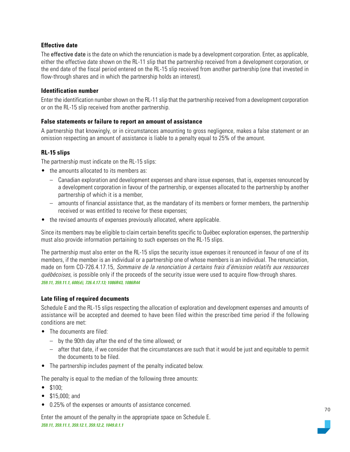## **Effective date**

The effective date is the date on which the renunciation is made by a development corporation. Enter, as applicable, either the effective date shown on the RL-11 slip that the partnership received from a development corporation, or the end date of the fiscal period entered on the RL-15 slip received from another partnership (one that invested in flow-through shares and in which the partnership holds an interest).

## **Identification number**

Enter the identification number shown on the RL-11 slip that the partnership received from a development corporation or on the RL-15 slip received from another partnership.

## **False statements or failure to report an amount of assistance**

A partnership that knowingly, or in circumstances amounting to gross negligence, makes a false statement or an omission respecting an amount of assistance is liable to a penalty equal to 25% of the amount.

## **RL-15 slips**

The partnership must indicate on the RL-15 slips:

- the amounts allocated to its members as:
	- Canadian exploration and development expenses and share issue expenses, that is, expenses renounced by a development corporation in favour of the partnership, or expenses allocated to the partnership by another partnership of which it is a member,
	- amounts of financial assistance that, as the mandatary of its members or former members, the partnership received or was entitled to receive for these expenses;
- the revised amounts of expenses previously allocated, where applicable.

Since its members may be eligible to claim certain benefits specific to Québec exploration expenses, the partnership must also provide information pertaining to such expenses on the RL-15 slips.

The partnership must also enter on the RL-15 slips the security issue expenses it renounced in favour of one of its members, if the member is an individual or a partnership one of whose members is an individual. The renunciation, made on form CO-726.4.17.15, Sommaire de la renonciation à certains frais d'émission relatifs aux ressources québécoises, is possible only if the proceeds of the security issue were used to acquire flow-through shares. *359.11, 359.11.1, 600(d), 726.4.17.13; 1086R43, 1086R44*

## **Late filing of required documents**

Schedule E and the RL-15 slips respecting the allocation of exploration and development expenses and amounts of assistance will be accepted and deemed to have been filed within the prescribed time period if the following conditions are met:

- The documents are filed:
	- by the 90th day after the end of the time allowed; or
	- after that date, if we consider that the circumstances are such that it would be just and equitable to permit the documents to be filed.
- The partnership includes payment of the penalty indicated below.

The penalty is equal to the median of the following three amounts:

- \$100;
- \$15,000; and
- 0.25% of the expenses or amounts of assistance concerned.

Enter the amount of the penalty in the appropriate space on Schedule E. *359.11, 359.11.1, 359.12.1, 359.12.2, 1049.0.1.1*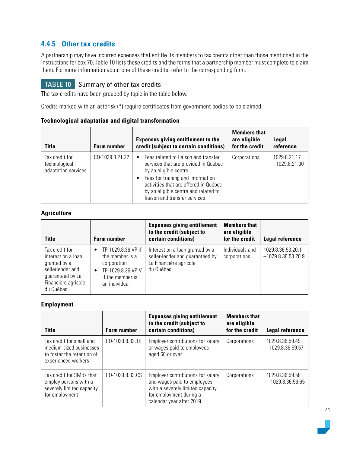# **4.4.5 Other tax credits**

A partnership may have incurred expenses that entitle its members to tax credits other than those mentioned in the instructions for box 70. Table 10 lists these credits and the forms that a partnership member must complete to claim them. For more information about one of these credits, refer to the corresponding form.

# TABLE 10 Summary of other tax credits

The tax credits have been grouped by topic in the table below.

Credits marked with an asterisk (\*) require certificates from government bodies to be claimed.

| <b>Title</b>                                           | <b>Form number</b> | <b>Expenses giving entitlement to the</b><br>credit (subject to certain conditions)                                                                 | <b>Members that</b><br>are eligible<br>for the credit | Legal<br>reference              |
|--------------------------------------------------------|--------------------|-----------------------------------------------------------------------------------------------------------------------------------------------------|-------------------------------------------------------|---------------------------------|
| Tax credit for<br>technological<br>adaptation services | CO-1029.8.21.22    | Fees related to liaison and transfer<br>services that are provided in Québec<br>by an eligible centre                                               | Corporations                                          | 1029.8.21.17<br>$-1029.8.21.30$ |
|                                                        |                    | Fees for training and information<br>activities that are offered in Québec<br>by an eligible centre and related to<br>liaison and transfer services |                                                       |                                 |

## **Technological adaptation and digital transformation**

## **Agriculture**

| Title                                                                                                                            | <b>Form number</b>                                                                                                                       | <b>Expenses giving entitlement</b><br>to the credit (subject to<br>certain conditions)                    | <b>Members that</b><br>are eligible<br>for the credit | Legal reference                           |
|----------------------------------------------------------------------------------------------------------------------------------|------------------------------------------------------------------------------------------------------------------------------------------|-----------------------------------------------------------------------------------------------------------|-------------------------------------------------------|-------------------------------------------|
| Tax credit for<br>interest on a loan<br>granted by a<br>sellerlender and<br>guaranteed by La<br>Financière agricole<br>du Québec | TP-1029.8.36.VP if<br>$\bullet$<br>the member is a<br>corporation<br>TP-1029.8.36.VP-V<br>$\bullet$<br>if the member is<br>an individual | Interest on a loan granted by a<br>seller-lender and guaranteed by<br>La Financière agricole<br>du Québec | Individuals and<br>corporations                       | 1029.8.36.53.20.1<br>$-1029.8.36.53.20.9$ |

## **Employment**

| <b>Title</b>                                                                                             | <b>Form number</b> | <b>Expenses giving entitlement</b><br>to the credit (subject to<br>certain conditions)                                                                      | <b>Members that</b><br>are eligible<br>for the credit | Legal reference                       |
|----------------------------------------------------------------------------------------------------------|--------------------|-------------------------------------------------------------------------------------------------------------------------------------------------------------|-------------------------------------------------------|---------------------------------------|
| Tax credit for small and<br>medium-sized businesses<br>to foster the retention of<br>experienced workers | CO-1029.8.33.TE    | Employer contributions for salary<br>or wages paid to employees<br>aged 60 or over                                                                          | Corporations                                          | 1029 8.36 59.49<br>$-1029.8.36.59.57$ |
| Tax credit for SMBs that<br>employ persons with a<br>severely limited capacity<br>for employment         | CO-1029.8.33.CS    | Employer contributions for salary<br>and wages paid to employees<br>with a severely limited capacity<br>for employment during a<br>calendar year after 2019 | Corporations                                          | 1029.8.36.59.58<br>$-1029.8.36.59.65$ |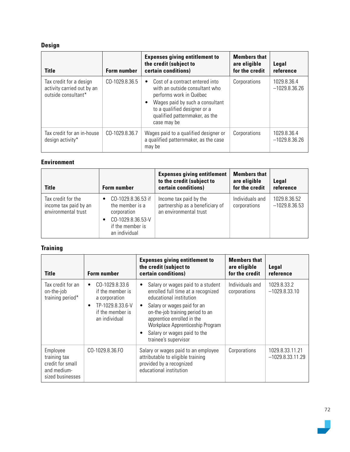# **Design**

| <b>Title</b>                                                                 | <b>Form number</b> | <b>Expenses giving entitlement to</b><br>the credit (subject to<br>certain conditions)                                                                                                                                             | <b>Members that</b><br>are eligible<br>for the credit | Legal<br>reference             |
|------------------------------------------------------------------------------|--------------------|------------------------------------------------------------------------------------------------------------------------------------------------------------------------------------------------------------------------------------|-------------------------------------------------------|--------------------------------|
| Tax credit for a design<br>activity carried out by an<br>outside consultant* | CO-1029.8.36.5     | Cost of a contract entered into<br>$\bullet$<br>with an outside consultant who<br>performs work in Québec<br>Wages paid by such a consultant<br>٠<br>to a qualified designer or a<br>qualified patternmaker, as the<br>case may be | Corporations                                          | 1029.8.36.4<br>$-1029.8.36.26$ |
| Tax credit for an in-house<br>design activity*                               | CO-1029.8.36.7     | Wages paid to a qualified designer or<br>a qualified patternmaker, as the case<br>may be                                                                                                                                           | Corporations                                          | 1029.8.36.4<br>$-1029.8.36.26$ |

#### **Environment**

| Title                                                              | <b>Form number</b>                                                                                                               | <b>Expenses giving entitlement</b><br>to the credit (subject to<br>certain conditions) | <b>Members that</b><br>are eligible<br>for the credit | Legal<br>reference              |
|--------------------------------------------------------------------|----------------------------------------------------------------------------------------------------------------------------------|----------------------------------------------------------------------------------------|-------------------------------------------------------|---------------------------------|
| Tax credit for the<br>income tax paid by an<br>environmental trust | CO-1029.8.36.53 if<br>$\bullet$<br>the member is a<br>corporation<br>CO-1029.8.36.53-V<br>٠<br>if the member is<br>an individual | Income tax paid by the<br>partnership as a beneficiary of<br>an environmental trust    | Individuals and<br>corporations                       | 1029.8.36.52<br>$-1029.8.36.53$ |

# **Training**

| Title                                                                           | <b>Form number</b>                                                                                                                     | <b>Expenses giving entitlement to</b><br>the credit (subject to<br>certain conditions)                                                                                                                                                                                                                      | <b>Members that</b><br>are eligible<br>for the credit | Legal<br>reference                    |
|---------------------------------------------------------------------------------|----------------------------------------------------------------------------------------------------------------------------------------|-------------------------------------------------------------------------------------------------------------------------------------------------------------------------------------------------------------------------------------------------------------------------------------------------------------|-------------------------------------------------------|---------------------------------------|
| Tax credit for an<br>on-the-job<br>training period*                             | CO-1029.8.33.6<br>$\bullet$<br>if the member is<br>a corporation<br>TP-1029.8.33.6-V<br>$\bullet$<br>if the member is<br>an individual | Salary or wages paid to a student<br>enrolled full time at a recognized<br>educational institution<br>Salary or wages paid for an<br>$\bullet$<br>on-the-job training period to an<br>apprentice enrolled in the<br>Workplace Apprenticeship Program<br>Salary or wages paid to the<br>trainee's supervisor | Individuals and<br>corporations                       | 1029.8.33.2<br>$-1029.8.33.10$        |
| Employee<br>training tax<br>credit for small<br>and medium-<br>sized businesses | CO-1029.8.36.FO                                                                                                                        | Salary or wages paid to an employee<br>attributable to eligible training<br>provided by a recognized<br>educational institution                                                                                                                                                                             | Corporations                                          | 1029.8.33.11.21<br>$-1029.8.33.11.29$ |

 $\overline{\phantom{0}}$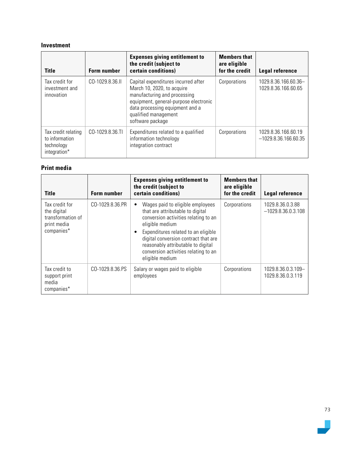#### **Investment**

| <b>Title</b>                                                        | <b>Form number</b> | <b>Expenses giving entitlement to</b><br>the credit (subject to<br>certain conditions)                                                                                                                                    | <b>Members that</b><br>are eligible<br>for the credit | Legal reference                               |
|---------------------------------------------------------------------|--------------------|---------------------------------------------------------------------------------------------------------------------------------------------------------------------------------------------------------------------------|-------------------------------------------------------|-----------------------------------------------|
| Tax credit for<br>investment and<br>innovation                      | CO-1029.8.36.II    | Capital expenditures incurred after<br>March 10, 2020, to acquire<br>manufacturing and processing<br>equipment, general-purpose electronic<br>data processing equipment and a<br>qualified management<br>software package | Corporations                                          | 1029.8.36.166.60.36-<br>1029.8.36.166.60.65   |
| Tax credit relating<br>to information<br>technology<br>integration* | CO-1029.8.36.TI    | Expenditures related to a qualified<br>information technology<br>integration contract                                                                                                                                     | Corporations                                          | 1029.8.36.166.60.19<br>$-1029.8.36.166.60.35$ |

## **Print media**

| <b>Title</b>                                                                    | <b>Form number</b> | <b>Expenses giving entitlement to</b><br>the credit (subject to<br>certain conditions)                                                                                                                                                                                                                                    | <b>Members that</b><br>are eligible<br>for the credit | <b>Legal reference</b>                   |
|---------------------------------------------------------------------------------|--------------------|---------------------------------------------------------------------------------------------------------------------------------------------------------------------------------------------------------------------------------------------------------------------------------------------------------------------------|-------------------------------------------------------|------------------------------------------|
| Tax credit for<br>the digital<br>transformation of<br>print media<br>companies* | CO-1029.8.36.PR    | Wages paid to eligible employees<br>٠<br>that are attributable to digital<br>conversion activities relating to an<br>eligible medium<br>Expenditures related to an eligible<br>٠<br>digital conversion contract that are<br>reasonably attributable to digital<br>conversion activities relating to an<br>eligible medium | Corporations                                          | 1029.8.36.0.3.88<br>$-1029.8.36.0.3.108$ |
| Tax credit to<br>support print<br>media<br>companies*                           | CO-1029.8.36.PS    | Salary or wages paid to eligible<br>employees                                                                                                                                                                                                                                                                             | Corporations                                          | 1029.8.36.0.3.109-<br>1029.8.36.0.3.119  |

 $\sim$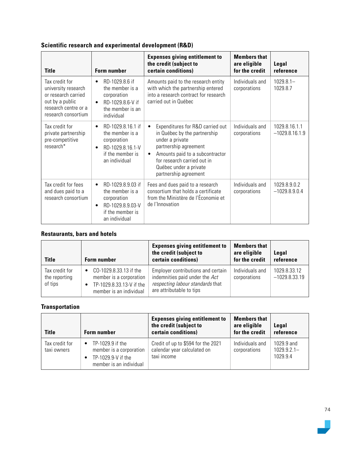## **Scientific research and experimental development (R&D)**

| <b>Title</b>                                                                                                                   | <b>Form number</b>                                                                                                                     | <b>Expenses giving entitlement to</b><br>the credit (subject to<br>certain conditions)                                                                                                                                                              | <b>Members that</b><br>are eligible<br>for the credit | Legal<br>reference                |
|--------------------------------------------------------------------------------------------------------------------------------|----------------------------------------------------------------------------------------------------------------------------------------|-----------------------------------------------------------------------------------------------------------------------------------------------------------------------------------------------------------------------------------------------------|-------------------------------------------------------|-----------------------------------|
| Tax credit for<br>university research<br>or research carried<br>out by a public<br>research centre or a<br>research consortium | RD-1029.8.6 if<br>$\bullet$<br>the member is a<br>corporation<br>RD-1029.8.6-V if<br>$\bullet$<br>the member is an<br>individual       | Amounts paid to the research entity<br>with which the partnership entered<br>into a research contract for research<br>carried out in Québec                                                                                                         | Individuals and<br>corporations                       | $1029.8.1 -$<br>1029.8.7          |
| Tax credit for<br>private partnership<br>pre-competitive<br>research*                                                          | RD-1029.8.16.1 if<br>$\bullet$<br>the member is a<br>corporation<br>RD-1029.8.16.1-V<br>$\bullet$<br>if the member is<br>an individual | Expenditures for R&D carried out<br>$\bullet$<br>in Québec by the partnership<br>under a private<br>partnership agreement<br>Amounts paid to a subcontractor<br>٠<br>for research carried out in<br>Québec under a private<br>partnership agreement | Individuals and<br>corporations                       | 1029.8.16.1.1<br>$-1029.8.16.1.9$ |
| Tax credit for fees<br>and dues paid to a<br>research consortium                                                               | RD-1029.8.9.03 if<br>$\bullet$<br>the member is a<br>corporation<br>RD-1029.8.9.03-V<br>$\bullet$<br>if the member is<br>an individual | Fees and dues paid to a research<br>consortium that holds a certificate<br>from the Ministère de l'Économie et<br>de l'Innovation                                                                                                                   | Individuals and<br>corporations                       | 1029.8.9.0.2<br>$-1029.8.9.0.4$   |

## **Restaurants, bars and hotels**

| <b>Title</b>                               | <b>Form number</b>                                                                                                    | <b>Expenses giving entitlement to</b><br>the credit (subject to<br>certain conditions)                                               | <b>Members that</b><br>are eligible<br>for the credit | Legal<br>reference              |
|--------------------------------------------|-----------------------------------------------------------------------------------------------------------------------|--------------------------------------------------------------------------------------------------------------------------------------|-------------------------------------------------------|---------------------------------|
| Tax credit for<br>the reporting<br>of tips | CO-1029.8.33.13 if the<br>$\bullet$<br>member is a corporation<br>TP-1029.8.33.13-V if the<br>member is an individual | Employer contributions and certain<br>indemnities paid under the Act<br>respecting labour standards that<br>are attributable to tips | Individuals and<br>corporations                       | 1029.8.33.12<br>$-1029.8.33.19$ |

## **Transportation**

| <b>Title</b>                  | <b>Form number</b>                                                                                        | <b>Expenses giving entitlement to</b><br>the credit (subject to<br>certain conditions) | <b>Members that</b><br>are eligible<br>for the credit | Legal<br>reference                      |
|-------------------------------|-----------------------------------------------------------------------------------------------------------|----------------------------------------------------------------------------------------|-------------------------------------------------------|-----------------------------------------|
| Tax credit for<br>taxi owners | TP-1029.9 if the<br>$\bullet$<br>member is a corporation<br>TP-1029.9-V if the<br>member is an individual | Credit of up to \$594 for the 2021<br>calendar year calculated on<br>taxi income       | Individuals and<br>corporations                       | 1029 9 and<br>$1029.9.2.1 -$<br>1029 94 |

 $\overline{\phantom{0}}$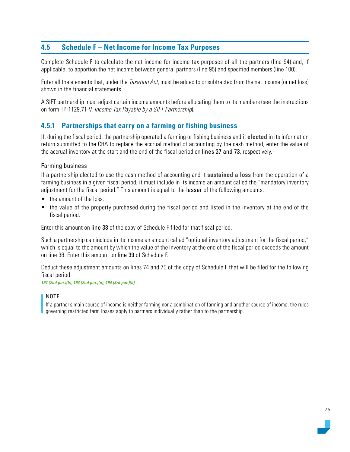## **4.5 Schedule F – Net Income for Income Tax Purposes**

Complete Schedule F to calculate the net income for income tax purposes of all the partners (line 94) and, if applicable, to apportion the net income between general partners (line 95) and specified members (line 100).

Enter all the elements that, under the *Taxation Act*, must be added to or subtracted from the net income (or net loss) shown in the financial statements.

A SIFT partnership must adjust certain income amounts before allocating them to its members (see the instructions on form TP-1129.71-V, Income Tax Payable by a SIFT Partnership).

## **4.5.1 Partnerships that carry on a farming or fishing business**

If, during the fiscal period, the partnership operated a farming or fishing business and it **elected** in its information return submitted to the CRA to replace the accrual method of accounting by the cash method, enter the value of the accrual inventory at the start and the end of the fiscal period on lines 37 and 73, respectively.

#### Farming business

If a partnership elected to use the cash method of accounting and it **sustained a loss** from the operation of a farming business in a given fiscal period, it must include in its income an amount called the "mandatory inventory adjustment for the fiscal period." This amount is equal to the lesser of the following amounts:

- the amount of the loss:
- the value of the property purchased during the fiscal period and listed in the inventory at the end of the fiscal period.

Enter this amount on line 38 of the copy of Schedule F filed for that fiscal period.

Such a partnership can include in its income an amount called "optional inventory adjustment for the fiscal period," which is equal to the amount by which the value of the inventory at the end of the fiscal period exceeds the amount on line 38. Enter this amount on line 39 of Schedule F.

Deduct these adjustment amounts on lines 74 and 75 of the copy of Schedule F that will be filed for the following fiscal period.

*194 (2nd par.)(b), 194 (2nd par.)(c), 194 (3rd par.)(b)*

#### NOTE

If a partner's main source of income is neither farming nor a combination of farming and another source of income, the rules governing restricted farm losses apply to partners individually rather than to the partnership.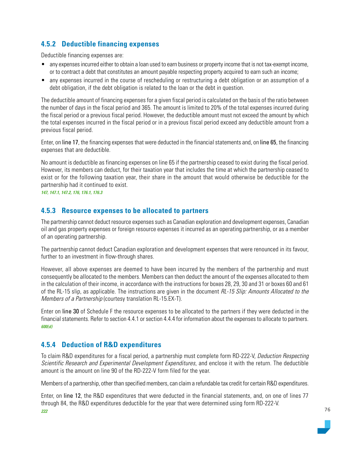## **4.5.2 Deductible financing expenses**

Deductible financing expenses are:

- any expenses incurred either to obtain a loan used to earn business or property income that is not tax-exempt income, or to contract a debt that constitutes an amount payable respecting property acquired to earn such an income;
- any expenses incurred in the course of rescheduling or restructuring a debt obligation or an assumption of a debt obligation, if the debt obligation is related to the loan or the debt in question.

The deductible amount of financing expenses for a given fiscal period is calculated on the basis of the ratio between the number of days in the fiscal period and 365. The amount is limited to 20% of the total expenses incurred during the fiscal period or a previous fiscal period. However, the deductible amount must not exceed the amount by which the total expenses incurred in the fiscal period or in a previous fiscal period exceed any deductible amount from a previous fiscal period.

Enter, on line 17, the financing expenses that were deducted in the financial statements and, on line 65, the financing expenses that are deductible.

No amount is deductible as financing expenses on line 65 if the partnership ceased to exist during the fiscal period. However, its members can deduct, for their taxation year that includes the time at which the partnership ceased to exist or for the following taxation year, their share in the amount that would otherwise be deductible for the partnership had it continued to exist.

*147, 147.1, 147.2, 176, 176.1, 176.3*

### **4.5.3 Resource expenses to be allocated to partners**

The partnership cannot deduct resource expenses such as Canadian exploration and development expenses, Canadian oil and gas property expenses or foreign resource expenses it incurred as an operating partnership, or as a member of an operating partnership.

The partnership cannot deduct Canadian exploration and development expenses that were renounced in its favour, further to an investment in flow-through shares.

However, all above expenses are deemed to have been incurred by the members of the partnership and must consequently be allocated to the members. Members can then deduct the amount of the expenses allocated to them in the calculation of their income, in accordance with the instructions for boxes 28, 29, 30 and 31 or boxes 60 and 61 of the RL-15 slip, as applicable. The instructions are given in the document RL-15 Slip: Amounts Allocated to the Members of a Partnership (courtesy translation RL-15.EX-T).

Enter on line 30 of Schedule F the resource expenses to be allocated to the partners if they were deducted in the financial statements. Refer to section 4.4.1 or section 4.4.4 for information about the expenses to allocate to partners. *600(d)*

## **4.5.4 Deduction of R&D expenditures**

To claim R&D expenditures for a fiscal period, a partnership must complete form RD-222-V, Deduction Respecting Scientific Research and Experimental Development Expenditures, and enclose it with the return. The deductible amount is the amount on line 90 of the RD-222-V form filed for the year.

Members of a partnership, other than specified members, can claim a refundable tax credit for certain R&D expenditures.

Enter, on line 12, the R&D expenditures that were deducted in the financial statements, and, on one of lines 77 through 84, the R&D expenditures deductible for the year that were determined using form RD-222-V. *222*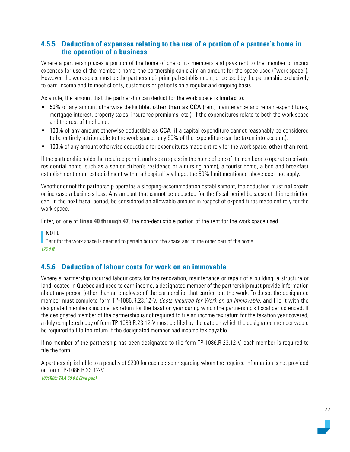## **4.5.5 Deduction of expenses relating to the use of a portion of a partner's home in the operation of a business**

Where a partnership uses a portion of the home of one of its members and pays rent to the member or incurs expenses for use of the member's home, the partnership can claim an amount for the space used ("work space"). However, the work space must be the partnership's principal establishment, or be used by the partnership exclusively to earn income and to meet clients, customers or patients on a regular and ongoing basis.

As a rule, the amount that the partnership can deduct for the work space is limited to:

- 50% of any amount otherwise deductible, other than as CCA (rent, maintenance and repair expenditures, mortgage interest, property taxes, insurance premiums, etc.), if the expenditures relate to both the work space and the rest of the home;
- 100% of any amount otherwise deductible as CCA (if a capital expenditure cannot reasonably be considered to be entirely attributable to the work space, only 50% of the expenditure can be taken into account);
- 100% of any amount otherwise deductible for expenditures made entirely for the work space, other than rent.

If the partnership holds the required permit and uses a space in the home of one of its members to operate a private residential home (such as a senior citizen's residence or a nursing home), a tourist home, a bed and breakfast establishment or an establishment within a hospitality village, the 50% limit mentioned above does not apply.

Whether or not the partnership operates a sleeping-accommodation establishment, the deduction must **not** create or increase a business loss. Any amount that cannot be deducted for the fiscal period because of this restriction can, in the next fiscal period, be considered an allowable amount in respect of expenditures made entirely for the work space.

Enter, on one of **lines 40 through 47**, the non-deductible portion of the rent for the work space used.

#### NOTE

Rent for the work space is deemed to pertain both to the space and to the other part of the home. *175.4 ff.*

### **4.5.6 Deduction of labour costs for work on an immovable**

Where a partnership incurred labour costs for the renovation, maintenance or repair of a building, a structure or land located in Québec and used to earn income, a designated member of the partnership must provide information about any person (other than an employee of the partnership) that carried out the work. To do so, the designated member must complete form TP-1086.R.23.12-V, Costs Incurred for Work on an Immovable, and file it with the designated member's income tax return for the taxation year during which the partnership's fiscal period ended. If the designated member of the partnership is not required to file an income tax return for the taxation year covered, a duly completed copy of form TP-1086.R.23.12-V must be filed by the date on which the designated member would be required to file the return if the designated member had income tax payable.

If no member of the partnership has been designated to file form TP-1086.R.23.12-V, each member is required to file the form.

A partnership is liable to a penalty of \$200 for each person regarding whom the required information is not provided on form TP-1086.R.23.12-V. *1086R88; TAA 59.0.2 (2nd par.)*

77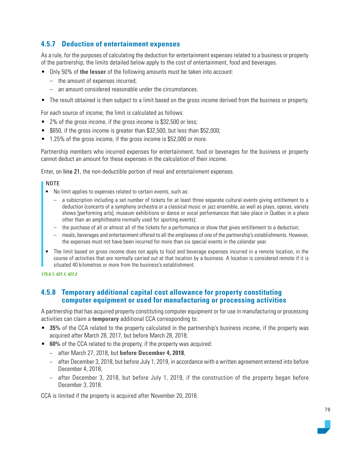## **4.5.7 Deduction of entertainment expenses**

As a rule, for the purposes of calculating the deduction for entertainment expenses related to a business or property of the partnership, the limits detailed below apply to the cost of entertainment, food and beverages.

- Only 50% of **the lesser** of the following amounts must be taken into account:
	- the amount of expenses incurred;
	- an amount considered reasonable under the circumstances.
- The result obtained is then subject to a limit based on the gross income derived from the business or property.

For each source of income, the limit is calculated as follows:

- 2% of the gross income, if the gross income is \$32,500 or less;
- \$650, if the gross income is greater than \$32,500, but less than \$52,000;
- 1.25% of the gross income, if the gross income is \$52,000 or more.

Partnership members who incurred expenses for entertainment, food or beverages for the business or property cannot deduct an amount for these expenses in the calculation of their income.

Enter, on line 21, the non-deductible portion of meal and entertainment expenses.

#### NOTE

- No limit applies to expenses related to certain events, such as:
	- a subscription including a set number of tickets for at least three separate cultural events giving entitlement to a deduction (concerts of a symphony orchestra or a classical music or jazz ensemble, as well as plays, operas, variety shows [performing arts], museum exhibitions or dance or vocal performances that take place in Québec in a place other than an amphitheatre normally used for sporting events);
	- the purchase of all or almost all of the tickets for a performance or show that gives entitlement to a deduction;
	- meals, beverages and entertainment offered to all the employees of one of the partnership's establishments. However, the expenses must not have been incurred for more than six special events in the calendar year.
- The limit based on gross income does not apply to food and beverage expenses incurred in a remote location, in the course of activities that are normally carried out at that location by a business. A location is considered remote if it is situated 40 kilometres or more from the business's establishment.

#### *175.6.1, 421.1, 421.2*

#### **4.5.8 Temporary additional capital cost allowance for property constituting computer equipment or used for manufacturing or processing activities**

A partnership that has acquired property constituting computer equipment or for use in manufacturing or processing activities can claim a **temporary** additional CCA corresponding to:

- **35%** of the CCA related to the property calculated in the partnership's business income, if the property was acquired after March 28, 2017, but before March 28, 2018;
- **60%** of the CCA related to the property, if the property was acquired:
	- − after March 27, 2018, but **before December 4, 2018**,
	- − after December 3, 2018, but before July 1, 2019, in accordance with a written agreement entered into before December 4, 2018,
	- − after December 3, 2018, but before July 1, 2019, if the construction of the property began before December 3, 2018.

CCA is limited if the property is acquired after November 20, 2018.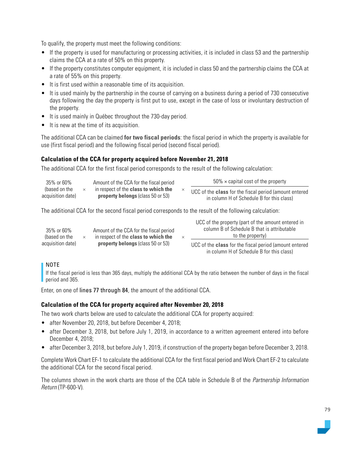To qualify, the property must meet the following conditions:

- If the property is used for manufacturing or processing activities, it is included in class 53 and the partnership claims the CCA at a rate of 50% on this property.
- If the property constitutes computer equipment, it is included in class 50 and the partnership claims the CCA at a rate of 55% on this property.
- It is first used within a reasonable time of its acquisition.
- It is used mainly by the partnership in the course of carrying on a business during a period of 730 consecutive days following the day the property is first put to use, except in the case of loss or involuntary destruction of the property.
- It is used mainly in Québec throughout the 730-day period.
- It is new at the time of its acquisition.

The additional CCA can be claimed **for two fiscal periods**: the fiscal period in which the property is available for use (first fiscal period) and the following fiscal period (second fiscal period).

#### **Calculation of the CCA for property acquired before November 21, 2018**

The additional CCA for the first fiscal period corresponds to the result of the following calculation:

| 35% or 60%                         | Amount of the CCA for the fiscal period                                                 | $50\% \times$ capital cost of the property                                                                 |
|------------------------------------|-----------------------------------------------------------------------------------------|------------------------------------------------------------------------------------------------------------|
| (based on the<br>acquisition date) | in respect of the <b>class to which the</b><br><b>property belongs (class 50 or 53)</b> | UCC of the <b>class</b> for the fiscal period (amount entered<br>in column H of Schedule B for this class) |

The additional CCA for the second fiscal period corresponds to the result of the following calculation:

| 35% or 60%<br>(based on the | $\times$ | Amount of the CCA for the fiscal period<br>in respect of the <b>class to which the</b> | UCC of the property (part of the amount entered in<br>column B of Schedule B that is attributable<br>to the property) |
|-----------------------------|----------|----------------------------------------------------------------------------------------|-----------------------------------------------------------------------------------------------------------------------|
| acquisition date)           |          | <b>property belongs (class 50 or 53)</b>                                               | UCC of the <b>class</b> for the fiscal period (amount entered<br>in column H of Schedule B for this class)            |

#### NOTE

If the fiscal period is less than 365 days, multiply the additional CCA by the ratio between the number of days in the fiscal period and 365.

Enter, on one of lines 77 through 84, the amount of the additional CCA.

#### **Calculation of the CCA for property acquired after November 20, 2018**

The two work charts below are used to calculate the additional CCA for property acquired:

- after November 20, 2018, but before December 4, 2018;
- after December 3, 2018, but before July 1, 2019, in accordance to a written agreement entered into before December 4, 2018;
- after December 3, 2018, but before July 1, 2019, if construction of the property began before December 3, 2018.

Complete Work Chart EF-1 to calculate the additional CCA for the first fiscal period and Work Chart EF-2 to calculate the additional CCA for the second fiscal period.

The columns shown in the work charts are those of the CCA table in Schedule B of the Partnership Information Return (TP-600-V).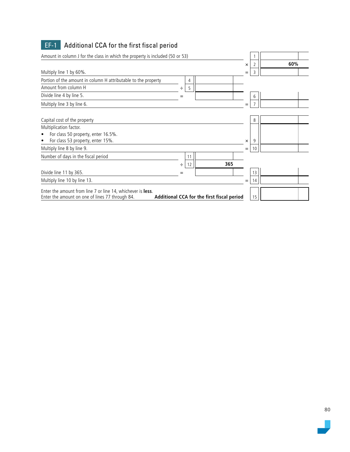| $EF-1$<br>Additional CCA for the first fiscal period                                                           |                                            |          |    |     |
|----------------------------------------------------------------------------------------------------------------|--------------------------------------------|----------|----|-----|
| Amount in column J for the class in which the property is included (50 or 53)                                  |                                            |          |    |     |
|                                                                                                                |                                            | $\times$ | 2  | 60% |
| Multiply line 1 by 60%.                                                                                        |                                            | $=$      | 3  |     |
| Portion of the amount in column H attributable to the property                                                 | 4                                          |          |    |     |
| Amount from column H                                                                                           | ÷<br>5                                     |          |    |     |
| Divide line 4 by line 5.                                                                                       | =                                          |          | 6  |     |
| Multiply line 3 by line 6.                                                                                     |                                            | $=$      |    |     |
| Capital cost of the property<br>Multiplication factor.<br>For class 50 property, enter 16.5%.                  |                                            |          | 8  |     |
| For class 53 property, enter 15%.                                                                              |                                            | $\times$ | 9  |     |
| Multiply line 8 by line 9.                                                                                     |                                            | $=$      | 10 |     |
| Number of days in the fiscal period                                                                            | 11<br>12<br>÷                              | 365      |    |     |
| Divide line 11 by 365.                                                                                         |                                            |          | 13 |     |
| Multiply line 10 by line 13.                                                                                   |                                            | $=$      | 14 |     |
| Enter the amount from line 7 or line 14, whichever is less.<br>Enter the amount on one of lines 77 through 84. | Additional CCA for the first fiscal period |          | 15 |     |

 $\overline{\phantom{a}}$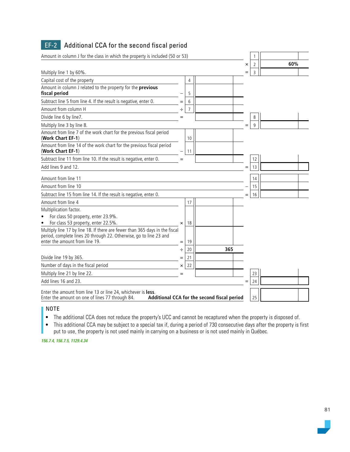| Amount in column J for the class in which the property is included (50 or 53)                                      |          |                |                                             |     |                |     |  |
|--------------------------------------------------------------------------------------------------------------------|----------|----------------|---------------------------------------------|-----|----------------|-----|--|
|                                                                                                                    |          |                |                                             | ×   | $\overline{2}$ | 60% |  |
| Multiply line 1 by 60%.                                                                                            |          |                |                                             |     | 3              |     |  |
| Capital cost of the property                                                                                       |          | 4              |                                             |     |                |     |  |
| Amount in column J related to the property for the previous<br>fiscal period                                       |          | 5              |                                             |     |                |     |  |
| Subtract line 5 from line 4. If the result is negative, enter 0.                                                   |          | 6              |                                             |     |                |     |  |
| Amount from column H                                                                                               | ÷        | $\overline{7}$ |                                             |     |                |     |  |
| Divide line 6 by line7.                                                                                            | $=$      |                |                                             |     | 8              |     |  |
| Multiply line 3 by line 8.                                                                                         |          |                |                                             | $=$ | 9              |     |  |
| Amount from line 7 of the work chart for the previous fiscal period<br>(Work Chart EF-1)                           |          | 10             |                                             |     |                |     |  |
| Amount from line 14 of the work chart for the previous fiscal period<br>(Work Chart EF-1)                          |          | 11             |                                             |     |                |     |  |
| Subtract line 11 from line 10. If the result is negative, enter 0.                                                 | $=$      |                |                                             |     | 12             |     |  |
| Add lines 9 and 12.                                                                                                |          |                |                                             | $=$ | 13             |     |  |
| Amount from line 11                                                                                                |          |                |                                             |     | 14             |     |  |
| Amount from line 10                                                                                                |          |                |                                             |     | 15             |     |  |
| Subtract line 15 from line 14. If the result is negative, enter 0.                                                 |          |                |                                             |     | 16             |     |  |
| Amount from line 4                                                                                                 |          | 17             |                                             |     |                |     |  |
| Multiplication factor.                                                                                             |          |                |                                             |     |                |     |  |
| For class 50 property, enter 23.9%.                                                                                |          |                |                                             |     |                |     |  |
| For class 53 property, enter 22.5%.<br>Multiply line 17 by line 18. If there are fewer than 365 days in the fiscal | $\times$ | 18             |                                             |     |                |     |  |
| period, complete lines 20 through 22. Otherwise, go to line 23 and                                                 |          |                |                                             |     |                |     |  |
| enter the amount from line 19.                                                                                     | $=$      | 19             |                                             |     |                |     |  |
|                                                                                                                    | ÷        | 20             | 365                                         |     |                |     |  |
| Divide line 19 by 365.                                                                                             |          | 21             |                                             |     |                |     |  |
| Number of days in the fiscal period                                                                                | ×        | 22             |                                             |     |                |     |  |
| Multiply line 21 by line 22.                                                                                       | $=$      |                |                                             |     | 23             |     |  |
| Add lines 16 and 23.                                                                                               |          |                |                                             | $=$ | 24             |     |  |
| Enter the amount from line 13 or line 24, whichever is less.<br>Enter the amount on one of lines 77 through 84.    |          |                | Additional CCA for the second fiscal period |     | 25             |     |  |

## **EF-2** Additional CCA for the second fiscal period

I NOTE

• The additional CCA does not reduce the property's UCC and cannot be recaptured when the property is disposed of.

• This additional CCA may be subject to a special tax if, during a period of 730 consecutive days after the property is first put to use, the property is not used mainly in carrying on a business or is not used mainly in Québec.

*156.7.4, 156.7.5, 1129.4.34*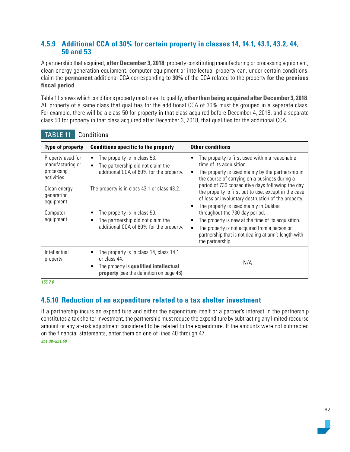## **4.5.9 Additional CCA of 30% for certain property in classes 14, 14.1, 43.1, 43.2, 44, 50 and 53**

A partnership that acquired, **after December 3, 2018**, property constituting manufacturing or processing equipment, clean energy generation equipment, computer equipment or intellectual property can, under certain conditions, claim the **permanent** additional CCA corresponding to **30%** of the CCA related to the property **for the previous fiscal period**.

Table 11 shows which conditions property must meet to qualify, **other than being acquired after December 3, 2018**. All property of a same class that qualifies for the additional CCA of 30% must be grouped in a separate class. For example, there will be a class 50 for property in that class acquired before December 4, 2018, and a separate class 50 for property in that class acquired after December 3, 2018, that qualifies for the additional CCA.

| <b>Type of property</b>                                           | <b>Conditions specific to the property</b>                                                                                                         | <b>Other conditions</b>                                                                                                                                                                                            |
|-------------------------------------------------------------------|----------------------------------------------------------------------------------------------------------------------------------------------------|--------------------------------------------------------------------------------------------------------------------------------------------------------------------------------------------------------------------|
| Property used for<br>manufacturing or<br>processing<br>activities | The property is in class 53.<br>The partnership did not claim the<br>$\bullet$<br>additional CCA of 60% for the property.                          | The property is first used within a reasonable<br>time of its acquisition.<br>The property is used mainly by the partnership in<br>the course of carrying on a business during a                                   |
| Clean energy<br>generation<br>equipment                           | The property is in class 43.1 or class 43.2.                                                                                                       | period of 730 consecutive days following the day<br>the property is first put to use, except in the case<br>of loss or involuntary destruction of the property.<br>The property is used mainly in Québec           |
| Computer<br>equipment                                             | The property is in class 50.<br>The partnership did not claim the<br>٠<br>additional CCA of 60% for the property.                                  | throughout the 730-day period.<br>The property is new at the time of its acquisition.<br>The property is not acquired from a person or<br>partnership that is not dealing at arm's length with<br>the partnership. |
| Intellectual<br>property                                          | The property is in class 14, class 14.1<br>or class 44.<br>The property is qualified intellectual<br>٠<br>property (see the definition on page 46) | N/A                                                                                                                                                                                                                |

TABLE 11 Conditions

*156.7.6*

## **4.5.10 Reduction of an expenditure related to a tax shelter investment**

If a partnership incurs an expenditure and either the expenditure itself or a partner's interest in the partnership constitutes a tax shelter investment, the partnership must reduce the expenditure by subtracting any limited-recourse amount or any at-risk adjustment considered to be related to the expenditure. If the amounts were not subtracted on the financial statements, enter them on one of lines 40 through 47.

*851.38–851.50*

82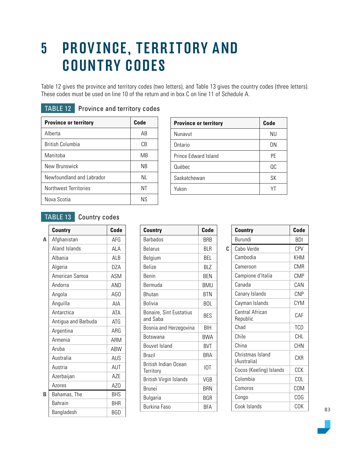## 5 PROVINCE, TERRITORY AND COUNTRY CODES

Table 12 gives the province and territory codes (two letters), and Table 13 gives the country codes (three letters). These codes must be used on line 10 of the return and in box C on line 11 of Schedule A.

| <b>Province or territory</b> | Code      |
|------------------------------|-----------|
| Alberta                      | AB        |
| British Columbia             | СB        |
| Manitoba                     | MB        |
| New Brunswick                | <b>NB</b> |
| Newfoundland and Labrador    | ΝI        |
| Northwest Territories        | ΝT        |
| Nova Scotia                  | ΝS        |

| <b>TABLE 12</b> Province and territory codes |
|----------------------------------------------|
|                                              |

| <b>Province or territory</b> | Code      |
|------------------------------|-----------|
| Nunavut                      | <b>NU</b> |
| Ontario                      | 0N        |
| Prince Edward Island         | <b>PE</b> |
| Québec                       | QC        |
| Saskatchewan                 | SΚ        |
| Yukon                        | VΤ        |
|                              |           |

## TABLE 13 Country codes

|   | Country             | Code       |
|---|---------------------|------------|
| A | Afghanistan         | AFG        |
|   | Aland Islands       | ALA        |
|   | Albania             | ALB        |
|   | Algeria             | DZA        |
|   | American Samoa      | <b>ASM</b> |
|   | Andorra             | AND        |
|   | Angola              | AG0        |
|   | Anguilla            | AIA        |
|   | Antarctica          | ATA        |
|   | Antigua and Barbuda | <b>ATG</b> |
|   | Argentina           | ARG        |
|   | Armenia             | ARM        |
|   | Aruba               | ABW        |
|   | Australia           | AUS        |
|   | Austria             | AUT        |
|   | Azerbaijan          | <b>AZE</b> |
|   | Azores              | AZ0        |
| R | Bahamas, The        | <b>BHS</b> |
|   | <b>Bahrain</b>      | BHR        |
|   | Bangladesh          | BGD        |

| <b>Country</b>                           | Code       |
|------------------------------------------|------------|
| <b>Barbados</b>                          | <b>BRB</b> |
| <b>Belarus</b>                           | BI R       |
| Belgium                                  | <b>BEL</b> |
| <b>Belize</b>                            | <b>BLZ</b> |
| <b>Benin</b>                             | <b>BFN</b> |
| Bermuda                                  | BMU        |
| Bhutan                                   | <b>BTN</b> |
| Bolivia                                  | <b>BOL</b> |
| Bonaire, Sint Eustatius<br>and Saba      | <b>BES</b> |
| Bosnia and Herzegovina                   | BIH        |
| Botswana                                 | <b>BWA</b> |
| <b>Bouvet Island</b>                     | <b>BVT</b> |
| <b>Brazil</b>                            | <b>BRA</b> |
| <b>British Indian Ocean</b><br>Territory | <b>IOT</b> |
| British Virgin Islands                   | VGB        |
| <b>Brunei</b>                            | BRN        |
| Bulgaria                                 | BGR        |
| Burkina Faso                             | BFA        |

|   | <b>Country</b>                  | Code       |
|---|---------------------------------|------------|
|   | Burundi                         | BDI        |
| C | Cabo Verde                      | CPV        |
|   | Cambodia                        | KHM        |
|   | Cameroon                        | CMR        |
|   | Campione d'Italia               | <b>CMP</b> |
|   | Canada                          | CAN        |
|   | Canary Islands                  | <b>CNP</b> |
|   | Cayman Islands                  | <b>CYM</b> |
|   | Central African<br>Republic     | C.AF       |
|   | Chad                            | <b>TCD</b> |
|   | Chile                           | CHI        |
|   | China                           | <b>CHN</b> |
|   | Christmas Island<br>(Australia) | CXR        |
|   | Cocos (Keeling) Islands         | CCK        |
|   | Colombia                        | COL        |
|   | Comoros                         | <b>COM</b> |
|   | Congo                           | COG        |
|   | Cook Islands                    | COK        |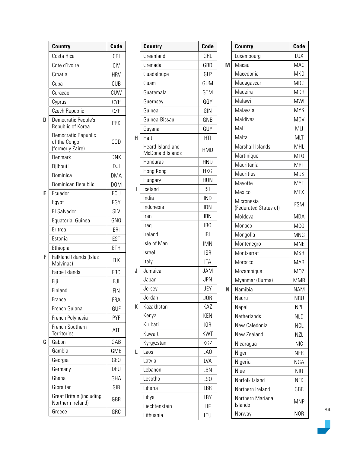|   | Country                                                 | Code             |
|---|---------------------------------------------------------|------------------|
|   | Costa Rica                                              | CRI              |
|   | Cote d'Ivoire                                           | CIV              |
|   | Croatia                                                 | <b>HRV</b>       |
|   | Cuba                                                    | <b>CUB</b>       |
|   | Curacao                                                 | CUW              |
|   | Cyprus                                                  | <b>CYP</b>       |
|   | Czech Republic                                          | CZE              |
| D | Democratic People's<br>Republic of Korea                | PRK              |
|   | Democratic Republic<br>of the Congo<br>(formerly Zaire) | COD              |
|   | Denmark                                                 | <b>DNK</b>       |
|   | Djibouti                                                | DJI              |
|   | Dominica                                                | <b>DMA</b>       |
|   | Dominican Republic                                      | D <sub>0</sub> M |
| F | Ecuador                                                 | ECU              |
|   | Egypt                                                   | EGY              |
|   | El Salvador                                             | <b>SLV</b>       |
|   | <b>Equatorial Guinea</b>                                | GNQ              |
|   | Eritrea                                                 | ERI              |
|   | Estonia                                                 | EST              |
|   | Ethiopia                                                | ETH              |
| F | Falkland Islands (Islas<br>Malvinas)                    | <b>FLK</b>       |
|   | Faroe Islands                                           | FR <sub>0</sub>  |
|   | Fiji                                                    | FJI              |
|   | Finland                                                 | <b>FIN</b>       |
|   | France                                                  | <b>FRA</b>       |
|   | French Guiana                                           | GUF              |
|   | French Polynesia                                        | <b>PYF</b>       |
|   | French Southern<br><b>Territories</b>                   | <b>ATF</b>       |
| G | Gabon                                                   | GAB              |
|   | Gambia                                                  | GMB              |
|   | Georgia                                                 | GE <sub>O</sub>  |
|   | Germany                                                 | DEU              |
|   | Ghana                                                   | GHA              |
|   | Gibraltar                                               | GIB              |
|   | Great Britain (including<br>Northern Ireland)           | GBR              |
|   | Greece                                                  | GRC              |

|   | <b>Country</b>                       | Code            |
|---|--------------------------------------|-----------------|
|   | Greenland                            | GRL             |
|   | Grenada                              | <b>GRD</b>      |
|   | Guadeloupe                           | GLP             |
|   | Guam                                 | GUM             |
|   | Guatemala                            | GTM             |
|   | Guernsey                             | GGY             |
|   | Guinea                               | GIN             |
|   | Guinea-Bissau                        | GNB             |
|   | Guyana                               | GUY             |
| H | Haiti                                | <b>HTI</b>      |
|   | Heard Island and<br>McDonald Islands | HMD             |
|   | Honduras                             | <b>HND</b>      |
|   | Hong Kong                            | <b>HKG</b>      |
|   | Hungary                              | <b>HUN</b>      |
| ı | Iceland                              | <b>ISL</b>      |
|   | India                                | <b>IND</b>      |
|   | Indonesia                            | <b>IDN</b>      |
|   | Iran                                 | <b>IRN</b>      |
|   | Iraq                                 | IRQ             |
|   | Ireland                              | <b>IRL</b>      |
|   | Isle of Man                          | <b>IMN</b>      |
|   | Israel                               | <b>ISR</b>      |
|   | Italy                                | ITA             |
| J | Jamaica                              | <b>JAM</b>      |
|   | Japan                                | <b>JPN</b>      |
|   | Jersey                               | <b>JEY</b>      |
|   | Jordan                               | J <sub>OR</sub> |
| K | Kazakhstan                           | KAZ             |
|   | Kenya                                | KEN             |
|   | Kiribati                             | <b>KIR</b>      |
|   | Kuwait                               | KWT             |
|   | Kyrgyzstan                           | KGZ             |
| L | Laos                                 | LA <sub>0</sub> |
|   | Latvia                               | <b>LVA</b>      |
|   | Lebanon                              | LBN             |
|   | Lesotho                              | LSO             |
|   | Liberia                              | LBR             |
|   | Libya                                | LBY             |
|   | Liechtenstein                        | LIE             |
|   | Lithuania                            | LTU             |

|   | Country                             | Code             |
|---|-------------------------------------|------------------|
|   | Luxembourg                          | LUX              |
| М | Macau                               | <b>MAC</b>       |
|   | Macedonia                           | <b>MKD</b>       |
|   | Madagascar                          | <b>MDG</b>       |
|   | Madeira                             | <b>MDR</b>       |
|   | Malawi                              | <b>MWI</b>       |
|   | Malaysia                            | <b>MYS</b>       |
|   | <b>Maldives</b>                     | <b>MDV</b>       |
|   | Mali                                | <b>MLI</b>       |
|   | Malta                               | <b>MLT</b>       |
|   | Marshall Islands                    | <b>MHL</b>       |
|   | Martinique                          | MT <sub>0</sub>  |
|   | Mauritania                          | <b>MRT</b>       |
|   | Mauritius                           | <b>MUS</b>       |
|   | Mayotte                             | <b>MYT</b>       |
|   | Mexico                              | <b>MEX</b>       |
|   | Micronesia<br>(Federated States of) | <b>FSM</b>       |
|   | Moldova                             | <b>MDA</b>       |
|   | Monaco                              | MC <sub>0</sub>  |
|   | Mongolia                            | <b>MNG</b>       |
|   | Montenegro                          | <b>MNE</b>       |
|   | Montserrat                          | <b>MSR</b>       |
|   | Morocco                             | MAR              |
|   | Mozambique                          | M <sub>0</sub> Z |
|   | Myanmar (Burma)                     | <b>MMR</b>       |
| Ν | Namibia                             | <b>NAM</b>       |
|   | Nauru                               | <b>NRU</b>       |
|   | Nepal                               | NPL              |
|   | Netherlands                         | NLD              |
|   | New Caledonia                       | NCL              |
|   | New Zealand                         | <b>NZL</b>       |
|   | Nicaragua                           | <b>NIC</b>       |
|   | Niger                               | <b>NER</b>       |
|   | Nigeria                             | NGA              |
|   | Niue                                | <b>NIU</b>       |
|   | Norfolk Island                      | <b>NFK</b>       |
|   | Northern Ireland                    | GBR              |
|   | Northern Mariana<br>Islands         | <b>MNP</b>       |
|   | Norway                              | NOR              |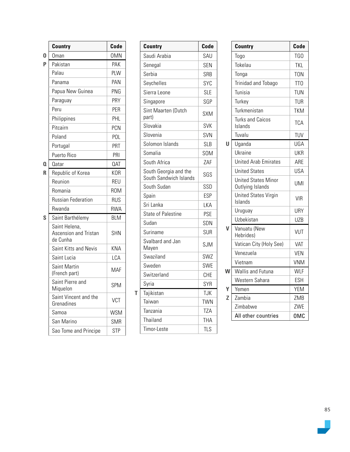|   | <b>Country</b>                                     | Code       |
|---|----------------------------------------------------|------------|
| 0 | Oman                                               | <b>OMN</b> |
| P | Pakistan                                           | PAK        |
|   | Palau                                              | PLW        |
|   | Panama                                             | PAN        |
|   | Papua New Guinea                                   | PNG        |
|   | Paraguay                                           | PRY        |
|   | Peru                                               | PER        |
|   | Philippines                                        | PHL        |
|   | Pitcairn                                           | <b>PCN</b> |
|   | Poland                                             | POL        |
|   | Portugal                                           | PRT        |
|   | Puerto Rico                                        | PRI        |
| O | 0atar                                              | <b>QAT</b> |
| R | Republic of Korea                                  | <b>KOR</b> |
|   | Reunion                                            | <b>REU</b> |
|   | Romania                                            | <b>ROM</b> |
|   | <b>Russian Federation</b>                          | <b>RUS</b> |
|   | Rwanda                                             | <b>RWA</b> |
| S | Saint Barthélemy                                   | <b>BLM</b> |
|   | Saint Helena,<br>Ascension and Tristan<br>de Cunha | <b>SHN</b> |
|   | Saint Kitts and Nevis                              | <b>KNA</b> |
|   | Saint Lucia                                        | LCA        |
|   | <b>Saint Martin</b><br>(French part)               | MAF        |
|   | Saint Pierre and<br>Miquelon                       | <b>SPM</b> |
|   | Saint Vincent and the<br>Grenadines                | <b>VCT</b> |
|   | Samoa                                              | <b>WSM</b> |
|   | San Marino                                         | <b>SMR</b> |
|   | Sao Tome and Principe                              | <b>STP</b> |

| <b>Country</b>                                  | Code       |
|-------------------------------------------------|------------|
| Saudi Arabia                                    | SAU        |
| Senegal                                         | <b>SEN</b> |
| Serbia                                          | <b>SRB</b> |
| Seychelles                                      | SYC        |
| Sierra Leone                                    | <b>SLE</b> |
| Singapore                                       | SGP        |
| Sint Maarten (Dutch<br>part)                    | <b>SXM</b> |
| Slovakia                                        | <b>SVK</b> |
| Slovenia                                        | <b>SVN</b> |
| Solomon Islands                                 | <b>SLB</b> |
| Somalia                                         | <b>SOM</b> |
| South Africa                                    | ZAF        |
| South Georgia and the<br>South Sandwich Islands | SGS        |
| South Sudan                                     | SSD        |
| Spain                                           | <b>ESP</b> |
| Sri Lanka                                       | LKA        |
| <b>State of Palestine</b>                       | <b>PSE</b> |
| Sudan                                           | <b>SDN</b> |
| Suriname                                        | <b>SUR</b> |
| Svalbard and Jan<br>Mayen                       | <b>SJM</b> |
| Swaziland                                       | SWZ        |
| Sweden                                          | SWE        |
| Switzerland                                     | CHE        |
| Syria                                           | SYR        |
| Tajikistan                                      | <b>TJK</b> |
| Taiwan                                          | <b>TWN</b> |
| Tanzania                                        | TZA        |
| Thailand                                        | <b>THA</b> |
| Timor-Leste                                     | <b>TLS</b> |

|   | Country                                        | Code            |
|---|------------------------------------------------|-----------------|
|   | Togo                                           | TGO             |
|   | Tokelau                                        | <b>TKL</b>      |
|   | Tonga                                          | <b>TON</b>      |
|   | Trinidad and Tobago                            | TT <sub>0</sub> |
|   | Tunisia                                        | <b>TUN</b>      |
|   | Turkey                                         | <b>TUR</b>      |
|   | Turkmenistan                                   | <b>TKM</b>      |
|   | <b>Turks and Caicos</b><br>Islands             | <b>TCA</b>      |
|   | Tuvalu                                         | TUV             |
| Ħ | Uganda                                         | UGA             |
|   | Ukraine                                        | UKR             |
|   | <b>United Arab Emirates</b>                    | ARE             |
|   | <b>United States</b>                           | <b>USA</b>      |
|   | <b>United States Minor</b><br>Outlying Islands | <b>UMI</b>      |
|   | <b>United States Virgin</b><br>Islands         | <b>VIR</b>      |
|   | Uruguay                                        | URY             |
|   | Uzbekistan                                     | <b>UZB</b>      |
|   | Vanuatu (New<br>Hebrides)                      | VUT             |
|   | Vatican City (Holy See)                        | VAT             |
|   | Venezuela                                      | <b>VEN</b>      |
|   | Vietnam                                        | <b>VNM</b>      |
| W | <b>Wallis and Futuna</b>                       | <b>WLF</b>      |
|   | Western Sahara                                 | <b>ESH</b>      |
|   | Yemen                                          | <b>YEM</b>      |
| Z | Zambia                                         | ZMB             |
|   | Zimbabwe                                       | ZWE             |
|   | All other countries                            | <b>OMC</b>      |